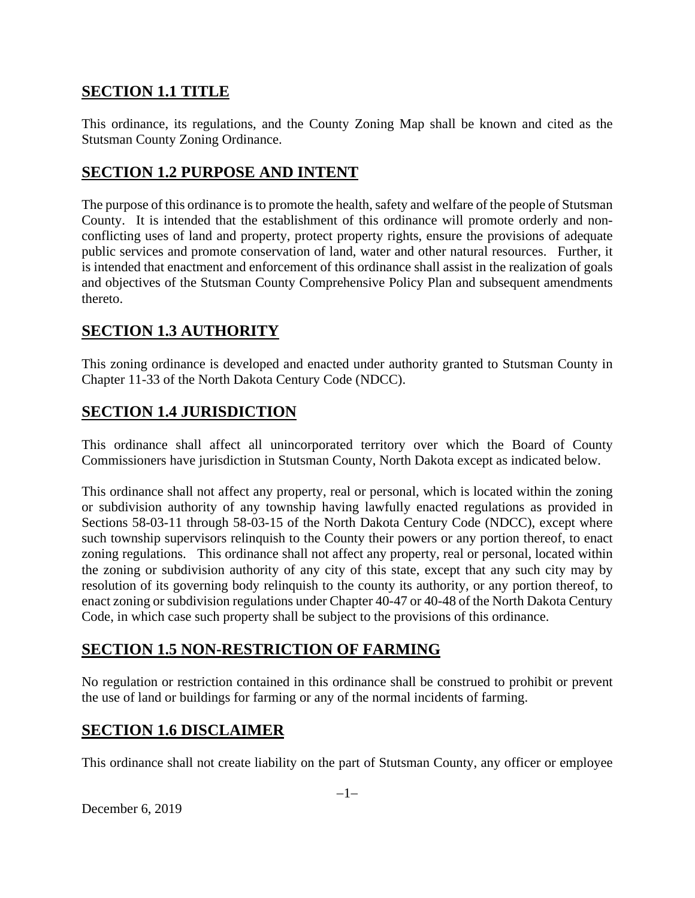# **SECTION 1.1 TITLE**

This ordinance, its regulations, and the County Zoning Map shall be known and cited as the Stutsman County Zoning Ordinance.

# **SECTION 1.2 PURPOSE AND INTENT**

The purpose of this ordinance is to promote the health, safety and welfare of the people of Stutsman County. It is intended that the establishment of this ordinance will promote orderly and nonconflicting uses of land and property, protect property rights, ensure the provisions of adequate public services and promote conservation of land, water and other natural resources. Further, it is intended that enactment and enforcement of this ordinance shall assist in the realization of goals and objectives of the Stutsman County Comprehensive Policy Plan and subsequent amendments thereto.

# **SECTION 1.3 AUTHORITY**

This zoning ordinance is developed and enacted under authority granted to Stutsman County in Chapter 11-33 of the North Dakota Century Code (NDCC).

# **SECTION 1.4 JURISDICTION**

This ordinance shall affect all unincorporated territory over which the Board of County Commissioners have jurisdiction in Stutsman County, North Dakota except as indicated below.

This ordinance shall not affect any property, real or personal, which is located within the zoning or subdivision authority of any township having lawfully enacted regulations as provided in Sections 58-03-11 through 58-03-15 of the North Dakota Century Code (NDCC), except where such township supervisors relinquish to the County their powers or any portion thereof, to enact zoning regulations. This ordinance shall not affect any property, real or personal, located within the zoning or subdivision authority of any city of this state, except that any such city may by resolution of its governing body relinquish to the county its authority, or any portion thereof, to enact zoning or subdivision regulations under Chapter 40-47 or 40-48 of the North Dakota Century Code, in which case such property shall be subject to the provisions of this ordinance.

# **SECTION 1.5 NON-RESTRICTION OF FARMING**

No regulation or restriction contained in this ordinance shall be construed to prohibit or prevent the use of land or buildings for farming or any of the normal incidents of farming.

# **SECTION 1.6 DISCLAIMER**

This ordinance shall not create liability on the part of Stutsman County, any officer or employee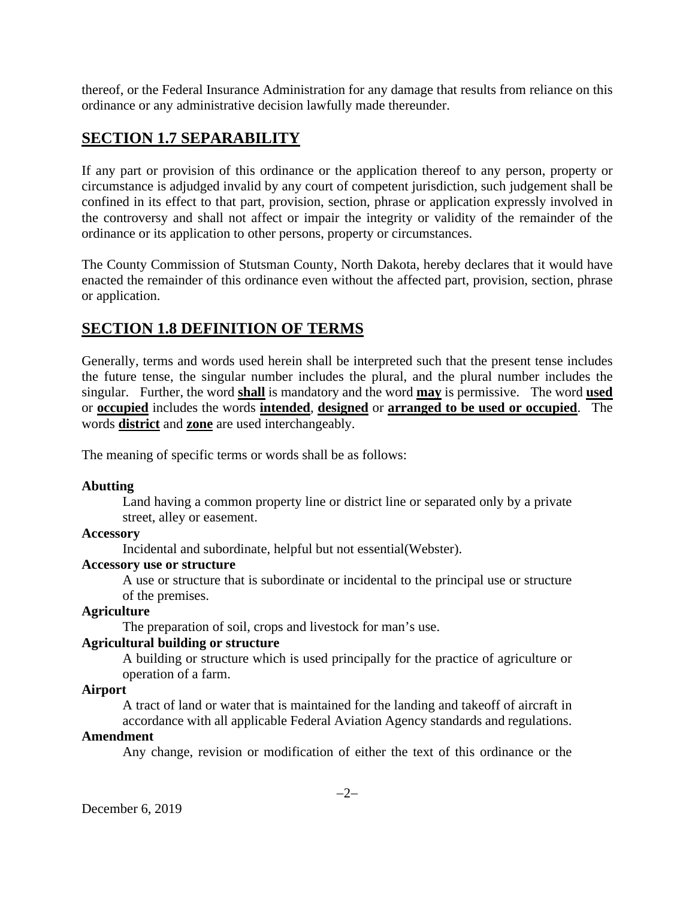thereof, or the Federal Insurance Administration for any damage that results from reliance on this ordinance or any administrative decision lawfully made thereunder.

# **SECTION 1.7 SEPARABILITY**

If any part or provision of this ordinance or the application thereof to any person, property or circumstance is adjudged invalid by any court of competent jurisdiction, such judgement shall be confined in its effect to that part, provision, section, phrase or application expressly involved in the controversy and shall not affect or impair the integrity or validity of the remainder of the ordinance or its application to other persons, property or circumstances.

The County Commission of Stutsman County, North Dakota, hereby declares that it would have enacted the remainder of this ordinance even without the affected part, provision, section, phrase or application.

# **SECTION 1.8 DEFINITION OF TERMS**

Generally, terms and words used herein shall be interpreted such that the present tense includes the future tense, the singular number includes the plural, and the plural number includes the singular. Further, the word **shall** is mandatory and the word **may** is permissive. The word **used** or **occupied** includes the words **intended**, **designed** or **arranged to be used or occupied**. The words **district** and **zone** are used interchangeably.

The meaning of specific terms or words shall be as follows:

### **Abutting**

Land having a common property line or district line or separated only by a private street, alley or easement.

### **Accessory**

Incidental and subordinate, helpful but not essential(Webster).

### **Accessory use or structure**

A use or structure that is subordinate or incidental to the principal use or structure of the premises.

## **Agriculture**

The preparation of soil, crops and livestock for man's use.

## **Agricultural building or structure**

A building or structure which is used principally for the practice of agriculture or operation of a farm.

## **Airport**

A tract of land or water that is maintained for the landing and takeoff of aircraft in accordance with all applicable Federal Aviation Agency standards and regulations.

### **Amendment**

Any change, revision or modification of either the text of this ordinance or the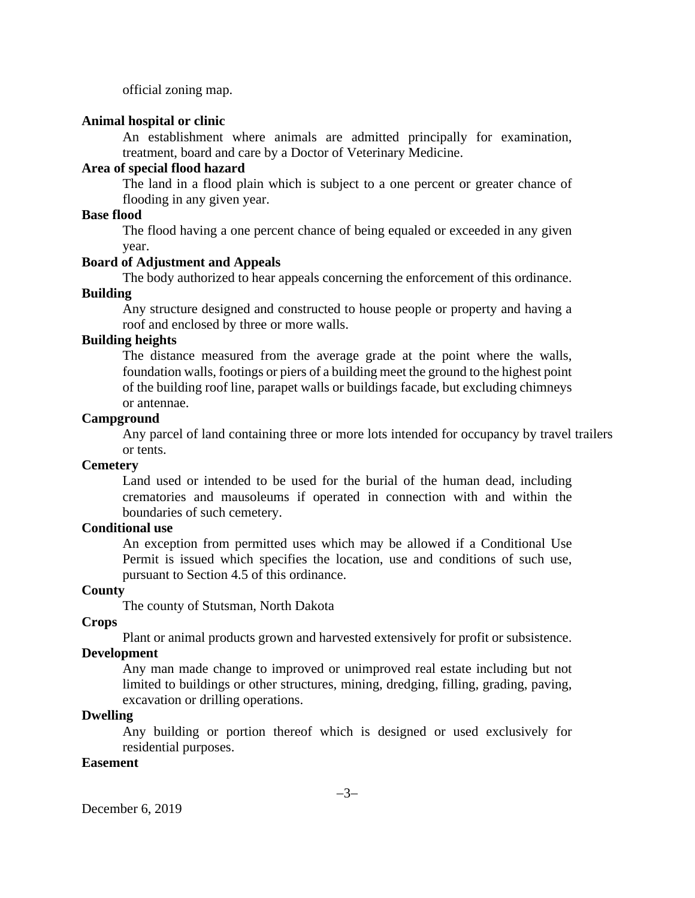official zoning map.

#### **Animal hospital or clinic**

An establishment where animals are admitted principally for examination, treatment, board and care by a Doctor of Veterinary Medicine.

### **Area of special flood hazard**

The land in a flood plain which is subject to a one percent or greater chance of flooding in any given year.

### **Base flood**

The flood having a one percent chance of being equaled or exceeded in any given year.

#### **Board of Adjustment and Appeals**

The body authorized to hear appeals concerning the enforcement of this ordinance.

# **Building**

Any structure designed and constructed to house people or property and having a roof and enclosed by three or more walls.

### **Building heights**

The distance measured from the average grade at the point where the walls, foundation walls, footings or piers of a building meet the ground to the highest point of the building roof line, parapet walls or buildings facade, but excluding chimneys or antennae.

#### **Campground**

Any parcel of land containing three or more lots intended for occupancy by travel trailers or tents.

#### **Cemetery**

Land used or intended to be used for the burial of the human dead, including crematories and mausoleums if operated in connection with and within the boundaries of such cemetery.

#### **Conditional use**

An exception from permitted uses which may be allowed if a Conditional Use Permit is issued which specifies the location, use and conditions of such use, pursuant to Section 4.5 of this ordinance.

#### **County**

The county of Stutsman, North Dakota

#### **Crops**

Plant or animal products grown and harvested extensively for profit or subsistence.

# **Development**

Any man made change to improved or unimproved real estate including but not limited to buildings or other structures, mining, dredging, filling, grading, paving, excavation or drilling operations.

#### **Dwelling**

Any building or portion thereof which is designed or used exclusively for residential purposes.

#### **Easement**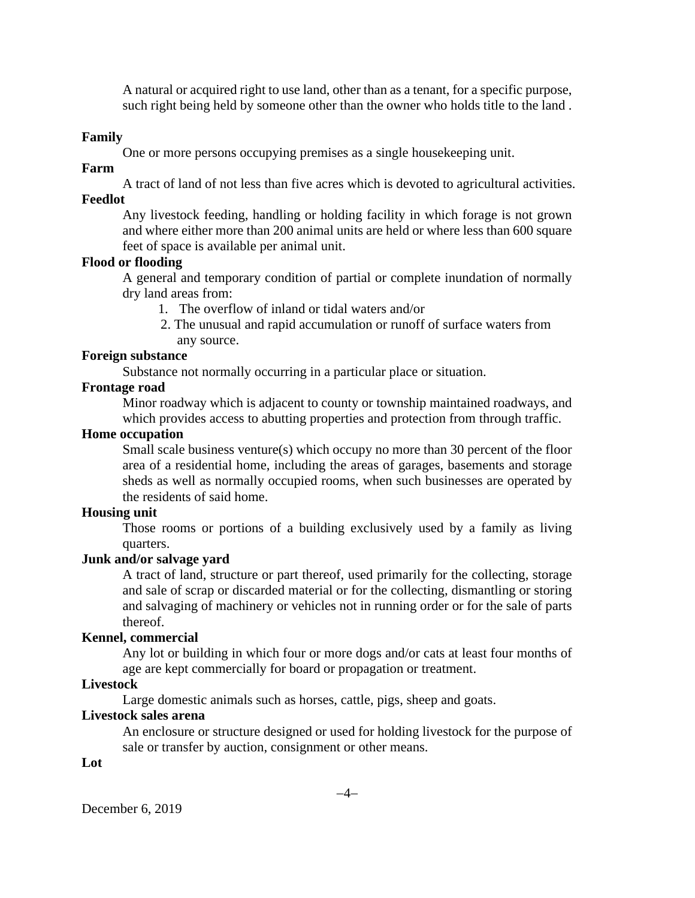A natural or acquired right to use land, other than as a tenant, for a specific purpose, such right being held by someone other than the owner who holds title to the land .

#### **Family**

One or more persons occupying premises as a single housekeeping unit.

#### **Farm**

A tract of land of not less than five acres which is devoted to agricultural activities.

# **Feedlot**

Any livestock feeding, handling or holding facility in which forage is not grown and where either more than 200 animal units are held or where less than 600 square feet of space is available per animal unit.

## **Flood or flooding**

A general and temporary condition of partial or complete inundation of normally dry land areas from:

- 1. The overflow of inland or tidal waters and/or
- 2. The unusual and rapid accumulation or runoff of surface waters from any source.

#### **Foreign substance**

Substance not normally occurring in a particular place or situation.

#### **Frontage road**

Minor roadway which is adjacent to county or township maintained roadways, and which provides access to abutting properties and protection from through traffic.

## **Home occupation**

Small scale business venture(s) which occupy no more than 30 percent of the floor area of a residential home, including the areas of garages, basements and storage sheds as well as normally occupied rooms, when such businesses are operated by the residents of said home.

#### **Housing unit**

Those rooms or portions of a building exclusively used by a family as living quarters.

#### **Junk and/or salvage yard**

A tract of land, structure or part thereof, used primarily for the collecting, storage and sale of scrap or discarded material or for the collecting, dismantling or storing and salvaging of machinery or vehicles not in running order or for the sale of parts thereof.

#### **Kennel, commercial**

Any lot or building in which four or more dogs and/or cats at least four months of age are kept commercially for board or propagation or treatment.

### **Livestock**

Large domestic animals such as horses, cattle, pigs, sheep and goats.

### **Livestock sales arena**

An enclosure or structure designed or used for holding livestock for the purpose of sale or transfer by auction, consignment or other means.

**Lot**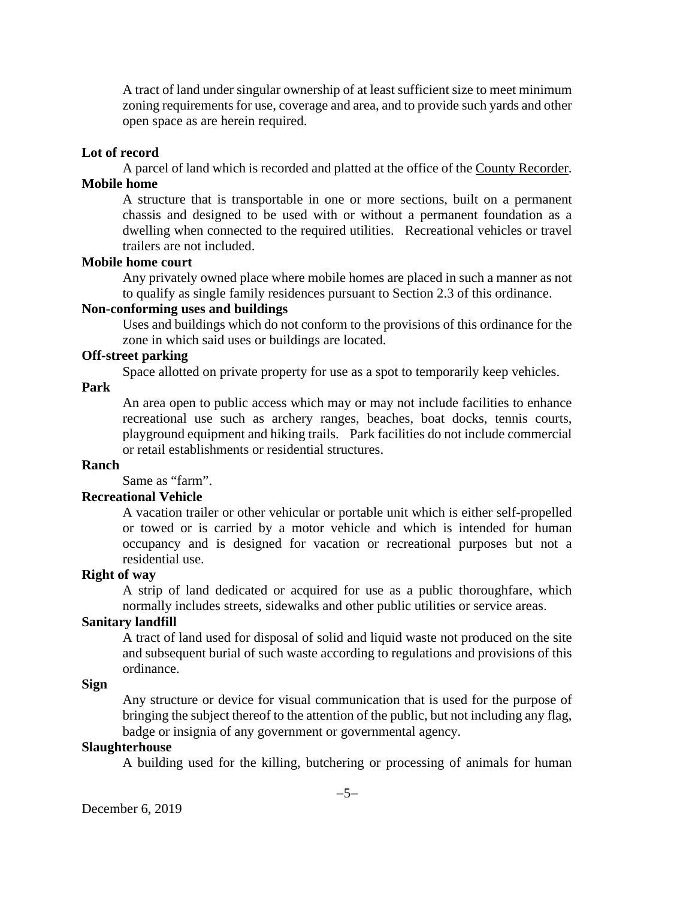A tract of land under singular ownership of at least sufficient size to meet minimum zoning requirements for use, coverage and area, and to provide such yards and other open space as are herein required.

#### **Lot of record**

A parcel of land which is recorded and platted at the office of the County Recorder. **Mobile home**

A structure that is transportable in one or more sections, built on a permanent chassis and designed to be used with or without a permanent foundation as a dwelling when connected to the required utilities. Recreational vehicles or travel trailers are not included.

#### **Mobile home court**

Any privately owned place where mobile homes are placed in such a manner as not to qualify as single family residences pursuant to Section 2.3 of this ordinance.

#### **Non-conforming uses and buildings**

Uses and buildings which do not conform to the provisions of this ordinance for the zone in which said uses or buildings are located.

#### **Off-street parking**

Space allotted on private property for use as a spot to temporarily keep vehicles.

#### **Park**

An area open to public access which may or may not include facilities to enhance recreational use such as archery ranges, beaches, boat docks, tennis courts, playground equipment and hiking trails. Park facilities do not include commercial or retail establishments or residential structures.

#### **Ranch**

Same as "farm".

#### **Recreational Vehicle**

A vacation trailer or other vehicular or portable unit which is either self-propelled or towed or is carried by a motor vehicle and which is intended for human occupancy and is designed for vacation or recreational purposes but not a residential use.

#### **Right of way**

A strip of land dedicated or acquired for use as a public thoroughfare, which normally includes streets, sidewalks and other public utilities or service areas.

#### **Sanitary landfill**

A tract of land used for disposal of solid and liquid waste not produced on the site and subsequent burial of such waste according to regulations and provisions of this ordinance.

#### **Sign**

Any structure or device for visual communication that is used for the purpose of bringing the subject thereof to the attention of the public, but not including any flag, badge or insignia of any government or governmental agency.

### **Slaughterhouse**

A building used for the killing, butchering or processing of animals for human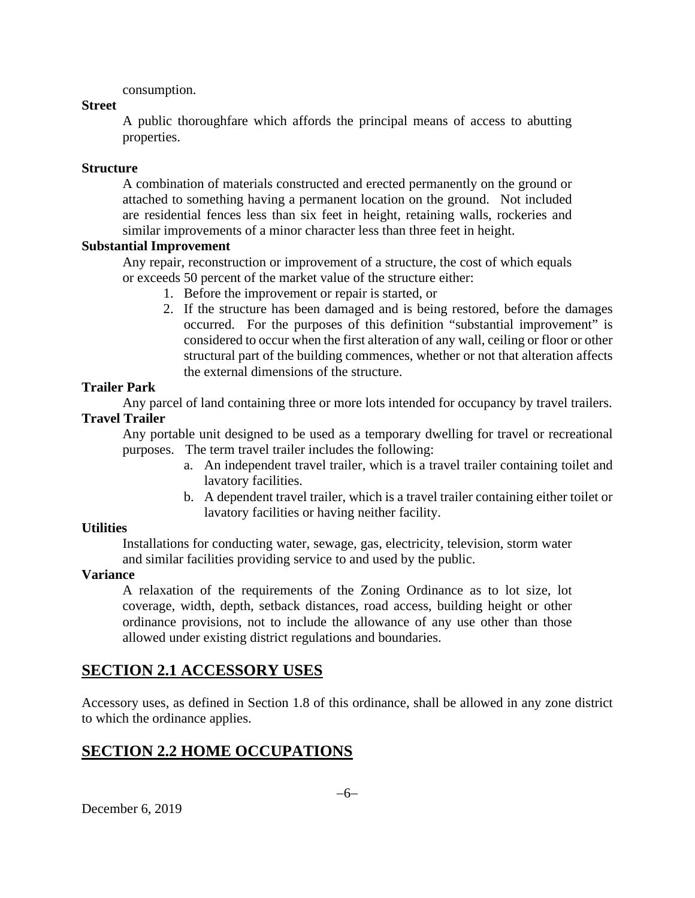consumption.

#### **Street**

A public thoroughfare which affords the principal means of access to abutting properties.

#### **Structure**

A combination of materials constructed and erected permanently on the ground or attached to something having a permanent location on the ground. Not included are residential fences less than six feet in height, retaining walls, rockeries and similar improvements of a minor character less than three feet in height.

#### **Substantial Improvement**

Any repair, reconstruction or improvement of a structure, the cost of which equals or exceeds 50 percent of the market value of the structure either:

- 1. Before the improvement or repair is started, or
- 2. If the structure has been damaged and is being restored, before the damages occurred. For the purposes of this definition "substantial improvement" is considered to occur when the first alteration of any wall, ceiling or floor or other structural part of the building commences, whether or not that alteration affects the external dimensions of the structure.

### **Trailer Park**

Any parcel of land containing three or more lots intended for occupancy by travel trailers. **Travel Trailer**

Any portable unit designed to be used as a temporary dwelling for travel or recreational purposes. The term travel trailer includes the following:

- a. An independent travel trailer, which is a travel trailer containing toilet and lavatory facilities.
- b. A dependent travel trailer, which is a travel trailer containing either toilet or lavatory facilities or having neither facility.

### **Utilities**

Installations for conducting water, sewage, gas, electricity, television, storm water and similar facilities providing service to and used by the public.

### **Variance**

A relaxation of the requirements of the Zoning Ordinance as to lot size, lot coverage, width, depth, setback distances, road access, building height or other ordinance provisions, not to include the allowance of any use other than those allowed under existing district regulations and boundaries.

# **SECTION 2.1 ACCESSORY USES**

Accessory uses, as defined in Section 1.8 of this ordinance, shall be allowed in any zone district to which the ordinance applies.

# **SECTION 2.2 HOME OCCUPATIONS**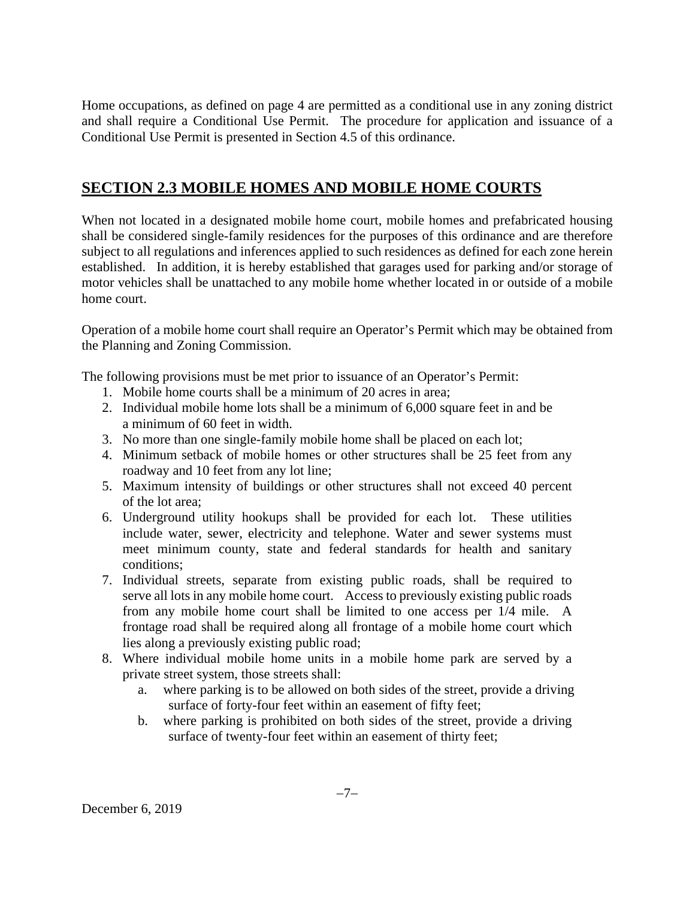Home occupations, as defined on page 4 are permitted as a conditional use in any zoning district and shall require a Conditional Use Permit. The procedure for application and issuance of a Conditional Use Permit is presented in Section 4.5 of this ordinance.

# **SECTION 2.3 MOBILE HOMES AND MOBILE HOME COURTS**

When not located in a designated mobile home court, mobile homes and prefabricated housing shall be considered single-family residences for the purposes of this ordinance and are therefore subject to all regulations and inferences applied to such residences as defined for each zone herein established. In addition, it is hereby established that garages used for parking and/or storage of motor vehicles shall be unattached to any mobile home whether located in or outside of a mobile home court.

Operation of a mobile home court shall require an Operator's Permit which may be obtained from the Planning and Zoning Commission.

The following provisions must be met prior to issuance of an Operator's Permit:

- 1. Mobile home courts shall be a minimum of 20 acres in area;
- 2. Individual mobile home lots shall be a minimum of 6,000 square feet in and be a minimum of 60 feet in width.
- 3. No more than one single-family mobile home shall be placed on each lot;
- 4. Minimum setback of mobile homes or other structures shall be 25 feet from any roadway and 10 feet from any lot line;
- 5. Maximum intensity of buildings or other structures shall not exceed 40 percent of the lot area;
- 6. Underground utility hookups shall be provided for each lot. These utilities include water, sewer, electricity and telephone. Water and sewer systems must meet minimum county, state and federal standards for health and sanitary conditions;
- 7. Individual streets, separate from existing public roads, shall be required to serve all lots in any mobile home court. Access to previously existing public roads from any mobile home court shall be limited to one access per 1/4 mile. A frontage road shall be required along all frontage of a mobile home court which lies along a previously existing public road;
- 8. Where individual mobile home units in a mobile home park are served by a private street system, those streets shall:
	- a. where parking is to be allowed on both sides of the street, provide a driving surface of forty-four feet within an easement of fifty feet;
	- b. where parking is prohibited on both sides of the street, provide a driving surface of twenty-four feet within an easement of thirty feet;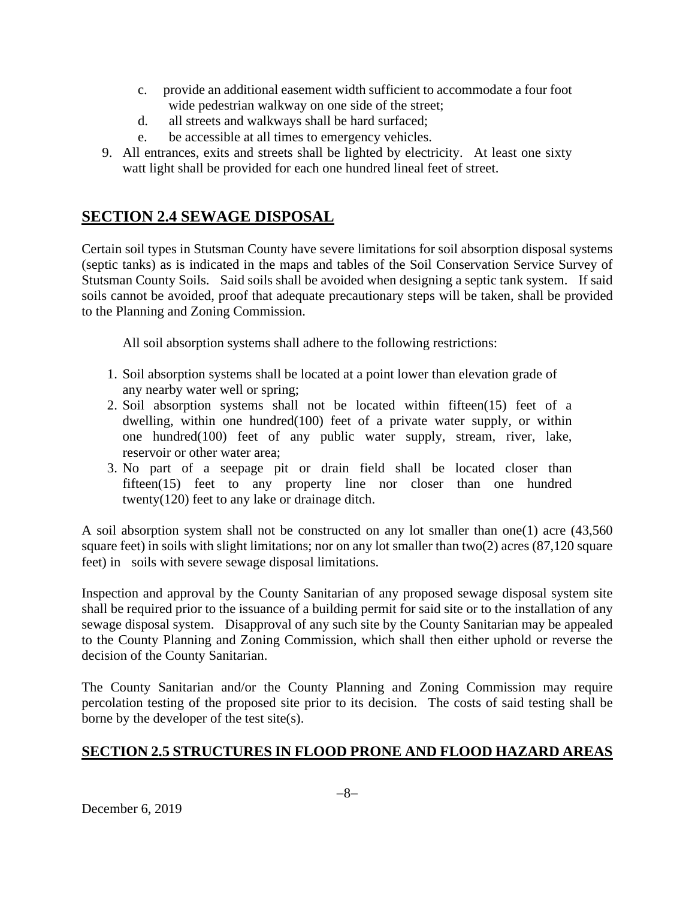- c. provide an additional easement width sufficient to accommodate a four foot wide pedestrian walkway on one side of the street;
- d. all streets and walkways shall be hard surfaced;
- e. be accessible at all times to emergency vehicles.
- 9. All entrances, exits and streets shall be lighted by electricity. At least one sixty watt light shall be provided for each one hundred lineal feet of street.

# **SECTION 2.4 SEWAGE DISPOSAL**

Certain soil types in Stutsman County have severe limitations for soil absorption disposal systems (septic tanks) as is indicated in the maps and tables of the Soil Conservation Service Survey of Stutsman County Soils. Said soils shall be avoided when designing a septic tank system. If said soils cannot be avoided, proof that adequate precautionary steps will be taken, shall be provided to the Planning and Zoning Commission.

All soil absorption systems shall adhere to the following restrictions:

- 1. Soil absorption systems shall be located at a point lower than elevation grade of any nearby water well or spring;
- 2. Soil absorption systems shall not be located within fifteen(15) feet of a dwelling, within one hundred(100) feet of a private water supply, or within one hundred(100) feet of any public water supply, stream, river, lake, reservoir or other water area;
- 3. No part of a seepage pit or drain field shall be located closer than fifteen(15) feet to any property line nor closer than one hundred twenty(120) feet to any lake or drainage ditch.

A soil absorption system shall not be constructed on any lot smaller than one(1) acre  $(43,560)$ square feet) in soils with slight limitations; nor on any lot smaller than two(2) acres (87,120 square feet) in soils with severe sewage disposal limitations.

Inspection and approval by the County Sanitarian of any proposed sewage disposal system site shall be required prior to the issuance of a building permit for said site or to the installation of any sewage disposal system. Disapproval of any such site by the County Sanitarian may be appealed to the County Planning and Zoning Commission, which shall then either uphold or reverse the decision of the County Sanitarian.

The County Sanitarian and/or the County Planning and Zoning Commission may require percolation testing of the proposed site prior to its decision. The costs of said testing shall be borne by the developer of the test site(s).

# **SECTION 2.5 STRUCTURES IN FLOOD PRONE AND FLOOD HAZARD AREAS**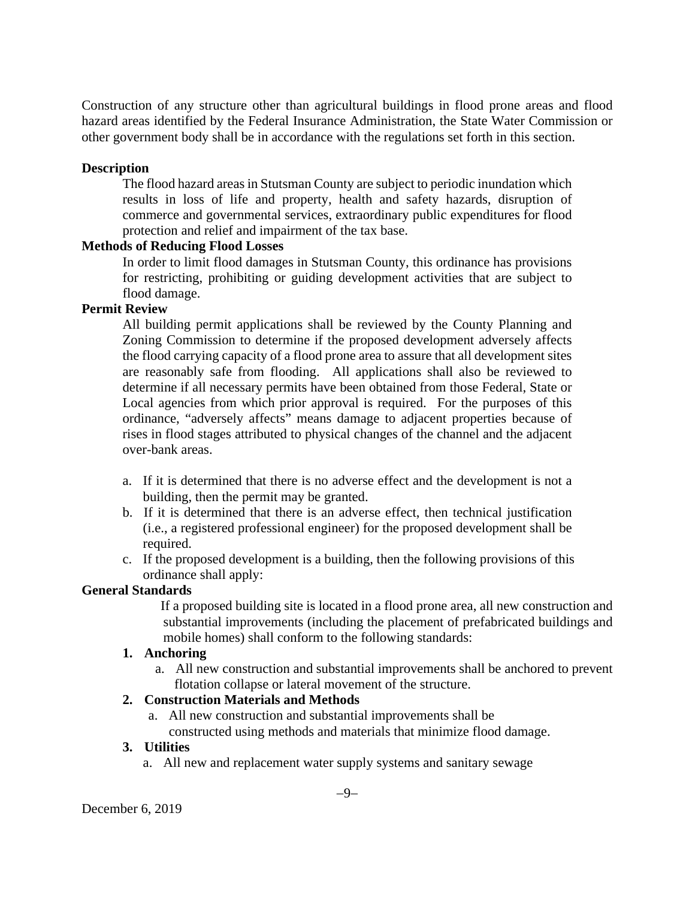Construction of any structure other than agricultural buildings in flood prone areas and flood hazard areas identified by the Federal Insurance Administration, the State Water Commission or other government body shall be in accordance with the regulations set forth in this section.

## **Description**

The flood hazard areas in Stutsman County are subject to periodic inundation which results in loss of life and property, health and safety hazards, disruption of commerce and governmental services, extraordinary public expenditures for flood protection and relief and impairment of the tax base.

## **Methods of Reducing Flood Losses**

In order to limit flood damages in Stutsman County, this ordinance has provisions for restricting, prohibiting or guiding development activities that are subject to flood damage.

### **Permit Review**

All building permit applications shall be reviewed by the County Planning and Zoning Commission to determine if the proposed development adversely affects the flood carrying capacity of a flood prone area to assure that all development sites are reasonably safe from flooding. All applications shall also be reviewed to determine if all necessary permits have been obtained from those Federal, State or Local agencies from which prior approval is required. For the purposes of this ordinance, "adversely affects" means damage to adjacent properties because of rises in flood stages attributed to physical changes of the channel and the adjacent over-bank areas.

- a. If it is determined that there is no adverse effect and the development is not a building, then the permit may be granted.
- b. If it is determined that there is an adverse effect, then technical justification (i.e., a registered professional engineer) for the proposed development shall be required.
- c. If the proposed development is a building, then the following provisions of this ordinance shall apply:

### **General Standards**

 If a proposed building site is located in a flood prone area, all new construction and substantial improvements (including the placement of prefabricated buildings and mobile homes) shall conform to the following standards:

### **1. Anchoring**

 a. All new construction and substantial improvements shall be anchored to prevent flotation collapse or lateral movement of the structure.

### **2. Construction Materials and Methods**

a. All new construction and substantial improvements shall be

constructed using methods and materials that minimize flood damage.

### **3. Utilities**

a. All new and replacement water supply systems and sanitary sewage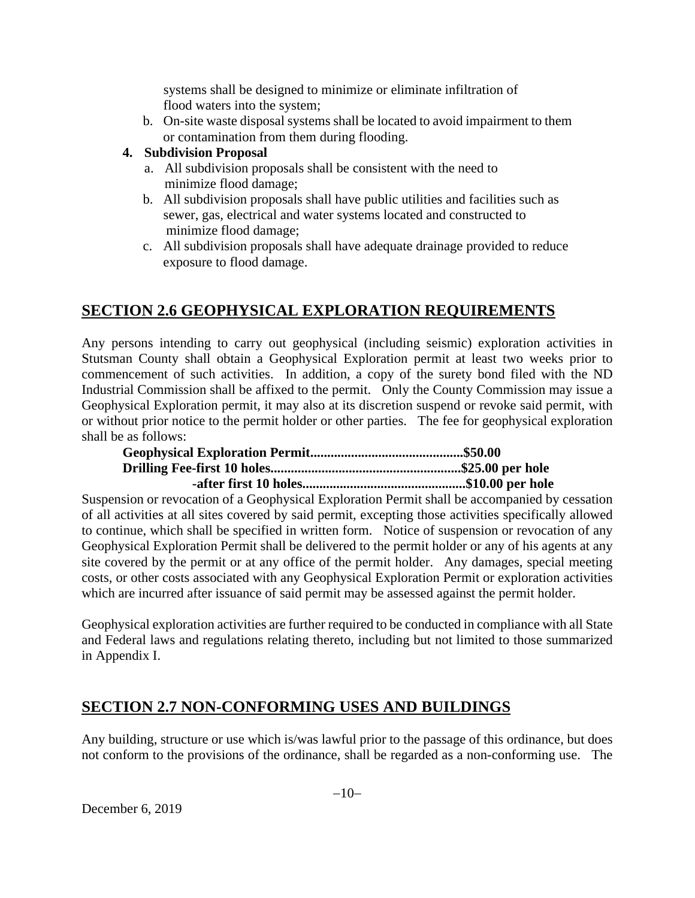systems shall be designed to minimize or eliminate infiltration of flood waters into the system;

b. On-site waste disposal systems shall be located to avoid impairment to them or contamination from them during flooding.

## **4. Subdivision Proposal**

- a. All subdivision proposals shall be consistent with the need to minimize flood damage;
- b. All subdivision proposals shall have public utilities and facilities such as sewer, gas, electrical and water systems located and constructed to minimize flood damage;
- c. All subdivision proposals shall have adequate drainage provided to reduce exposure to flood damage.

# **SECTION 2.6 GEOPHYSICAL EXPLORATION REQUIREMENTS**

Any persons intending to carry out geophysical (including seismic) exploration activities in Stutsman County shall obtain a Geophysical Exploration permit at least two weeks prior to commencement of such activities. In addition, a copy of the surety bond filed with the ND Industrial Commission shall be affixed to the permit. Only the County Commission may issue a Geophysical Exploration permit, it may also at its discretion suspend or revoke said permit, with or without prior notice to the permit holder or other parties. The fee for geophysical exploration shall be as follows:

Suspension or revocation of a Geophysical Exploration Permit shall be accompanied by cessation of all activities at all sites covered by said permit, excepting those activities specifically allowed to continue, which shall be specified in written form. Notice of suspension or revocation of any Geophysical Exploration Permit shall be delivered to the permit holder or any of his agents at any site covered by the permit or at any office of the permit holder. Any damages, special meeting costs, or other costs associated with any Geophysical Exploration Permit or exploration activities which are incurred after issuance of said permit may be assessed against the permit holder.

Geophysical exploration activities are further required to be conducted in compliance with all State and Federal laws and regulations relating thereto, including but not limited to those summarized in Appendix I.

# **SECTION 2.7 NON-CONFORMING USES AND BUILDINGS**

Any building, structure or use which is/was lawful prior to the passage of this ordinance, but does not conform to the provisions of the ordinance, shall be regarded as a non-conforming use. The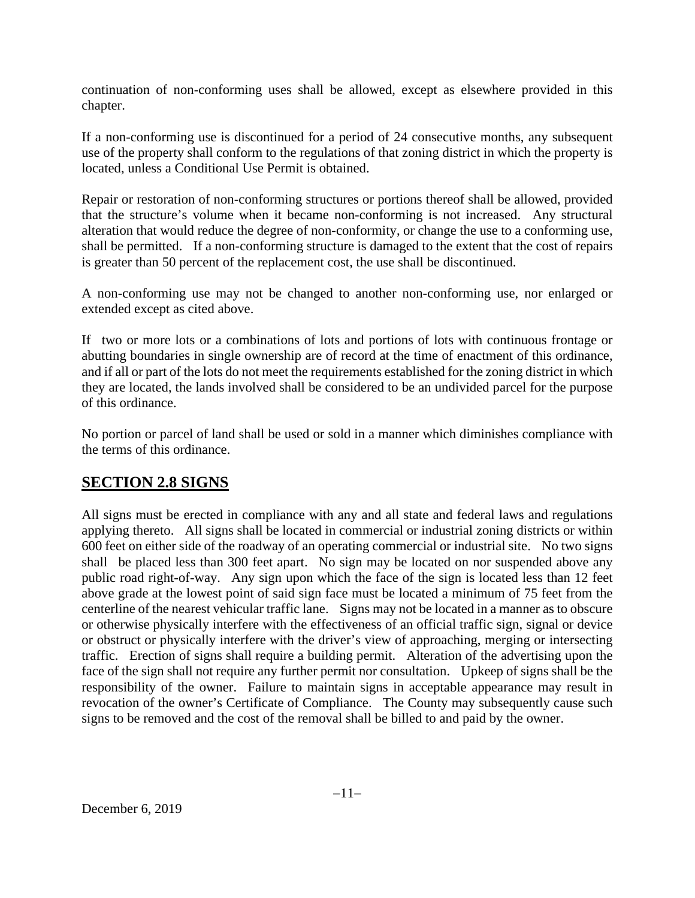continuation of non-conforming uses shall be allowed, except as elsewhere provided in this chapter.

If a non-conforming use is discontinued for a period of 24 consecutive months, any subsequent use of the property shall conform to the regulations of that zoning district in which the property is located, unless a Conditional Use Permit is obtained.

Repair or restoration of non-conforming structures or portions thereof shall be allowed, provided that the structure's volume when it became non-conforming is not increased. Any structural alteration that would reduce the degree of non-conformity, or change the use to a conforming use, shall be permitted. If a non-conforming structure is damaged to the extent that the cost of repairs is greater than 50 percent of the replacement cost, the use shall be discontinued.

A non-conforming use may not be changed to another non-conforming use, nor enlarged or extended except as cited above.

If two or more lots or a combinations of lots and portions of lots with continuous frontage or abutting boundaries in single ownership are of record at the time of enactment of this ordinance, and if all or part of the lots do not meet the requirements established for the zoning district in which they are located, the lands involved shall be considered to be an undivided parcel for the purpose of this ordinance.

No portion or parcel of land shall be used or sold in a manner which diminishes compliance with the terms of this ordinance.

# **SECTION 2.8 SIGNS**

All signs must be erected in compliance with any and all state and federal laws and regulations applying thereto. All signs shall be located in commercial or industrial zoning districts or within 600 feet on either side of the roadway of an operating commercial or industrial site. No two signs shall be placed less than 300 feet apart. No sign may be located on nor suspended above any public road right-of-way. Any sign upon which the face of the sign is located less than 12 feet above grade at the lowest point of said sign face must be located a minimum of 75 feet from the centerline of the nearest vehicular traffic lane. Signs may not be located in a manner as to obscure or otherwise physically interfere with the effectiveness of an official traffic sign, signal or device or obstruct or physically interfere with the driver's view of approaching, merging or intersecting traffic. Erection of signs shall require a building permit. Alteration of the advertising upon the face of the sign shall not require any further permit nor consultation. Upkeep of signs shall be the responsibility of the owner. Failure to maintain signs in acceptable appearance may result in revocation of the owner's Certificate of Compliance. The County may subsequently cause such signs to be removed and the cost of the removal shall be billed to and paid by the owner.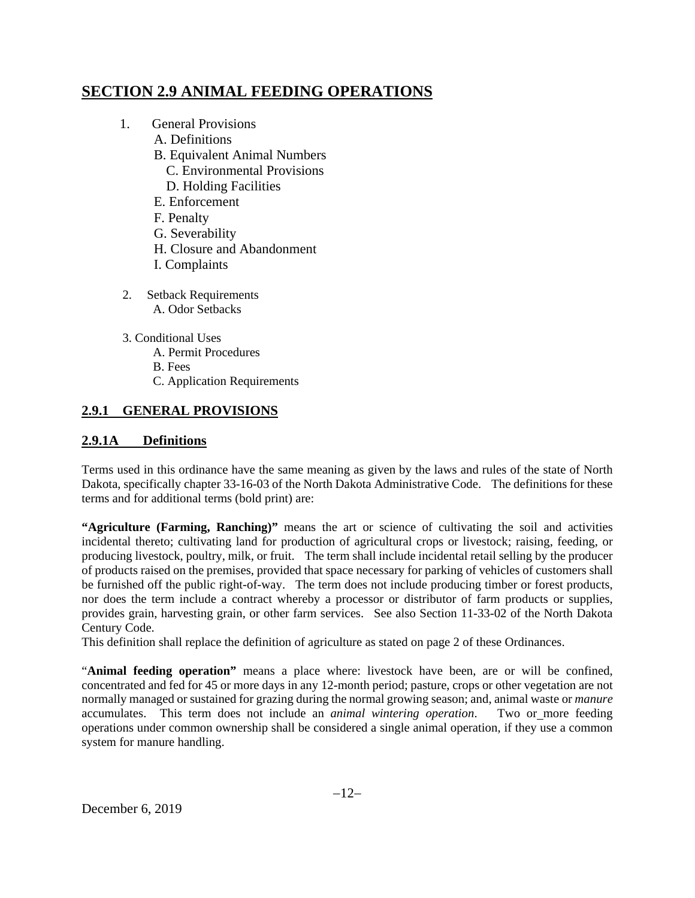# **SECTION 2.9 ANIMAL FEEDING OPERATIONS**

- 1. General Provisions
	- A. Definitions
	- B. Equivalent Animal Numbers C. Environmental Provisions
		- D. Holding Facilities
	- E. Enforcement
	- F. Penalty
	- G. Severability
	- H. Closure and Abandonment
	- I. Complaints
- 2. Setback Requirements A. Odor Setbacks
- 3. Conditional Uses
	- A. Permit Procedures
	- B. Fees
	- C. Application Requirements

# **2.9.1 GENERAL PROVISIONS**

## **2.9.1A Definitions**

Terms used in this ordinance have the same meaning as given by the laws and rules of the state of North Dakota, specifically chapter 33-16-03 of the North Dakota Administrative Code. The definitions for these terms and for additional terms (bold print) are:

**"Agriculture (Farming, Ranching)"** means the art or science of cultivating the soil and activities incidental thereto; cultivating land for production of agricultural crops or livestock; raising, feeding, or producing livestock, poultry, milk, or fruit. The term shall include incidental retail selling by the producer of products raised on the premises, provided that space necessary for parking of vehicles of customers shall be furnished off the public right-of-way. The term does not include producing timber or forest products, nor does the term include a contract whereby a processor or distributor of farm products or supplies, provides grain, harvesting grain, or other farm services. See also Section 11-33-02 of the North Dakota Century Code.

This definition shall replace the definition of agriculture as stated on page 2 of these Ordinances.

"**Animal feeding operation"** means a place where: livestock have been, are or will be confined, concentrated and fed for 45 or more days in any 12-month period; pasture, crops or other vegetation are not normally managed or sustained for grazing during the normal growing season; and, animal waste or *manure* accumulates. This term does not include an *animal wintering operation*. Two or more feeding operations under common ownership shall be considered a single animal operation, if they use a common system for manure handling.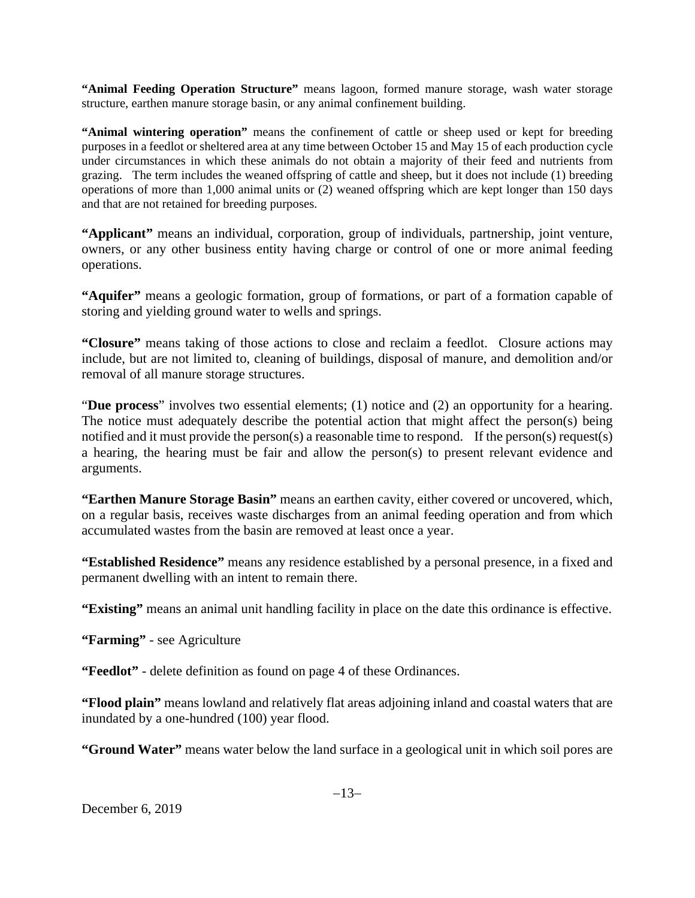**"Animal Feeding Operation Structure"** means lagoon, formed manure storage, wash water storage structure, earthen manure storage basin, or any animal confinement building.

**"Animal wintering operation"** means the confinement of cattle or sheep used or kept for breeding purposes in a feedlot or sheltered area at any time between October 15 and May 15 of each production cycle under circumstances in which these animals do not obtain a majority of their feed and nutrients from grazing. The term includes the weaned offspring of cattle and sheep, but it does not include (1) breeding operations of more than 1,000 animal units or (2) weaned offspring which are kept longer than 150 days and that are not retained for breeding purposes.

**"Applicant"** means an individual, corporation, group of individuals, partnership, joint venture, owners, or any other business entity having charge or control of one or more animal feeding operations.

**"Aquifer"** means a geologic formation, group of formations, or part of a formation capable of storing and yielding ground water to wells and springs.

**"Closure"** means taking of those actions to close and reclaim a feedlot. Closure actions may include, but are not limited to, cleaning of buildings, disposal of manure, and demolition and/or removal of all manure storage structures.

"**Due process**" involves two essential elements; (1) notice and (2) an opportunity for a hearing. The notice must adequately describe the potential action that might affect the person(s) being notified and it must provide the person(s) a reasonable time to respond. If the person(s) request(s) a hearing, the hearing must be fair and allow the person(s) to present relevant evidence and arguments.

**"Earthen Manure Storage Basin"** means an earthen cavity, either covered or uncovered, which, on a regular basis, receives waste discharges from an animal feeding operation and from which accumulated wastes from the basin are removed at least once a year.

**"Established Residence"** means any residence established by a personal presence, in a fixed and permanent dwelling with an intent to remain there.

**"Existing"** means an animal unit handling facility in place on the date this ordinance is effective.

**"Farming"** - see Agriculture

**"Feedlot"** - delete definition as found on page 4 of these Ordinances.

**"Flood plain"** means lowland and relatively flat areas adjoining inland and coastal waters that are inundated by a one-hundred (100) year flood.

**"Ground Water"** means water below the land surface in a geological unit in which soil pores are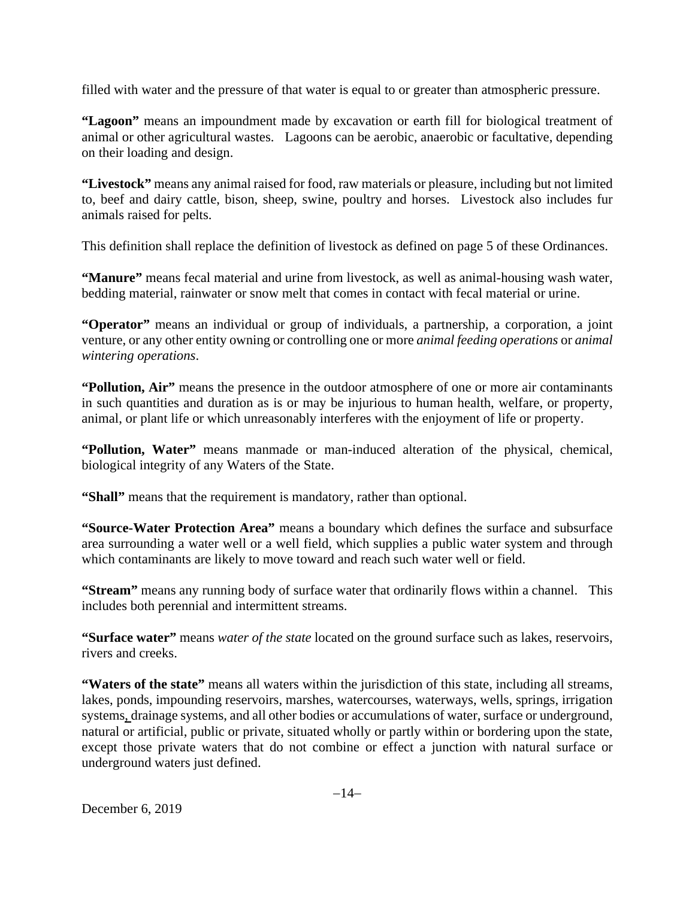filled with water and the pressure of that water is equal to or greater than atmospheric pressure.

**"Lagoon"** means an impoundment made by excavation or earth fill for biological treatment of animal or other agricultural wastes. Lagoons can be aerobic, anaerobic or facultative, depending on their loading and design.

**"Livestock"** means any animal raised for food, raw materials or pleasure, including but not limited to, beef and dairy cattle, bison, sheep, swine, poultry and horses. Livestock also includes fur animals raised for pelts.

This definition shall replace the definition of livestock as defined on page 5 of these Ordinances.

**"Manure"** means fecal material and urine from livestock, as well as animal-housing wash water, bedding material, rainwater or snow melt that comes in contact with fecal material or urine.

**"Operator"** means an individual or group of individuals, a partnership, a corporation, a joint venture, or any other entity owning or controlling one or more *animal feeding operations* or *animal wintering operations*.

**"Pollution, Air"** means the presence in the outdoor atmosphere of one or more air contaminants in such quantities and duration as is or may be injurious to human health, welfare, or property, animal, or plant life or which unreasonably interferes with the enjoyment of life or property.

**"Pollution, Water"** means manmade or man-induced alteration of the physical, chemical, biological integrity of any Waters of the State.

**"Shall"** means that the requirement is mandatory, rather than optional.

**"Source-Water Protection Area"** means a boundary which defines the surface and subsurface area surrounding a water well or a well field, which supplies a public water system and through which contaminants are likely to move toward and reach such water well or field.

**"Stream"** means any running body of surface water that ordinarily flows within a channel. This includes both perennial and intermittent streams.

**"Surface water"** means *water of the state* located on the ground surface such as lakes, reservoirs, rivers and creeks.

**"Waters of the state"** means all waters within the jurisdiction of this state, including all streams, lakes, ponds, impounding reservoirs, marshes, watercourses, waterways, wells, springs, irrigation systems, drainage systems, and all other bodies or accumulations of water, surface or underground, natural or artificial, public or private, situated wholly or partly within or bordering upon the state, except those private waters that do not combine or effect a junction with natural surface or underground waters just defined.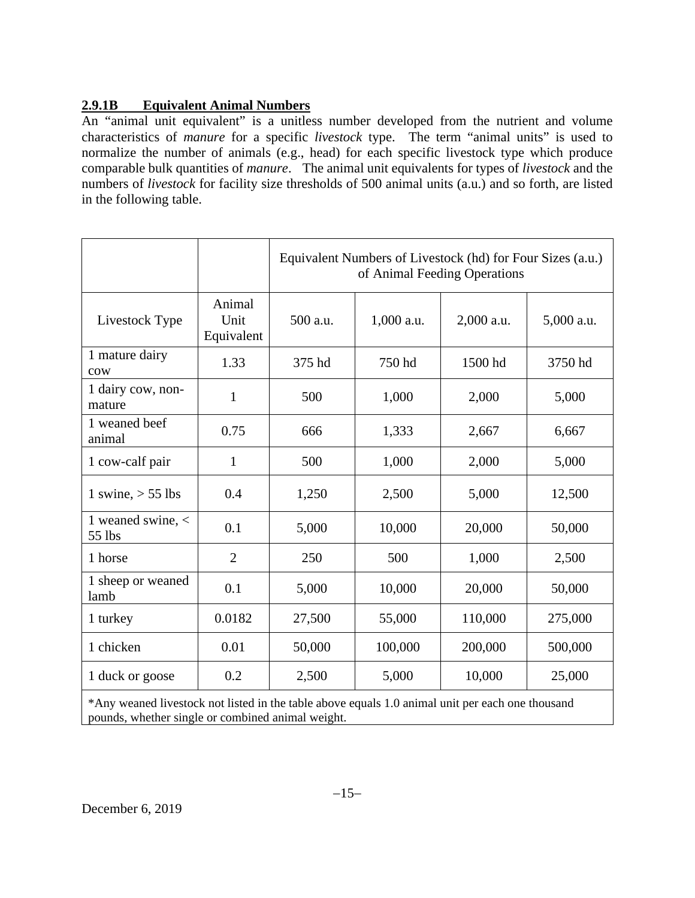# **2.9.1B Equivalent Animal Numbers**

An "animal unit equivalent" is a unitless number developed from the nutrient and volume characteristics of *manure* for a specific *livestock* type. The term "animal units" is used to normalize the number of animals (e.g., head) for each specific livestock type which produce comparable bulk quantities of *manure*. The animal unit equivalents for types of *livestock* and the numbers of *livestock* for facility size thresholds of 500 animal units (a.u.) and so forth, are listed in the following table.

|                                                                                                  |                              | Equivalent Numbers of Livestock (hd) for Four Sizes (a.u.)<br>of Animal Feeding Operations |            |            |            |
|--------------------------------------------------------------------------------------------------|------------------------------|--------------------------------------------------------------------------------------------|------------|------------|------------|
| Livestock Type                                                                                   | Animal<br>Unit<br>Equivalent | 500 a.u.                                                                                   | 1,000 a.u. | 2,000 a.u. | 5,000 a.u. |
| 1 mature dairy<br>cow                                                                            | 1.33                         | 375 hd                                                                                     | 750 hd     | 1500 hd    | 3750 hd    |
| 1 dairy cow, non-<br>mature                                                                      | $\mathbf{1}$                 | 500                                                                                        | 1,000      | 2,000      | 5,000      |
| 1 weaned beef<br>animal                                                                          | 0.75                         | 666                                                                                        | 1,333      | 2,667      | 6,667      |
| 1 cow-calf pair                                                                                  | $\mathbf{1}$                 | 500                                                                                        | 1,000      | 2,000      | 5,000      |
| 1 swine, $>$ 55 lbs                                                                              | 0.4                          | 1,250                                                                                      | 2,500      | 5,000      | 12,500     |
| 1 weaned swine, <<br>55 lbs                                                                      | 0.1                          | 5,000                                                                                      | 10,000     | 20,000     | 50,000     |
| 1 horse                                                                                          | $\overline{2}$               | 250                                                                                        | 500        | 1,000      | 2,500      |
| 1 sheep or weaned<br>lamb                                                                        | 0.1                          | 5,000                                                                                      | 10,000     | 20,000     | 50,000     |
| 1 turkey                                                                                         | 0.0182                       | 27,500                                                                                     | 55,000     | 110,000    | 275,000    |
| 1 chicken                                                                                        | 0.01                         | 50,000                                                                                     | 100,000    | 200,000    | 500,000    |
| 1 duck or goose                                                                                  | 0.2                          | 2,500                                                                                      | 5,000      | 10,000     | 25,000     |
| *Any weaned livestock not listed in the table above equals 1.0 animal unit per each one thousand |                              |                                                                                            |            |            |            |

pounds, whether single or combined animal weight.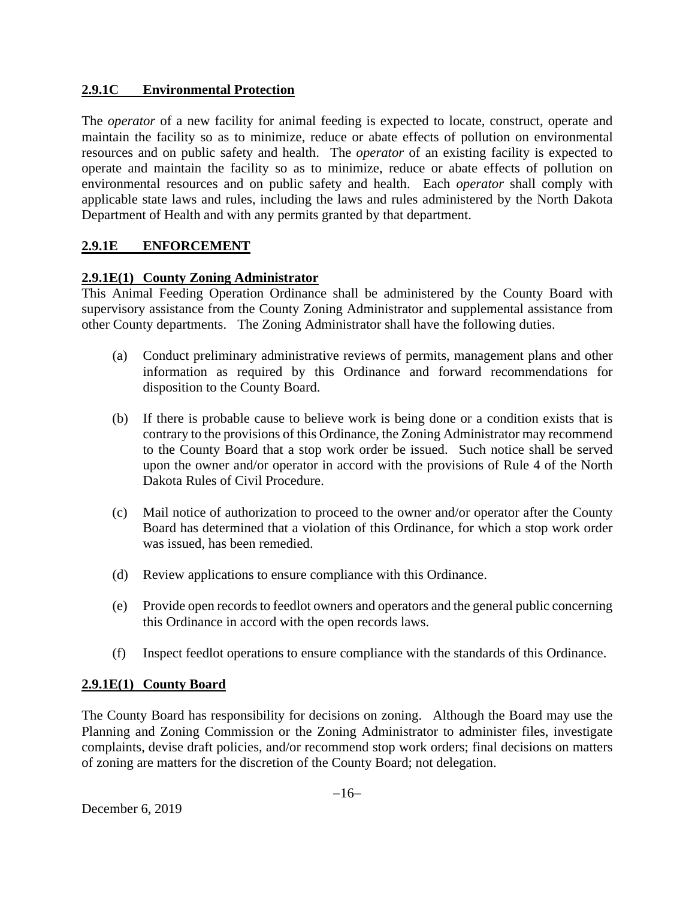## **2.9.1C Environmental Protection**

The *operator* of a new facility for animal feeding is expected to locate, construct, operate and maintain the facility so as to minimize, reduce or abate effects of pollution on environmental resources and on public safety and health. The *operator* of an existing facility is expected to operate and maintain the facility so as to minimize, reduce or abate effects of pollution on environmental resources and on public safety and health. Each *operator* shall comply with applicable state laws and rules, including the laws and rules administered by the North Dakota Department of Health and with any permits granted by that department.

## **2.9.1E ENFORCEMENT**

## **2.9.1E(1) County Zoning Administrator**

This Animal Feeding Operation Ordinance shall be administered by the County Board with supervisory assistance from the County Zoning Administrator and supplemental assistance from other County departments. The Zoning Administrator shall have the following duties.

- (a) Conduct preliminary administrative reviews of permits, management plans and other information as required by this Ordinance and forward recommendations for disposition to the County Board.
- (b) If there is probable cause to believe work is being done or a condition exists that is contrary to the provisions of this Ordinance, the Zoning Administrator may recommend to the County Board that a stop work order be issued. Such notice shall be served upon the owner and/or operator in accord with the provisions of Rule 4 of the North Dakota Rules of Civil Procedure.
- (c) Mail notice of authorization to proceed to the owner and/or operator after the County Board has determined that a violation of this Ordinance, for which a stop work order was issued, has been remedied.
- (d) Review applications to ensure compliance with this Ordinance.
- (e) Provide open records to feedlot owners and operators and the general public concerning this Ordinance in accord with the open records laws.
- (f) Inspect feedlot operations to ensure compliance with the standards of this Ordinance.

### **2.9.1E(1) County Board**

The County Board has responsibility for decisions on zoning. Although the Board may use the Planning and Zoning Commission or the Zoning Administrator to administer files, investigate complaints, devise draft policies, and/or recommend stop work orders; final decisions on matters of zoning are matters for the discretion of the County Board; not delegation.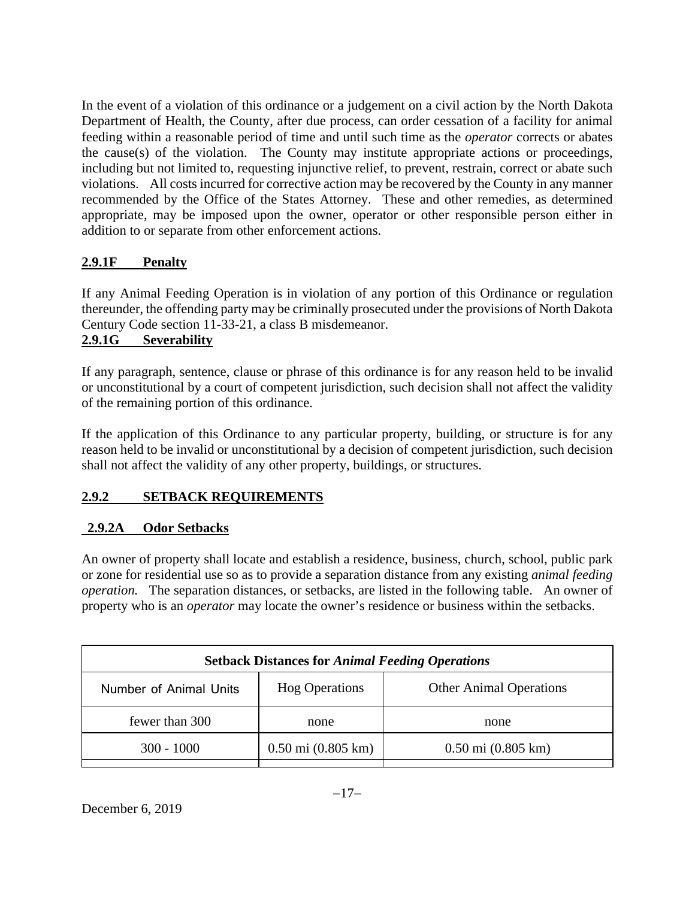In the event of a violation of this ordinance or a judgement on a civil action by the North Dakota Department of Health, the County, after due process, can order cessation of a facility for animal feeding within a reasonable period of time and until such time as the *operator* corrects or abates the cause(s) of the violation. The County may institute appropriate actions or proceedings, including but not limited to, requesting injunctive relief, to prevent, restrain, correct or abate such violations. All costs incurred for corrective action may be recovered by the County in any manner recommended by the Office of the States Attorney. These and other remedies, as determined appropriate, may be imposed upon the owner, operator or other responsible person either in addition to or separate from other enforcement actions.

# **2.9.1F Penalty**

If any Animal Feeding Operation is in violation of any portion of this Ordinance or regulation thereunder, the offending party may be criminally prosecuted under the provisions of North Dakota Century Code section 11-33-21, a class B misdemeanor.

# **2.9.1G Severability**

If any paragraph, sentence, clause or phrase of this ordinance is for any reason held to be invalid or unconstitutional by a court of competent jurisdiction, such decision shall not affect the validity of the remaining portion of this ordinance.

If the application of this Ordinance to any particular property, building, or structure is for any reason held to be invalid or unconstitutional by a decision of competent jurisdiction, such decision shall not affect the validity of any other property, buildings, or structures.

# **2.9.2 SETBACK REQUIREMENTS**

# **2.9.2A Odor Setbacks**

An owner of property shall locate and establish a residence, business, church, school, public park or zone for residential use so as to provide a separation distance from any existing *animal feeding operation.* The separation distances, or setbacks, are listed in the following table. An owner of property who is an *operator* may locate the owner's residence or business within the setbacks.

| <b>Setback Distances for Animal Feeding Operations</b> |                                      |                                      |  |  |
|--------------------------------------------------------|--------------------------------------|--------------------------------------|--|--|
| Number of Animal Units                                 | <b>Hog Operations</b>                | <b>Other Animal Operations</b>       |  |  |
| fewer than 300                                         | none                                 | none                                 |  |  |
| $300 - 1000$                                           | $0.50 \text{ mi} (0.805 \text{ km})$ | $0.50 \text{ mi} (0.805 \text{ km})$ |  |  |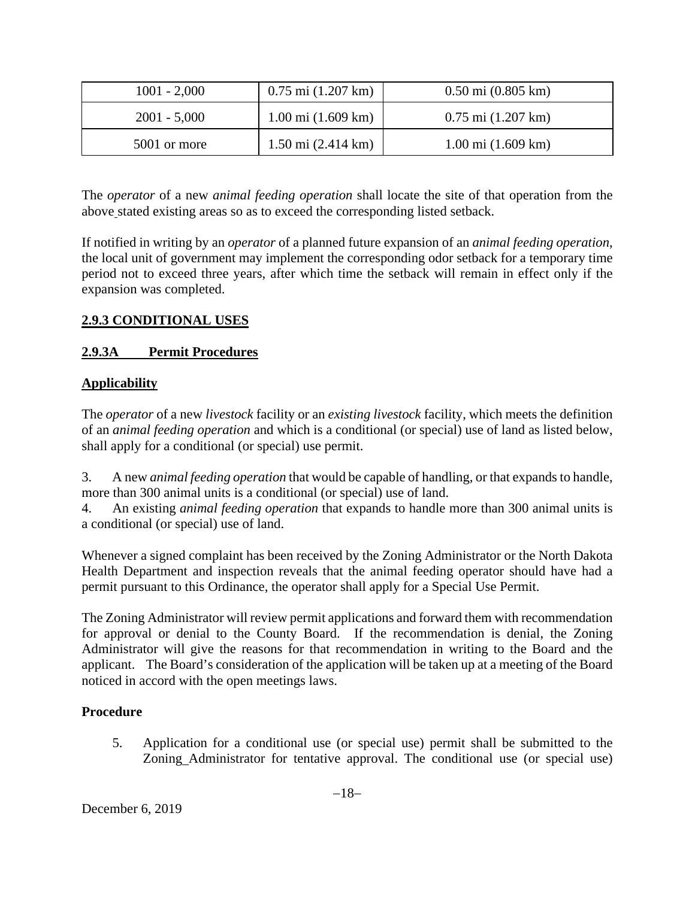| $1001 - 2,000$ | $0.75$ mi $(1.207$ km)       | $0.50$ mi $(0.805$ km)                 |
|----------------|------------------------------|----------------------------------------|
| $2001 - 5,000$ | $1.00 \text{ mi}$ (1.609 km) | $0.75$ mi $(1.207$ km)                 |
| 5001 or more   | $1.50 \text{ mi}$ (2.414 km) | $1.00 \text{ mi}$ $(1.609 \text{ km})$ |

The *operator* of a new *animal feeding operation* shall locate the site of that operation from the above stated existing areas so as to exceed the corresponding listed setback.

If notified in writing by an *operator* of a planned future expansion of an *animal feeding operation*, the local unit of government may implement the corresponding odor setback for a temporary time period not to exceed three years, after which time the setback will remain in effect only if the expansion was completed.

# **2.9.3 CONDITIONAL USES**

## **2.9.3A Permit Procedures**

## **Applicability**

The *operator* of a new *livestock* facility or an *existing livestock* facility, which meets the definition of an *animal feeding operation* and which is a conditional (or special) use of land as listed below, shall apply for a conditional (or special) use permit.

3. A new *animal feeding operation* that would be capable of handling, or that expands to handle, more than 300 animal units is a conditional (or special) use of land.

4. An existing *animal feeding operation* that expands to handle more than 300 animal units is a conditional (or special) use of land.

Whenever a signed complaint has been received by the Zoning Administrator or the North Dakota Health Department and inspection reveals that the animal feeding operator should have had a permit pursuant to this Ordinance, the operator shall apply for a Special Use Permit.

The Zoning Administrator will review permit applications and forward them with recommendation for approval or denial to the County Board. If the recommendation is denial, the Zoning Administrator will give the reasons for that recommendation in writing to the Board and the applicant. The Board's consideration of the application will be taken up at a meeting of the Board noticed in accord with the open meetings laws.

## **Procedure**

5. Application for a conditional use (or special use) permit shall be submitted to the Zoning Administrator for tentative approval. The conditional use (or special use)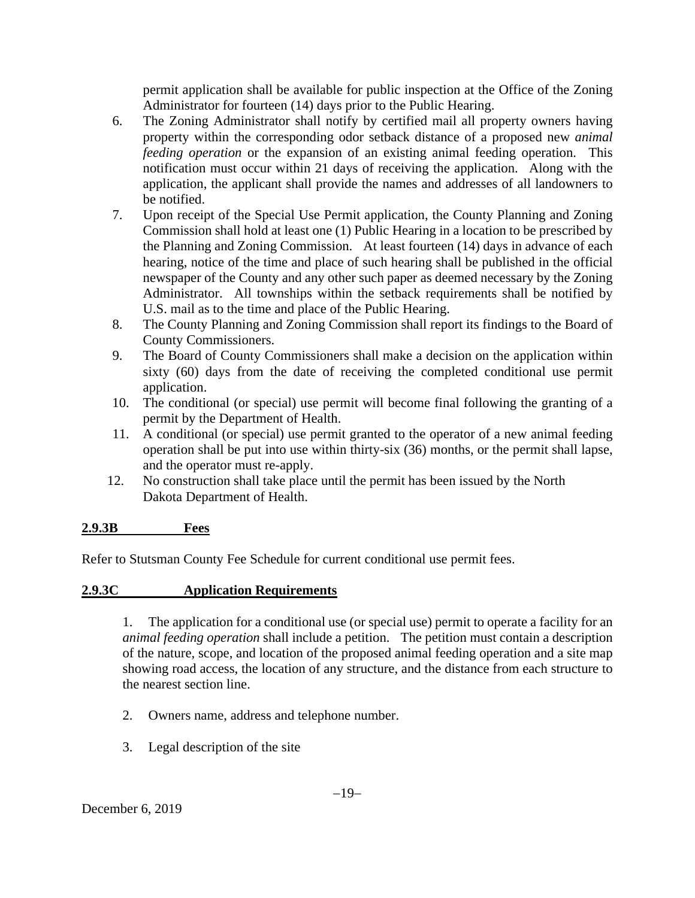permit application shall be available for public inspection at the Office of the Zoning Administrator for fourteen (14) days prior to the Public Hearing.

- 6. The Zoning Administrator shall notify by certified mail all property owners having property within the corresponding odor setback distance of a proposed new *animal feeding operation* or the expansion of an existing animal feeding operation. This notification must occur within 21 days of receiving the application. Along with the application, the applicant shall provide the names and addresses of all landowners to be notified.
- 7. Upon receipt of the Special Use Permit application, the County Planning and Zoning Commission shall hold at least one (1) Public Hearing in a location to be prescribed by the Planning and Zoning Commission. At least fourteen (14) days in advance of each hearing, notice of the time and place of such hearing shall be published in the official newspaper of the County and any other such paper as deemed necessary by the Zoning Administrator. All townships within the setback requirements shall be notified by U.S. mail as to the time and place of the Public Hearing.
- 8. The County Planning and Zoning Commission shall report its findings to the Board of County Commissioners.
- 9. The Board of County Commissioners shall make a decision on the application within sixty (60) days from the date of receiving the completed conditional use permit application.
- 10. The conditional (or special) use permit will become final following the granting of a permit by the Department of Health.
- 11. A conditional (or special) use permit granted to the operator of a new animal feeding operation shall be put into use within thirty-six (36) months, or the permit shall lapse, and the operator must re-apply.
- 12. No construction shall take place until the permit has been issued by the North Dakota Department of Health.

# **2.9.3B Fees**

Refer to Stutsman County Fee Schedule for current conditional use permit fees.

## **2.9.3C Application Requirements**

1. The application for a conditional use (or special use) permit to operate a facility for an *animal feeding operation* shall include a petition. The petition must contain a description of the nature, scope, and location of the proposed animal feeding operation and a site map showing road access, the location of any structure, and the distance from each structure to the nearest section line.

- 2. Owners name, address and telephone number.
- 3. Legal description of the site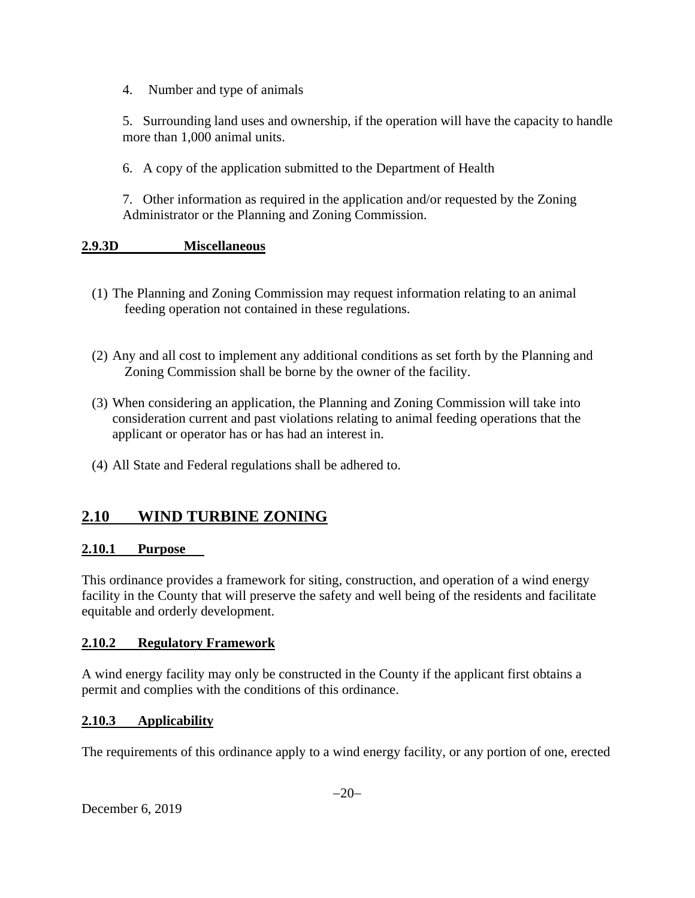4. Number and type of animals

5. Surrounding land uses and ownership, if the operation will have the capacity to handle more than 1,000 animal units.

6. A copy of the application submitted to the Department of Health

7. Other information as required in the application and/or requested by the Zoning Administrator or the Planning and Zoning Commission.

### **2.9.3D Miscellaneous**

- (1) The Planning and Zoning Commission may request information relating to an animal feeding operation not contained in these regulations.
- (2) Any and all cost to implement any additional conditions as set forth by the Planning and Zoning Commission shall be borne by the owner of the facility.
- (3) When considering an application, the Planning and Zoning Commission will take into consideration current and past violations relating to animal feeding operations that the applicant or operator has or has had an interest in.
- (4) All State and Federal regulations shall be adhered to.

# **2.10 WIND TURBINE ZONING**

### **2.10.1 Purpose**

This ordinance provides a framework for siting, construction, and operation of a wind energy facility in the County that will preserve the safety and well being of the residents and facilitate equitable and orderly development.

### **2.10.2 Regulatory Framework**

A wind energy facility may only be constructed in the County if the applicant first obtains a permit and complies with the conditions of this ordinance.

## **2.10.3 Applicability**

The requirements of this ordinance apply to a wind energy facility, or any portion of one, erected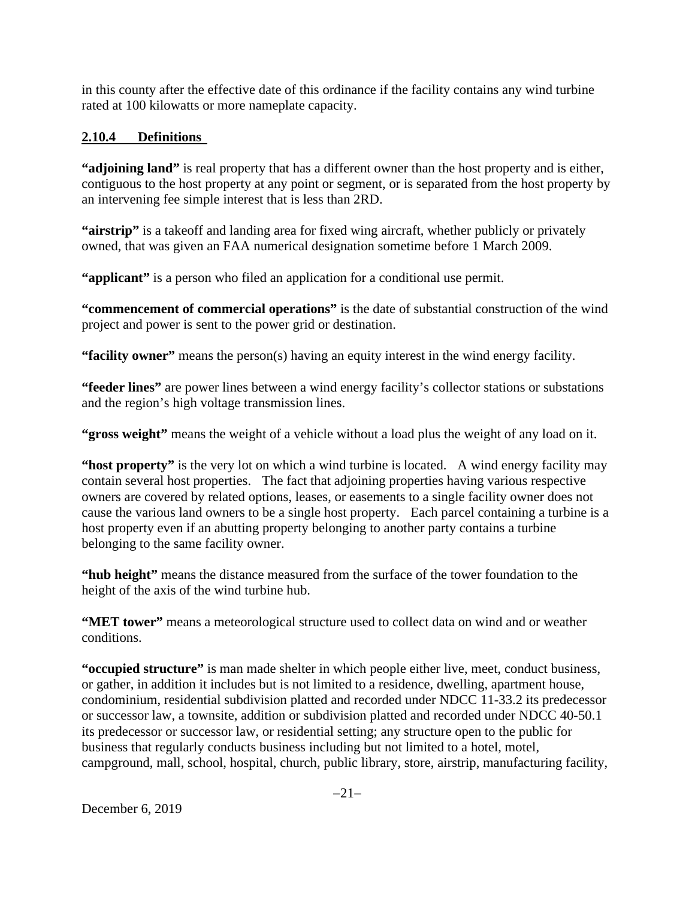in this county after the effective date of this ordinance if the facility contains any wind turbine rated at 100 kilowatts or more nameplate capacity.

# **2.10.4 Definitions**

**"adjoining land"** is real property that has a different owner than the host property and is either, contiguous to the host property at any point or segment, or is separated from the host property by an intervening fee simple interest that is less than 2RD.

**"airstrip"** is a takeoff and landing area for fixed wing aircraft, whether publicly or privately owned, that was given an FAA numerical designation sometime before 1 March 2009.

**"applicant"** is a person who filed an application for a conditional use permit.

**"commencement of commercial operations"** is the date of substantial construction of the wind project and power is sent to the power grid or destination.

**"facility owner"** means the person(s) having an equity interest in the wind energy facility.

**"feeder lines"** are power lines between a wind energy facility's collector stations or substations and the region's high voltage transmission lines.

**"gross weight"** means the weight of a vehicle without a load plus the weight of any load on it.

**"host property"** is the very lot on which a wind turbine is located. A wind energy facility may contain several host properties. The fact that adjoining properties having various respective owners are covered by related options, leases, or easements to a single facility owner does not cause the various land owners to be a single host property. Each parcel containing a turbine is a host property even if an abutting property belonging to another party contains a turbine belonging to the same facility owner.

**"hub height"** means the distance measured from the surface of the tower foundation to the height of the axis of the wind turbine hub.

**"MET tower"** means a meteorological structure used to collect data on wind and or weather conditions.

**"occupied structure"** is man made shelter in which people either live, meet, conduct business, or gather, in addition it includes but is not limited to a residence, dwelling, apartment house, condominium, residential subdivision platted and recorded under NDCC 11-33.2 its predecessor or successor law, a townsite, addition or subdivision platted and recorded under NDCC 40-50.1 its predecessor or successor law, or residential setting; any structure open to the public for business that regularly conducts business including but not limited to a hotel, motel, campground, mall, school, hospital, church, public library, store, airstrip, manufacturing facility,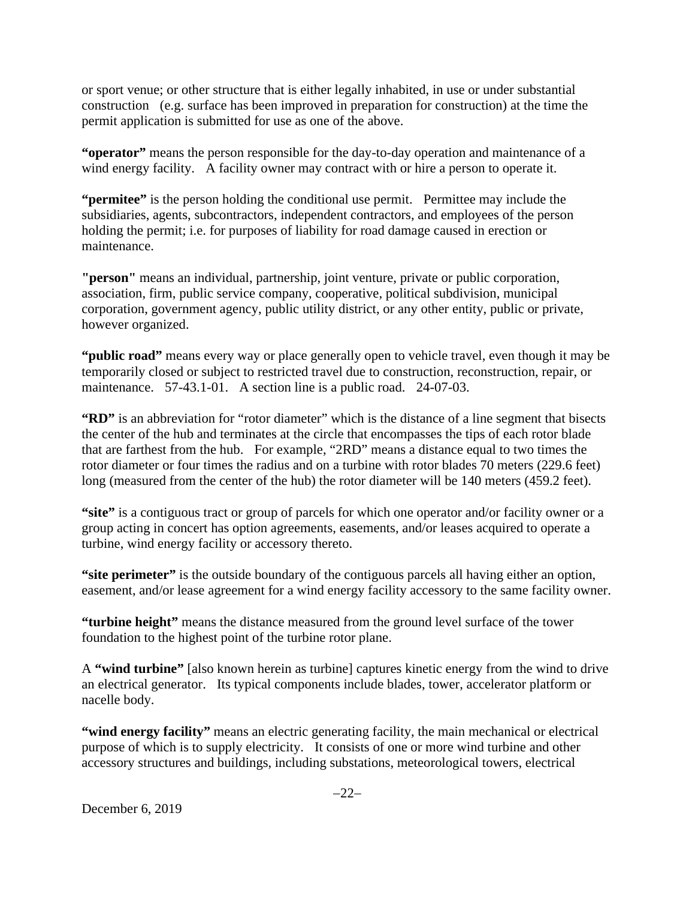or sport venue; or other structure that is either legally inhabited, in use or under substantial construction (e.g. surface has been improved in preparation for construction) at the time the permit application is submitted for use as one of the above.

**"operator"** means the person responsible for the day-to-day operation and maintenance of a wind energy facility. A facility owner may contract with or hire a person to operate it.

**"permitee"** is the person holding the conditional use permit. Permittee may include the subsidiaries, agents, subcontractors, independent contractors, and employees of the person holding the permit; i.e. for purposes of liability for road damage caused in erection or maintenance.

**"person"** means an individual, partnership, joint venture, private or public corporation, association, firm, public service company, cooperative, political subdivision, municipal corporation, government agency, public utility district, or any other entity, public or private, however organized.

**"public road"** means every way or place generally open to vehicle travel, even though it may be temporarily closed or subject to restricted travel due to construction, reconstruction, repair, or maintenance. 57-43.1-01. A section line is a public road. 24-07-03.

**"RD"** is an abbreviation for "rotor diameter" which is the distance of a line segment that bisects the center of the hub and terminates at the circle that encompasses the tips of each rotor blade that are farthest from the hub. For example, "2RD" means a distance equal to two times the rotor diameter or four times the radius and on a turbine with rotor blades 70 meters (229.6 feet) long (measured from the center of the hub) the rotor diameter will be 140 meters (459.2 feet).

**"site"** is a contiguous tract or group of parcels for which one operator and/or facility owner or a group acting in concert has option agreements, easements, and/or leases acquired to operate a turbine, wind energy facility or accessory thereto.

**"site perimeter"** is the outside boundary of the contiguous parcels all having either an option, easement, and/or lease agreement for a wind energy facility accessory to the same facility owner.

**"turbine height"** means the distance measured from the ground level surface of the tower foundation to the highest point of the turbine rotor plane.

A **"wind turbine"** [also known herein as turbine] captures kinetic energy from the wind to drive an electrical generator. Its typical components include blades, tower, accelerator platform or nacelle body.

**"wind energy facility"** means an electric generating facility, the main mechanical or electrical purpose of which is to supply electricity. It consists of one or more wind turbine and other accessory structures and buildings, including substations, meteorological towers, electrical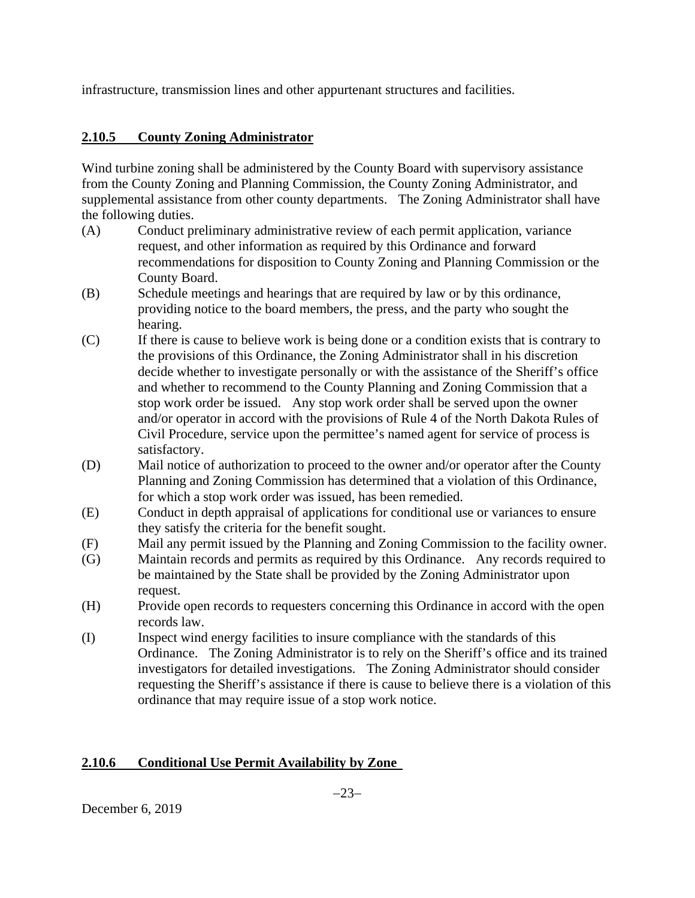infrastructure, transmission lines and other appurtenant structures and facilities.

# **2.10.5 County Zoning Administrator**

Wind turbine zoning shall be administered by the County Board with supervisory assistance from the County Zoning and Planning Commission, the County Zoning Administrator, and supplemental assistance from other county departments. The Zoning Administrator shall have the following duties.

- (A) Conduct preliminary administrative review of each permit application, variance request, and other information as required by this Ordinance and forward recommendations for disposition to County Zoning and Planning Commission or the County Board.
- (B) Schedule meetings and hearings that are required by law or by this ordinance, providing notice to the board members, the press, and the party who sought the hearing.
- (C) If there is cause to believe work is being done or a condition exists that is contrary to the provisions of this Ordinance, the Zoning Administrator shall in his discretion decide whether to investigate personally or with the assistance of the Sheriff's office and whether to recommend to the County Planning and Zoning Commission that a stop work order be issued. Any stop work order shall be served upon the owner and/or operator in accord with the provisions of Rule 4 of the North Dakota Rules of Civil Procedure, service upon the permittee's named agent for service of process is satisfactory.
- (D) Mail notice of authorization to proceed to the owner and/or operator after the County Planning and Zoning Commission has determined that a violation of this Ordinance, for which a stop work order was issued, has been remedied.
- (E) Conduct in depth appraisal of applications for conditional use or variances to ensure they satisfy the criteria for the benefit sought.
- (F) Mail any permit issued by the Planning and Zoning Commission to the facility owner.
- (G) Maintain records and permits as required by this Ordinance. Any records required to be maintained by the State shall be provided by the Zoning Administrator upon request.
- (H) Provide open records to requesters concerning this Ordinance in accord with the open records law.
- (I) Inspect wind energy facilities to insure compliance with the standards of this Ordinance. The Zoning Administrator is to rely on the Sheriff's office and its trained investigators for detailed investigations. The Zoning Administrator should consider requesting the Sheriff's assistance if there is cause to believe there is a violation of this ordinance that may require issue of a stop work notice.

## **2.10.6 Conditional Use Permit Availability by Zone**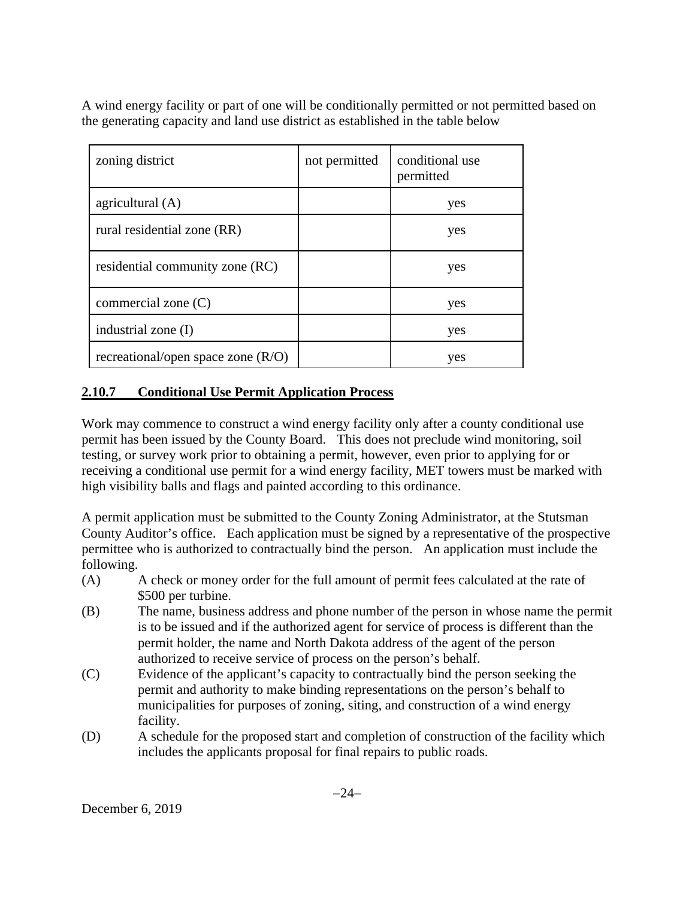A wind energy facility or part of one will be conditionally permitted or not permitted based on the generating capacity and land use district as established in the table below

| zoning district                      | not permitted | conditional use<br>permitted |
|--------------------------------------|---------------|------------------------------|
| agricultural (A)                     |               | yes                          |
| rural residential zone (RR)          |               | yes                          |
| residential community zone (RC)      |               | yes                          |
| commercial zone $(C)$                |               | yes                          |
| industrial zone (I)                  |               | yes                          |
| recreational/open space zone $(R/O)$ |               | yes                          |

# **2.10.7 Conditional Use Permit Application Process**

Work may commence to construct a wind energy facility only after a county conditional use permit has been issued by the County Board. This does not preclude wind monitoring, soil testing, or survey work prior to obtaining a permit, however, even prior to applying for or receiving a conditional use permit for a wind energy facility, MET towers must be marked with high visibility balls and flags and painted according to this ordinance.

A permit application must be submitted to the County Zoning Administrator, at the Stutsman County Auditor's office. Each application must be signed by a representative of the prospective permittee who is authorized to contractually bind the person. An application must include the following.

- (A) A check or money order for the full amount of permit fees calculated at the rate of \$500 per turbine.
- (B) The name, business address and phone number of the person in whose name the permit is to be issued and if the authorized agent for service of process is different than the permit holder, the name and North Dakota address of the agent of the person authorized to receive service of process on the person's behalf.
- (C) Evidence of the applicant's capacity to contractually bind the person seeking the permit and authority to make binding representations on the person's behalf to municipalities for purposes of zoning, siting, and construction of a wind energy facility.
- (D) A schedule for the proposed start and completion of construction of the facility which includes the applicants proposal for final repairs to public roads.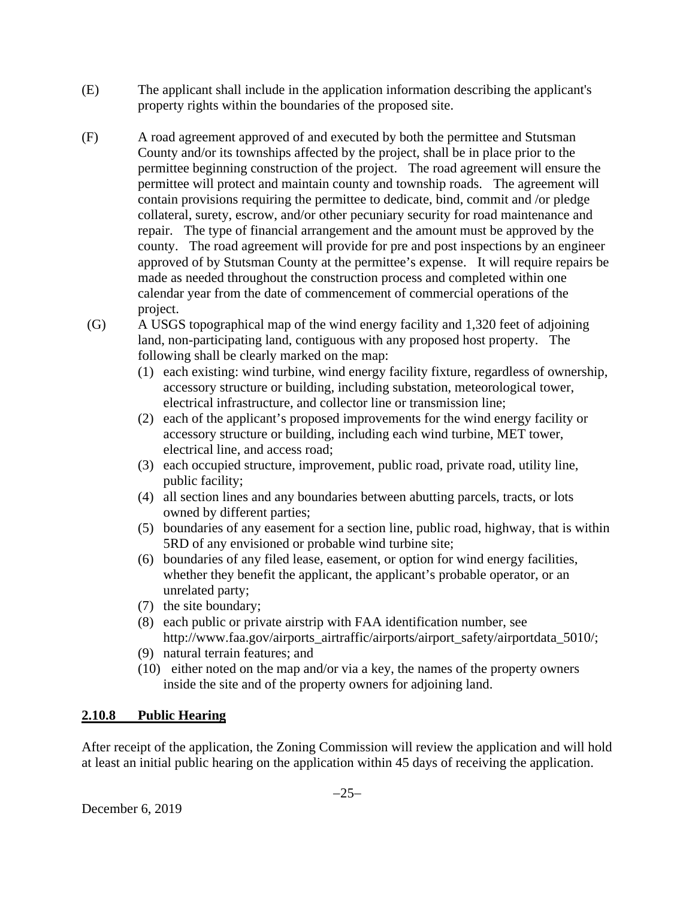- (E) The applicant shall include in the application information describing the applicant's property rights within the boundaries of the proposed site.
- (F) A road agreement approved of and executed by both the permittee and Stutsman County and/or its townships affected by the project, shall be in place prior to the permittee beginning construction of the project. The road agreement will ensure the permittee will protect and maintain county and township roads. The agreement will contain provisions requiring the permittee to dedicate, bind, commit and /or pledge collateral, surety, escrow, and/or other pecuniary security for road maintenance and repair. The type of financial arrangement and the amount must be approved by the county. The road agreement will provide for pre and post inspections by an engineer approved of by Stutsman County at the permittee's expense. It will require repairs be made as needed throughout the construction process and completed within one calendar year from the date of commencement of commercial operations of the project.
- (G) A USGS topographical map of the wind energy facility and 1,320 feet of adjoining land, non-participating land, contiguous with any proposed host property. The following shall be clearly marked on the map:
	- (1) each existing: wind turbine, wind energy facility fixture, regardless of ownership, accessory structure or building, including substation, meteorological tower, electrical infrastructure, and collector line or transmission line;
	- (2) each of the applicant's proposed improvements for the wind energy facility or accessory structure or building, including each wind turbine, MET tower, electrical line, and access road;
	- (3) each occupied structure, improvement, public road, private road, utility line, public facility;
	- (4) all section lines and any boundaries between abutting parcels, tracts, or lots owned by different parties;
	- (5) boundaries of any easement for a section line, public road, highway, that is within 5RD of any envisioned or probable wind turbine site;
	- (6) boundaries of any filed lease, easement, or option for wind energy facilities, whether they benefit the applicant, the applicant's probable operator, or an unrelated party;
	- (7) the site boundary;
	- (8) each public or private airstrip with FAA identification number, see http://www.faa.gov/airports\_airtraffic/airports/airport\_safety/airportdata\_5010/;
	- (9) natural terrain features; and
	- (10) either noted on the map and/or via a key, the names of the property owners inside the site and of the property owners for adjoining land.

## **2.10.8 Public Hearing**

After receipt of the application, the Zoning Commission will review the application and will hold at least an initial public hearing on the application within 45 days of receiving the application.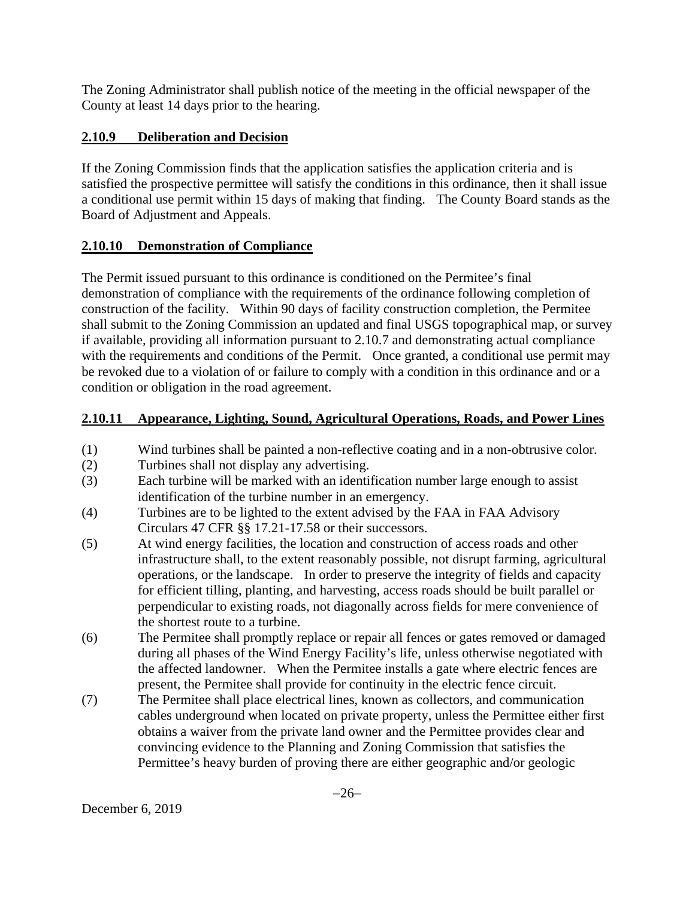The Zoning Administrator shall publish notice of the meeting in the official newspaper of the County at least 14 days prior to the hearing.

# **2.10.9 Deliberation and Decision**

If the Zoning Commission finds that the application satisfies the application criteria and is satisfied the prospective permittee will satisfy the conditions in this ordinance, then it shall issue a conditional use permit within 15 days of making that finding. The County Board stands as the Board of Adjustment and Appeals.

# **2.10.10 Demonstration of Compliance**

The Permit issued pursuant to this ordinance is conditioned on the Permitee's final demonstration of compliance with the requirements of the ordinance following completion of construction of the facility. Within 90 days of facility construction completion, the Permitee shall submit to the Zoning Commission an updated and final USGS topographical map, or survey if available, providing all information pursuant to 2.10.7 and demonstrating actual compliance with the requirements and conditions of the Permit. Once granted, a conditional use permit may be revoked due to a violation of or failure to comply with a condition in this ordinance and or a condition or obligation in the road agreement.

# **2.10.11 Appearance, Lighting, Sound, Agricultural Operations, Roads, and Power Lines**

- (1) Wind turbines shall be painted a non-reflective coating and in a non-obtrusive color.
- (2) Turbines shall not display any advertising.
- (3) Each turbine will be marked with an identification number large enough to assist identification of the turbine number in an emergency.
- (4) Turbines are to be lighted to the extent advised by the FAA in FAA Advisory Circulars 47 CFR §§ 17.21-17.58 or their successors.
- (5) At wind energy facilities, the location and construction of access roads and other infrastructure shall, to the extent reasonably possible, not disrupt farming, agricultural operations, or the landscape. In order to preserve the integrity of fields and capacity for efficient tilling, planting, and harvesting, access roads should be built parallel or perpendicular to existing roads, not diagonally across fields for mere convenience of the shortest route to a turbine.
- (6) The Permitee shall promptly replace or repair all fences or gates removed or damaged during all phases of the Wind Energy Facility's life, unless otherwise negotiated with the affected landowner. When the Permitee installs a gate where electric fences are present, the Permitee shall provide for continuity in the electric fence circuit.
- (7) The Permitee shall place electrical lines, known as collectors, and communication cables underground when located on private property, unless the Permittee either first obtains a waiver from the private land owner and the Permittee provides clear and convincing evidence to the Planning and Zoning Commission that satisfies the Permittee's heavy burden of proving there are either geographic and/or geologic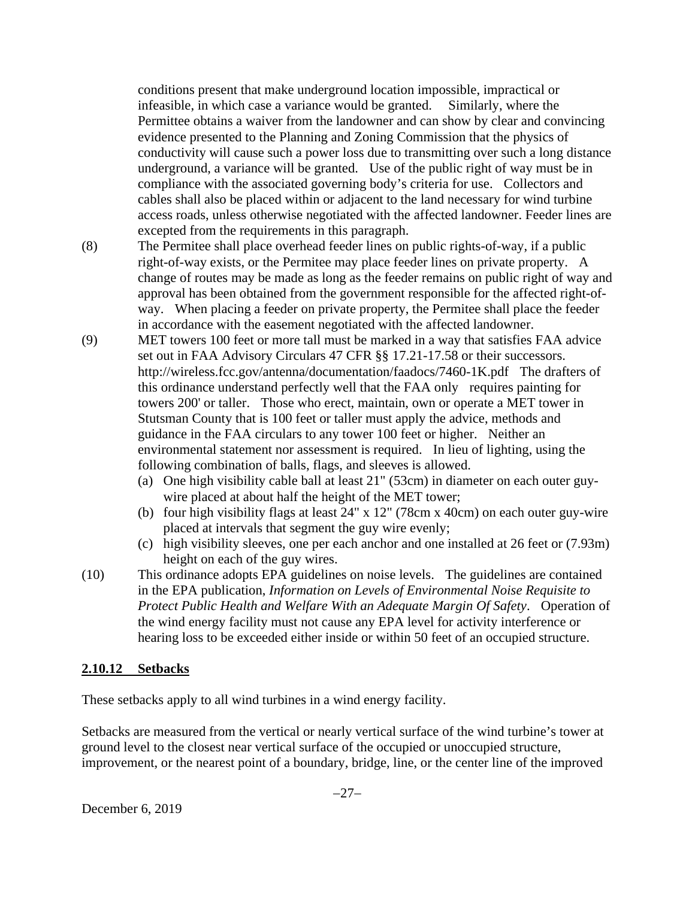conditions present that make underground location impossible, impractical or infeasible, in which case a variance would be granted. Similarly, where the Permittee obtains a waiver from the landowner and can show by clear and convincing evidence presented to the Planning and Zoning Commission that the physics of conductivity will cause such a power loss due to transmitting over such a long distance underground, a variance will be granted. Use of the public right of way must be in compliance with the associated governing body's criteria for use. Collectors and cables shall also be placed within or adjacent to the land necessary for wind turbine access roads, unless otherwise negotiated with the affected landowner. Feeder lines are excepted from the requirements in this paragraph.

- (8) The Permitee shall place overhead feeder lines on public rights-of-way, if a public right-of-way exists, or the Permitee may place feeder lines on private property. A change of routes may be made as long as the feeder remains on public right of way and approval has been obtained from the government responsible for the affected right-ofway. When placing a feeder on private property, the Permitee shall place the feeder in accordance with the easement negotiated with the affected landowner.
- (9) MET towers 100 feet or more tall must be marked in a way that satisfies FAA advice set out in FAA Advisory Circulars 47 CFR §§ 17.21-17.58 or their successors. http://wireless.fcc.gov/antenna/documentation/faadocs/7460-1K.pdf The drafters of this ordinance understand perfectly well that the FAA only requires painting for towers 200' or taller. Those who erect, maintain, own or operate a MET tower in Stutsman County that is 100 feet or taller must apply the advice, methods and guidance in the FAA circulars to any tower 100 feet or higher. Neither an environmental statement nor assessment is required. In lieu of lighting, using the following combination of balls, flags, and sleeves is allowed.
	- (a) One high visibility cable ball at least 21" (53cm) in diameter on each outer guywire placed at about half the height of the MET tower;
	- (b) four high visibility flags at least 24" x 12" (78cm x 40cm) on each outer guy-wire placed at intervals that segment the guy wire evenly;
	- (c) high visibility sleeves, one per each anchor and one installed at 26 feet or (7.93m) height on each of the guy wires.
- (10) This ordinance adopts EPA guidelines on noise levels. The guidelines are contained in the EPA publication, *Information on Levels of Environmental Noise Requisite to Protect Public Health and Welfare With an Adequate Margin Of Safety*. Operation of the wind energy facility must not cause any EPA level for activity interference or hearing loss to be exceeded either inside or within 50 feet of an occupied structure.

### **2.10.12 Setbacks**

These setbacks apply to all wind turbines in a wind energy facility.

Setbacks are measured from the vertical or nearly vertical surface of the wind turbine's tower at ground level to the closest near vertical surface of the occupied or unoccupied structure, improvement, or the nearest point of a boundary, bridge, line, or the center line of the improved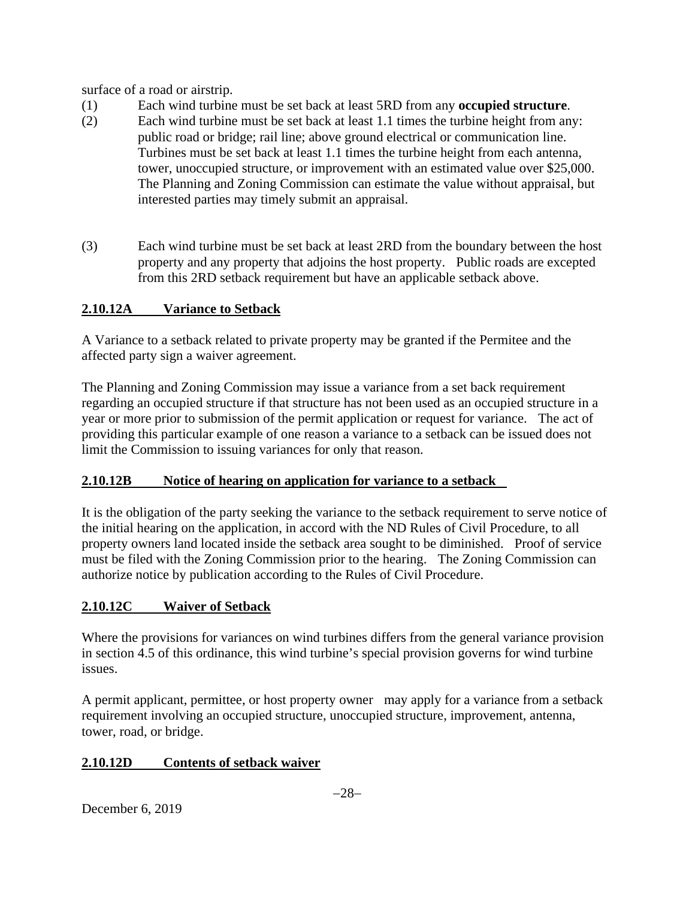surface of a road or airstrip.

- (1) Each wind turbine must be set back at least 5RD from any **occupied structure**.
- (2) Each wind turbine must be set back at least 1.1 times the turbine height from any: public road or bridge; rail line; above ground electrical or communication line. Turbines must be set back at least 1.1 times the turbine height from each antenna, tower, unoccupied structure, or improvement with an estimated value over \$25,000. The Planning and Zoning Commission can estimate the value without appraisal, but interested parties may timely submit an appraisal.
- (3) Each wind turbine must be set back at least 2RD from the boundary between the host property and any property that adjoins the host property. Public roads are excepted from this 2RD setback requirement but have an applicable setback above.

# **2.10.12A Variance to Setback**

A Variance to a setback related to private property may be granted if the Permitee and the affected party sign a waiver agreement.

The Planning and Zoning Commission may issue a variance from a set back requirement regarding an occupied structure if that structure has not been used as an occupied structure in a year or more prior to submission of the permit application or request for variance. The act of providing this particular example of one reason a variance to a setback can be issued does not limit the Commission to issuing variances for only that reason.

# **2.10.12B Notice of hearing on application for variance to a setback**

It is the obligation of the party seeking the variance to the setback requirement to serve notice of the initial hearing on the application, in accord with the ND Rules of Civil Procedure, to all property owners land located inside the setback area sought to be diminished. Proof of service must be filed with the Zoning Commission prior to the hearing. The Zoning Commission can authorize notice by publication according to the Rules of Civil Procedure.

# **2.10.12C Waiver of Setback**

Where the provisions for variances on wind turbines differs from the general variance provision in section 4.5 of this ordinance, this wind turbine's special provision governs for wind turbine issues.

A permit applicant, permittee, or host property owner may apply for a variance from a setback requirement involving an occupied structure, unoccupied structure, improvement, antenna, tower, road, or bridge.

# **2.10.12D Contents of setback waiver**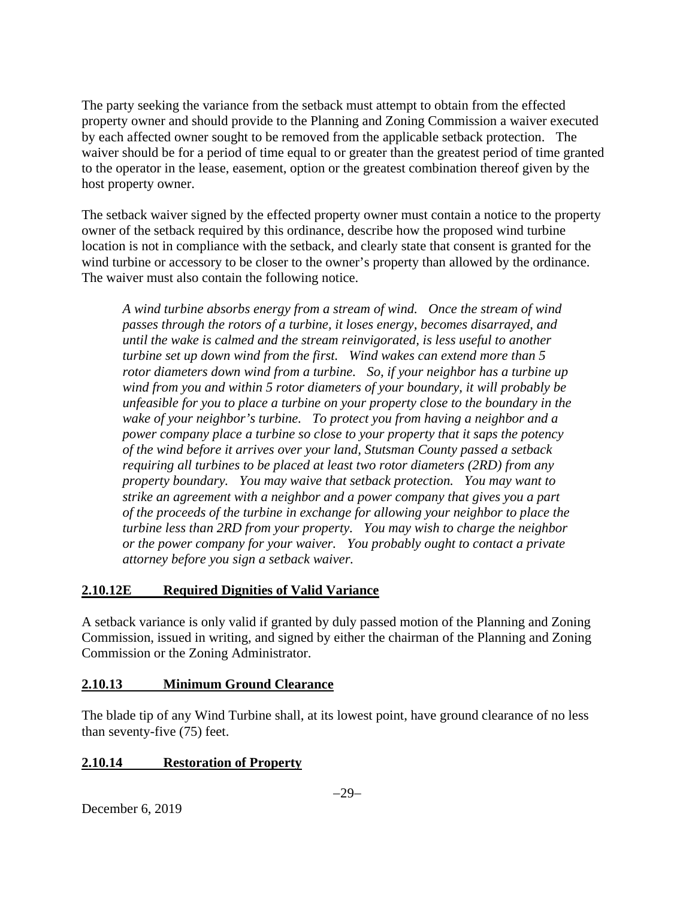The party seeking the variance from the setback must attempt to obtain from the effected property owner and should provide to the Planning and Zoning Commission a waiver executed by each affected owner sought to be removed from the applicable setback protection. The waiver should be for a period of time equal to or greater than the greatest period of time granted to the operator in the lease, easement, option or the greatest combination thereof given by the host property owner.

The setback waiver signed by the effected property owner must contain a notice to the property owner of the setback required by this ordinance, describe how the proposed wind turbine location is not in compliance with the setback, and clearly state that consent is granted for the wind turbine or accessory to be closer to the owner's property than allowed by the ordinance. The waiver must also contain the following notice.

*A wind turbine absorbs energy from a stream of wind. Once the stream of wind passes through the rotors of a turbine, it loses energy, becomes disarrayed, and until the wake is calmed and the stream reinvigorated, is less useful to another turbine set up down wind from the first. Wind wakes can extend more than 5 rotor diameters down wind from a turbine. So, if your neighbor has a turbine up wind from you and within 5 rotor diameters of your boundary, it will probably be unfeasible for you to place a turbine on your property close to the boundary in the wake of your neighbor's turbine. To protect you from having a neighbor and a power company place a turbine so close to your property that it saps the potency of the wind before it arrives over your land, Stutsman County passed a setback requiring all turbines to be placed at least two rotor diameters (2RD) from any property boundary. You may waive that setback protection. You may want to strike an agreement with a neighbor and a power company that gives you a part of the proceeds of the turbine in exchange for allowing your neighbor to place the turbine less than 2RD from your property. You may wish to charge the neighbor or the power company for your waiver. You probably ought to contact a private attorney before you sign a setback waiver.* 

## **2.10.12E Required Dignities of Valid Variance**

A setback variance is only valid if granted by duly passed motion of the Planning and Zoning Commission, issued in writing, and signed by either the chairman of the Planning and Zoning Commission or the Zoning Administrator.

### **2.10.13 Minimum Ground Clearance**

The blade tip of any Wind Turbine shall, at its lowest point, have ground clearance of no less than seventy-five (75) feet.

### **2.10.14 Restoration of Property**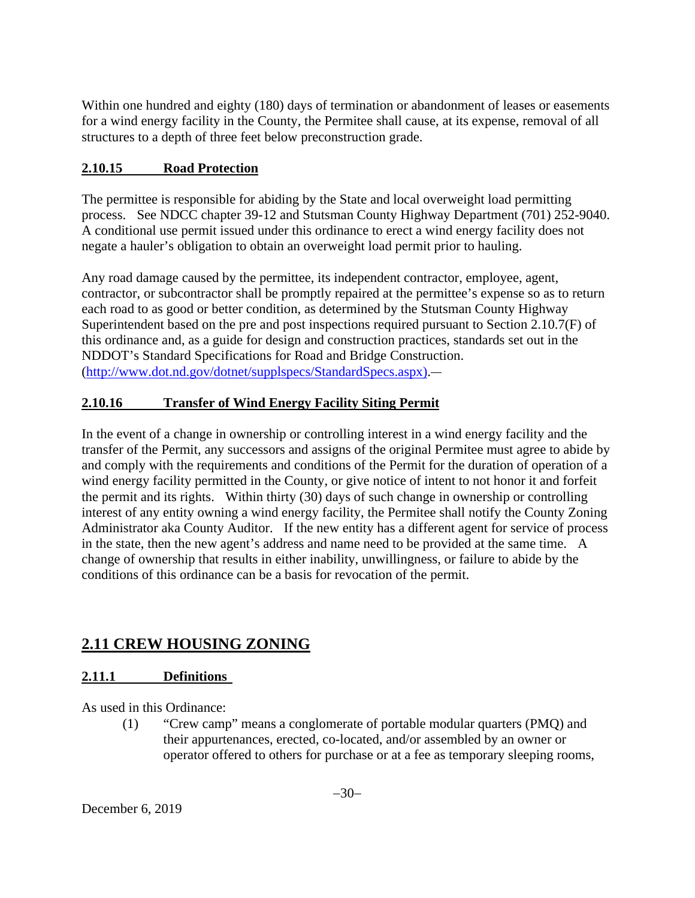Within one hundred and eighty (180) days of termination or abandonment of leases or easements for a wind energy facility in the County, the Permitee shall cause, at its expense, removal of all structures to a depth of three feet below preconstruction grade.

## **2.10.15 Road Protection**

The permittee is responsible for abiding by the State and local overweight load permitting process. See NDCC chapter 39-12 and Stutsman County Highway Department (701) 252-9040. A conditional use permit issued under this ordinance to erect a wind energy facility does not negate a hauler's obligation to obtain an overweight load permit prior to hauling.

Any road damage caused by the permittee, its independent contractor, employee, agent, contractor, or subcontractor shall be promptly repaired at the permittee's expense so as to return each road to as good or better condition, as determined by the Stutsman County Highway Superintendent based on the pre and post inspections required pursuant to Section 2.10.7(F) of this ordinance and, as a guide for design and construction practices, standards set out in the NDDOT's Standard Specifications for Road and Bridge Construction. [\(http://www.dot.nd.gov/dotnet/supplspecs/StandardSpecs.aspx\)](http://www.dot.nd.gov/dotnet/supplspecs/StandardSpecs.aspx).

## **2.10.16 Transfer of Wind Energy Facility Siting Permit**

In the event of a change in ownership or controlling interest in a wind energy facility and the transfer of the Permit, any successors and assigns of the original Permitee must agree to abide by and comply with the requirements and conditions of the Permit for the duration of operation of a wind energy facility permitted in the County, or give notice of intent to not honor it and forfeit the permit and its rights. Within thirty (30) days of such change in ownership or controlling interest of any entity owning a wind energy facility, the Permitee shall notify the County Zoning Administrator aka County Auditor. If the new entity has a different agent for service of process in the state, then the new agent's address and name need to be provided at the same time. A change of ownership that results in either inability, unwillingness, or failure to abide by the conditions of this ordinance can be a basis for revocation of the permit.

# **2.11 CREW HOUSING ZONING**

# **2.11.1 Definitions**

As used in this Ordinance:

(1) "Crew camp" means a conglomerate of portable modular quarters (PMQ) and their appurtenances, erected, co-located, and/or assembled by an owner or operator offered to others for purchase or at a fee as temporary sleeping rooms,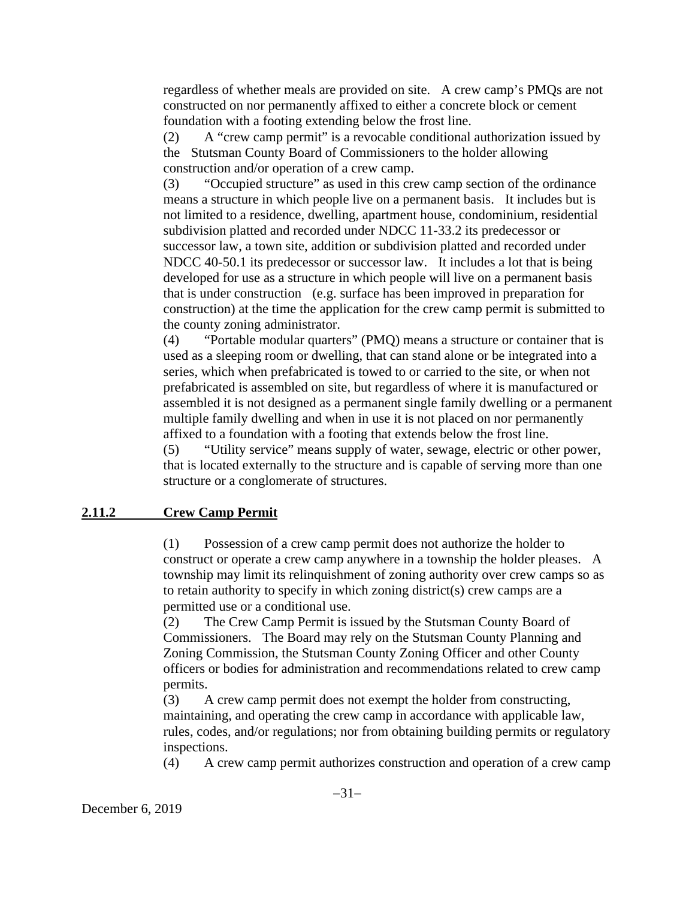regardless of whether meals are provided on site. A crew camp's PMQs are not constructed on nor permanently affixed to either a concrete block or cement foundation with a footing extending below the frost line.

(2) A "crew camp permit" is a revocable conditional authorization issued by the Stutsman County Board of Commissioners to the holder allowing construction and/or operation of a crew camp.

(3) "Occupied structure" as used in this crew camp section of the ordinance means a structure in which people live on a permanent basis. It includes but is not limited to a residence, dwelling, apartment house, condominium, residential subdivision platted and recorded under NDCC 11-33.2 its predecessor or successor law, a town site, addition or subdivision platted and recorded under NDCC 40-50.1 its predecessor or successor law. It includes a lot that is being developed for use as a structure in which people will live on a permanent basis that is under construction (e.g. surface has been improved in preparation for construction) at the time the application for the crew camp permit is submitted to the county zoning administrator.

(4) "Portable modular quarters" (PMQ) means a structure or container that is used as a sleeping room or dwelling, that can stand alone or be integrated into a series, which when prefabricated is towed to or carried to the site, or when not prefabricated is assembled on site, but regardless of where it is manufactured or assembled it is not designed as a permanent single family dwelling or a permanent multiple family dwelling and when in use it is not placed on nor permanently affixed to a foundation with a footing that extends below the frost line.

(5) "Utility service" means supply of water, sewage, electric or other power, that is located externally to the structure and is capable of serving more than one structure or a conglomerate of structures.

#### **2.11.2 Crew Camp Permit**

(1) Possession of a crew camp permit does not authorize the holder to construct or operate a crew camp anywhere in a township the holder pleases. A township may limit its relinquishment of zoning authority over crew camps so as to retain authority to specify in which zoning district(s) crew camps are a permitted use or a conditional use.

(2) The Crew Camp Permit is issued by the Stutsman County Board of Commissioners. The Board may rely on the Stutsman County Planning and Zoning Commission, the Stutsman County Zoning Officer and other County officers or bodies for administration and recommendations related to crew camp permits.

(3) A crew camp permit does not exempt the holder from constructing, maintaining, and operating the crew camp in accordance with applicable law, rules, codes, and/or regulations; nor from obtaining building permits or regulatory inspections.

(4) A crew camp permit authorizes construction and operation of a crew camp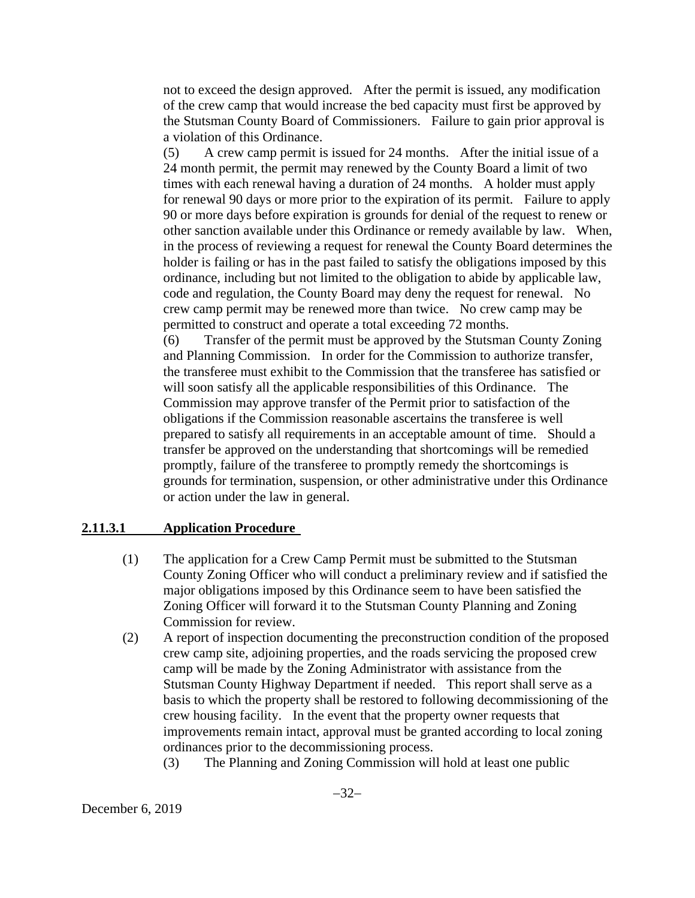not to exceed the design approved. After the permit is issued, any modification of the crew camp that would increase the bed capacity must first be approved by the Stutsman County Board of Commissioners. Failure to gain prior approval is a violation of this Ordinance.

(5) A crew camp permit is issued for 24 months. After the initial issue of a 24 month permit, the permit may renewed by the County Board a limit of two times with each renewal having a duration of 24 months. A holder must apply for renewal 90 days or more prior to the expiration of its permit. Failure to apply 90 or more days before expiration is grounds for denial of the request to renew or other sanction available under this Ordinance or remedy available by law. When, in the process of reviewing a request for renewal the County Board determines the holder is failing or has in the past failed to satisfy the obligations imposed by this ordinance, including but not limited to the obligation to abide by applicable law, code and regulation, the County Board may deny the request for renewal. No crew camp permit may be renewed more than twice. No crew camp may be permitted to construct and operate a total exceeding 72 months.

(6) Transfer of the permit must be approved by the Stutsman County Zoning and Planning Commission. In order for the Commission to authorize transfer, the transferee must exhibit to the Commission that the transferee has satisfied or will soon satisfy all the applicable responsibilities of this Ordinance. The Commission may approve transfer of the Permit prior to satisfaction of the obligations if the Commission reasonable ascertains the transferee is well prepared to satisfy all requirements in an acceptable amount of time. Should a transfer be approved on the understanding that shortcomings will be remedied promptly, failure of the transferee to promptly remedy the shortcomings is grounds for termination, suspension, or other administrative under this Ordinance or action under the law in general.

#### **2.11.3.1 Application Procedure**

- (1) The application for a Crew Camp Permit must be submitted to the Stutsman County Zoning Officer who will conduct a preliminary review and if satisfied the major obligations imposed by this Ordinance seem to have been satisfied the Zoning Officer will forward it to the Stutsman County Planning and Zoning Commission for review.
- (2) A report of inspection documenting the preconstruction condition of the proposed crew camp site, adjoining properties, and the roads servicing the proposed crew camp will be made by the Zoning Administrator with assistance from the Stutsman County Highway Department if needed. This report shall serve as a basis to which the property shall be restored to following decommissioning of the crew housing facility. In the event that the property owner requests that improvements remain intact, approval must be granted according to local zoning ordinances prior to the decommissioning process.
	- (3) The Planning and Zoning Commission will hold at least one public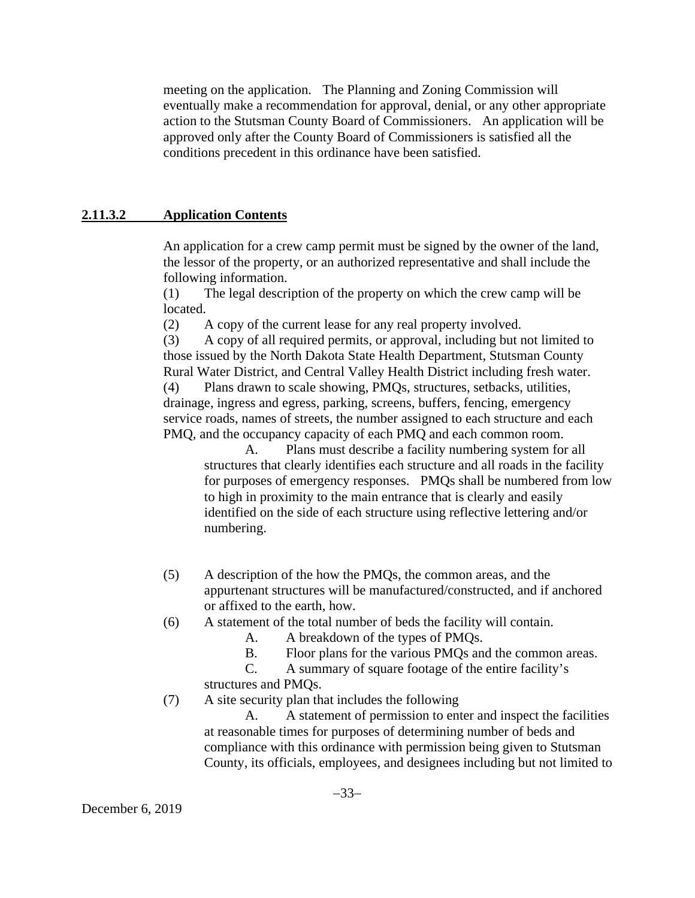meeting on the application. The Planning and Zoning Commission will eventually make a recommendation for approval, denial, or any other appropriate action to the Stutsman County Board of Commissioners. An application will be approved only after the County Board of Commissioners is satisfied all the conditions precedent in this ordinance have been satisfied.

#### **2.11.3.2 Application Contents**

An application for a crew camp permit must be signed by the owner of the land, the lessor of the property, or an authorized representative and shall include the following information.

(1) The legal description of the property on which the crew camp will be located.

(2) A copy of the current lease for any real property involved.

(3) A copy of all required permits, or approval, including but not limited to those issued by the North Dakota State Health Department, Stutsman County Rural Water District, and Central Valley Health District including fresh water. (4) Plans drawn to scale showing, PMQs, structures, setbacks, utilities, drainage, ingress and egress, parking, screens, buffers, fencing, emergency service roads, names of streets, the number assigned to each structure and each PMQ, and the occupancy capacity of each PMQ and each common room.

A. Plans must describe a facility numbering system for all structures that clearly identifies each structure and all roads in the facility for purposes of emergency responses. PMQs shall be numbered from low to high in proximity to the main entrance that is clearly and easily identified on the side of each structure using reflective lettering and/or numbering.

- (5) A description of the how the PMQs, the common areas, and the appurtenant structures will be manufactured/constructed, and if anchored or affixed to the earth, how.
- (6) A statement of the total number of beds the facility will contain.
	- A. A breakdown of the types of PMQs.
	- B. Floor plans for the various PMQs and the common areas.

C. A summary of square footage of the entire facility's structures and PMQs.

(7) A site security plan that includes the following

A. A statement of permission to enter and inspect the facilities at reasonable times for purposes of determining number of beds and compliance with this ordinance with permission being given to Stutsman County, its officials, employees, and designees including but not limited to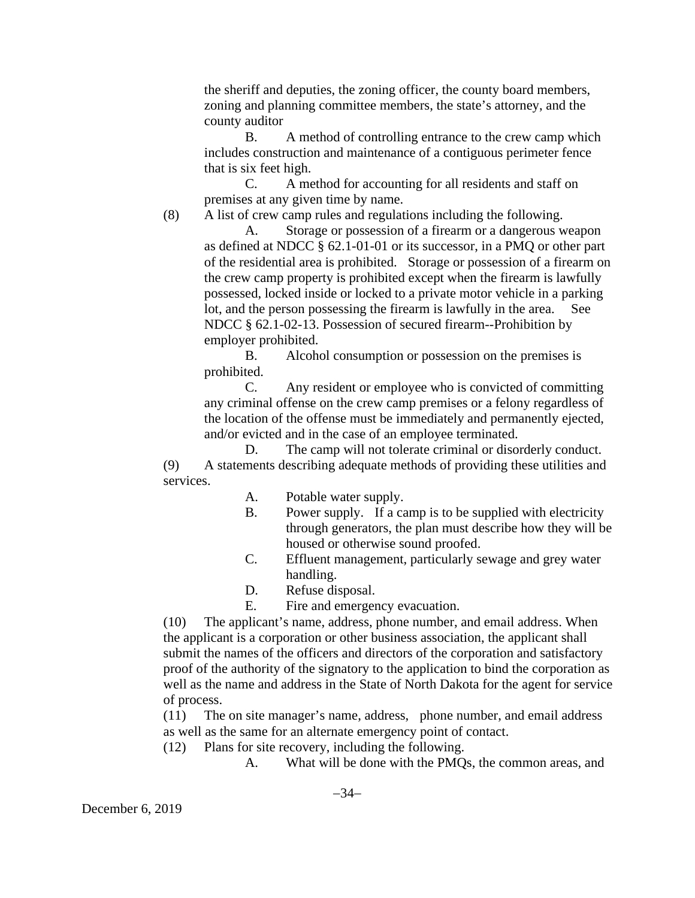the sheriff and deputies, the zoning officer, the county board members, zoning and planning committee members, the state's attorney, and the county auditor

B. A method of controlling entrance to the crew camp which includes construction and maintenance of a contiguous perimeter fence that is six feet high.

C. A method for accounting for all residents and staff on premises at any given time by name.

(8) A list of crew camp rules and regulations including the following.

A. Storage or possession of a firearm or a dangerous weapon as defined at NDCC § 62.1-01-01 or its successor, in a PMQ or other part of the residential area is prohibited. Storage or possession of a firearm on the crew camp property is prohibited except when the firearm is lawfully possessed, locked inside or locked to a private motor vehicle in a parking lot, and the person possessing the firearm is lawfully in the area. See NDCC § 62.1-02-13. Possession of secured firearm--Prohibition by employer prohibited.

B. Alcohol consumption or possession on the premises is prohibited.

C. Any resident or employee who is convicted of committing any criminal offense on the crew camp premises or a felony regardless of the location of the offense must be immediately and permanently ejected, and/or evicted and in the case of an employee terminated.

D. The camp will not tolerate criminal or disorderly conduct. (9) A statements describing adequate methods of providing these utilities and services.

- A. Potable water supply.
- B. Power supply. If a camp is to be supplied with electricity through generators, the plan must describe how they will be housed or otherwise sound proofed.
- C. Effluent management, particularly sewage and grey water handling.
- D. Refuse disposal.
- E. Fire and emergency evacuation.

(10) The applicant's name, address, phone number, and email address. When the applicant is a corporation or other business association, the applicant shall submit the names of the officers and directors of the corporation and satisfactory proof of the authority of the signatory to the application to bind the corporation as well as the name and address in the State of North Dakota for the agent for service of process.

(11) The on site manager's name, address, phone number, and email address as well as the same for an alternate emergency point of contact.

- (12) Plans for site recovery, including the following.
	- A. What will be done with the PMQs, the common areas, and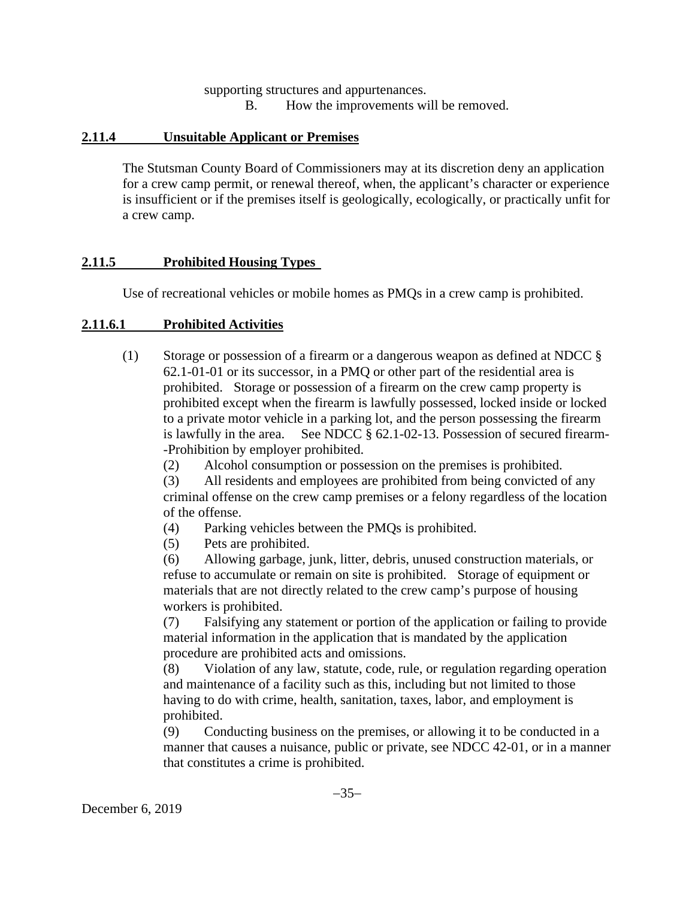supporting structures and appurtenances. B. How the improvements will be removed.

#### **2.11.4 Unsuitable Applicant or Premises**

The Stutsman County Board of Commissioners may at its discretion deny an application for a crew camp permit, or renewal thereof, when, the applicant's character or experience is insufficient or if the premises itself is geologically, ecologically, or practically unfit for a crew camp.

### **2.11.5 Prohibited Housing Types**

Use of recreational vehicles or mobile homes as PMQs in a crew camp is prohibited.

### **2.11.6.1 Prohibited Activities**

(1) Storage or possession of a firearm or a dangerous weapon as defined at NDCC § 62.1-01-01 or its successor, in a PMQ or other part of the residential area is prohibited. Storage or possession of a firearm on the crew camp property is prohibited except when the firearm is lawfully possessed, locked inside or locked to a private motor vehicle in a parking lot, and the person possessing the firearm is lawfully in the area. See NDCC § 62.1-02-13. Possession of secured firearm- -Prohibition by employer prohibited.

(2) Alcohol consumption or possession on the premises is prohibited.

(3) All residents and employees are prohibited from being convicted of any criminal offense on the crew camp premises or a felony regardless of the location of the offense.

- (4) Parking vehicles between the PMQs is prohibited.
- (5) Pets are prohibited.

(6) Allowing garbage, junk, litter, debris, unused construction materials, or refuse to accumulate or remain on site is prohibited. Storage of equipment or materials that are not directly related to the crew camp's purpose of housing workers is prohibited.

(7) Falsifying any statement or portion of the application or failing to provide material information in the application that is mandated by the application procedure are prohibited acts and omissions.

(8) Violation of any law, statute, code, rule, or regulation regarding operation and maintenance of a facility such as this, including but not limited to those having to do with crime, health, sanitation, taxes, labor, and employment is prohibited.

(9) Conducting business on the premises, or allowing it to be conducted in a manner that causes a nuisance, public or private, see NDCC 42-01, or in a manner that constitutes a crime is prohibited.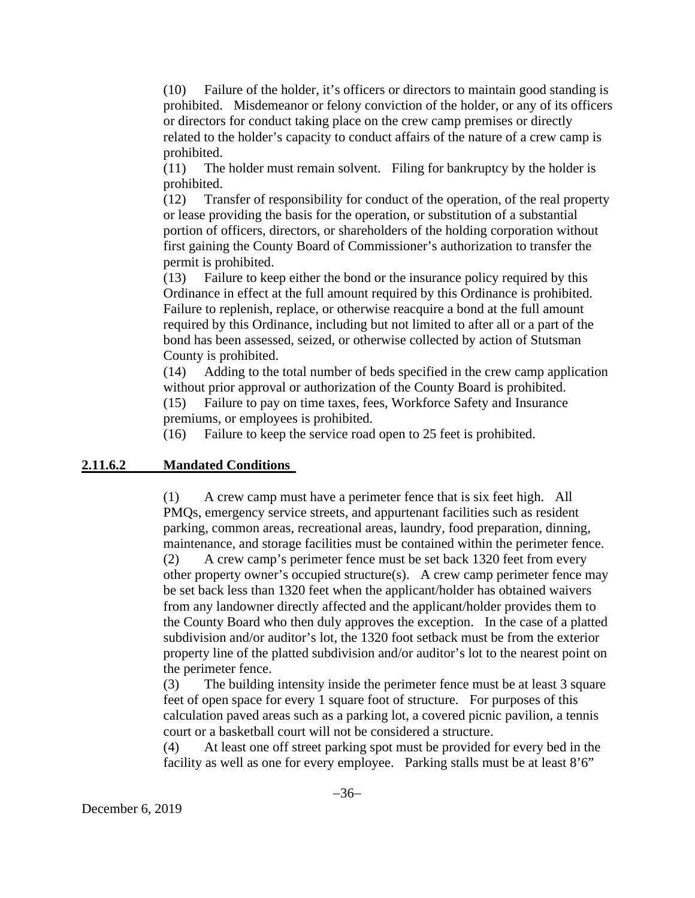(10) Failure of the holder, it's officers or directors to maintain good standing is prohibited. Misdemeanor or felony conviction of the holder, or any of its officers or directors for conduct taking place on the crew camp premises or directly related to the holder's capacity to conduct affairs of the nature of a crew camp is prohibited.

(11) The holder must remain solvent. Filing for bankruptcy by the holder is prohibited.

(12) Transfer of responsibility for conduct of the operation, of the real property or lease providing the basis for the operation, or substitution of a substantial portion of officers, directors, or shareholders of the holding corporation without first gaining the County Board of Commissioner's authorization to transfer the permit is prohibited.

(13) Failure to keep either the bond or the insurance policy required by this Ordinance in effect at the full amount required by this Ordinance is prohibited. Failure to replenish, replace, or otherwise reacquire a bond at the full amount required by this Ordinance, including but not limited to after all or a part of the bond has been assessed, seized, or otherwise collected by action of Stutsman County is prohibited.

(14) Adding to the total number of beds specified in the crew camp application without prior approval or authorization of the County Board is prohibited.

(15) Failure to pay on time taxes, fees, Workforce Safety and Insurance premiums, or employees is prohibited.

(16) Failure to keep the service road open to 25 feet is prohibited.

#### **2.11.6.2 Mandated Conditions**

(1) A crew camp must have a perimeter fence that is six feet high. All PMQs, emergency service streets, and appurtenant facilities such as resident parking, common areas, recreational areas, laundry, food preparation, dinning, maintenance, and storage facilities must be contained within the perimeter fence.

(2) A crew camp's perimeter fence must be set back 1320 feet from every other property owner's occupied structure(s). A crew camp perimeter fence may be set back less than 1320 feet when the applicant/holder has obtained waivers from any landowner directly affected and the applicant/holder provides them to the County Board who then duly approves the exception. In the case of a platted subdivision and/or auditor's lot, the 1320 foot setback must be from the exterior property line of the platted subdivision and/or auditor's lot to the nearest point on the perimeter fence.

(3) The building intensity inside the perimeter fence must be at least 3 square feet of open space for every 1 square foot of structure. For purposes of this calculation paved areas such as a parking lot, a covered picnic pavilion, a tennis court or a basketball court will not be considered a structure.

(4) At least one off street parking spot must be provided for every bed in the facility as well as one for every employee. Parking stalls must be at least 8'6"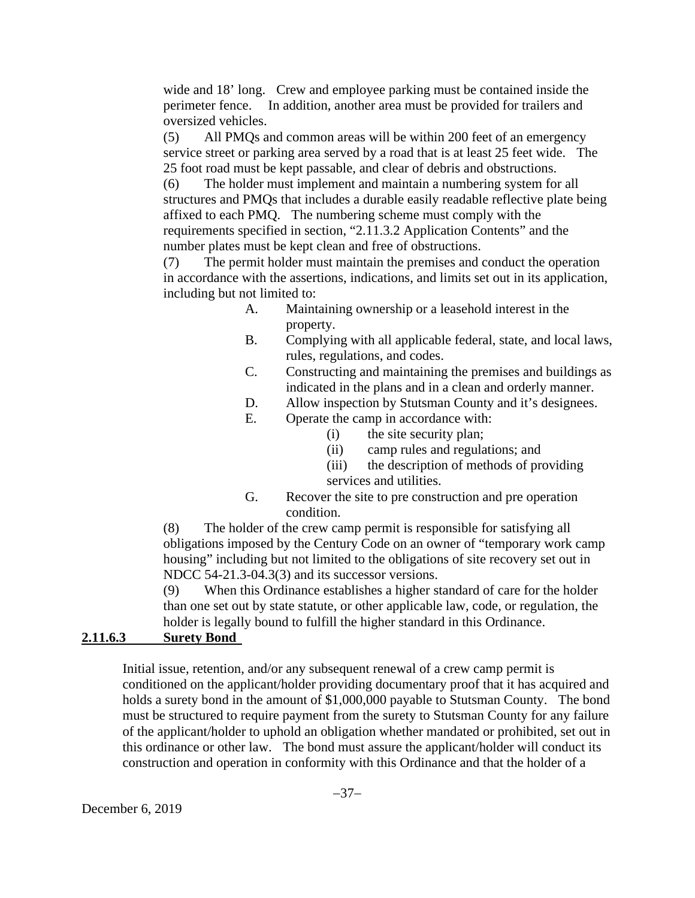wide and 18' long. Crew and employee parking must be contained inside the perimeter fence. In addition, another area must be provided for trailers and oversized vehicles.

(5) All PMQs and common areas will be within 200 feet of an emergency service street or parking area served by a road that is at least 25 feet wide. The 25 foot road must be kept passable, and clear of debris and obstructions.

(6) The holder must implement and maintain a numbering system for all structures and PMQs that includes a durable easily readable reflective plate being affixed to each PMQ. The numbering scheme must comply with the requirements specified in section, "2.11.3.2 Application Contents" and the number plates must be kept clean and free of obstructions.

(7) The permit holder must maintain the premises and conduct the operation in accordance with the assertions, indications, and limits set out in its application, including but not limited to:

- A. Maintaining ownership or a leasehold interest in the property.
- B. Complying with all applicable federal, state, and local laws, rules, regulations, and codes.
- C. Constructing and maintaining the premises and buildings as indicated in the plans and in a clean and orderly manner.
- D. Allow inspection by Stutsman County and it's designees.
- E. Operate the camp in accordance with:
	- (i) the site security plan;
	- (ii) camp rules and regulations; and
	- (iii) the description of methods of providing services and utilities.
- G. Recover the site to pre construction and pre operation condition.

(8) The holder of the crew camp permit is responsible for satisfying all obligations imposed by the Century Code on an owner of "temporary work camp housing" including but not limited to the obligations of site recovery set out in NDCC 54-21.3-04.3(3) and its successor versions.

(9) When this Ordinance establishes a higher standard of care for the holder than one set out by state statute, or other applicable law, code, or regulation, the holder is legally bound to fulfill the higher standard in this Ordinance.

## **2.11.6.3 Surety Bond**

Initial issue, retention, and/or any subsequent renewal of a crew camp permit is conditioned on the applicant/holder providing documentary proof that it has acquired and holds a surety bond in the amount of \$1,000,000 payable to Stutsman County. The bond must be structured to require payment from the surety to Stutsman County for any failure of the applicant/holder to uphold an obligation whether mandated or prohibited, set out in this ordinance or other law. The bond must assure the applicant/holder will conduct its construction and operation in conformity with this Ordinance and that the holder of a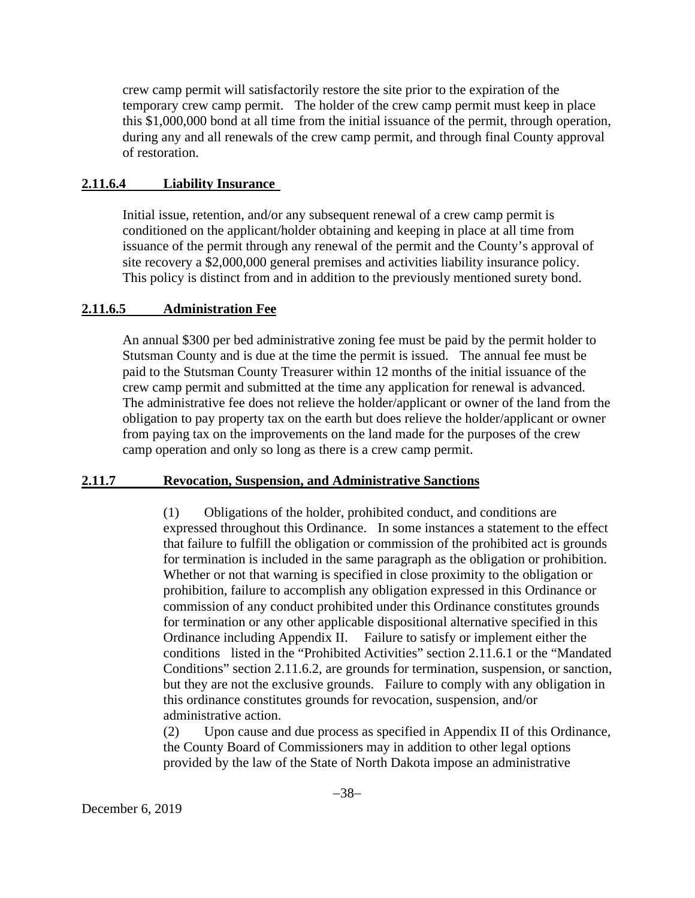crew camp permit will satisfactorily restore the site prior to the expiration of the temporary crew camp permit. The holder of the crew camp permit must keep in place this \$1,000,000 bond at all time from the initial issuance of the permit, through operation, during any and all renewals of the crew camp permit, and through final County approval of restoration.

#### **2.11.6.4 Liability Insurance**

Initial issue, retention, and/or any subsequent renewal of a crew camp permit is conditioned on the applicant/holder obtaining and keeping in place at all time from issuance of the permit through any renewal of the permit and the County's approval of site recovery a \$2,000,000 general premises and activities liability insurance policy. This policy is distinct from and in addition to the previously mentioned surety bond.

#### **2.11.6.5 Administration Fee**

An annual \$300 per bed administrative zoning fee must be paid by the permit holder to Stutsman County and is due at the time the permit is issued. The annual fee must be paid to the Stutsman County Treasurer within 12 months of the initial issuance of the crew camp permit and submitted at the time any application for renewal is advanced. The administrative fee does not relieve the holder/applicant or owner of the land from the obligation to pay property tax on the earth but does relieve the holder/applicant or owner from paying tax on the improvements on the land made for the purposes of the crew camp operation and only so long as there is a crew camp permit.

#### **2.11.7 Revocation, Suspension, and Administrative Sanctions**

(1) Obligations of the holder, prohibited conduct, and conditions are expressed throughout this Ordinance. In some instances a statement to the effect that failure to fulfill the obligation or commission of the prohibited act is grounds for termination is included in the same paragraph as the obligation or prohibition. Whether or not that warning is specified in close proximity to the obligation or prohibition, failure to accomplish any obligation expressed in this Ordinance or commission of any conduct prohibited under this Ordinance constitutes grounds for termination or any other applicable dispositional alternative specified in this Ordinance including Appendix II. Failure to satisfy or implement either the conditions listed in the "Prohibited Activities" section 2.11.6.1 or the "Mandated Conditions" section 2.11.6.2, are grounds for termination, suspension, or sanction, but they are not the exclusive grounds. Failure to comply with any obligation in this ordinance constitutes grounds for revocation, suspension, and/or administrative action.

(2) Upon cause and due process as specified in Appendix II of this Ordinance, the County Board of Commissioners may in addition to other legal options provided by the law of the State of North Dakota impose an administrative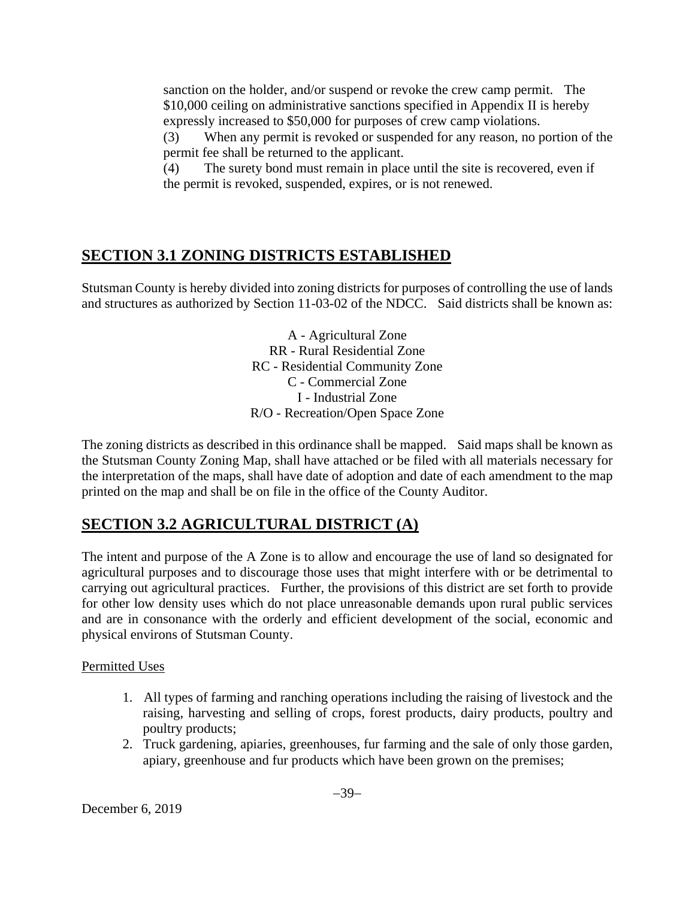sanction on the holder, and/or suspend or revoke the crew camp permit. The \$10,000 ceiling on administrative sanctions specified in Appendix II is hereby expressly increased to \$50,000 for purposes of crew camp violations.

(3) When any permit is revoked or suspended for any reason, no portion of the permit fee shall be returned to the applicant.

(4) The surety bond must remain in place until the site is recovered, even if the permit is revoked, suspended, expires, or is not renewed.

# **SECTION 3.1 ZONING DISTRICTS ESTABLISHED**

Stutsman County is hereby divided into zoning districts for purposes of controlling the use of lands and structures as authorized by Section 11-03-02 of the NDCC. Said districts shall be known as:

> A - Agricultural Zone RR - Rural Residential Zone RC - Residential Community Zone C - Commercial Zone I - Industrial Zone R/O - Recreation/Open Space Zone

The zoning districts as described in this ordinance shall be mapped. Said maps shall be known as the Stutsman County Zoning Map, shall have attached or be filed with all materials necessary for the interpretation of the maps, shall have date of adoption and date of each amendment to the map printed on the map and shall be on file in the office of the County Auditor.

# **SECTION 3.2 AGRICULTURAL DISTRICT (A)**

The intent and purpose of the A Zone is to allow and encourage the use of land so designated for agricultural purposes and to discourage those uses that might interfere with or be detrimental to carrying out agricultural practices. Further, the provisions of this district are set forth to provide for other low density uses which do not place unreasonable demands upon rural public services and are in consonance with the orderly and efficient development of the social, economic and physical environs of Stutsman County.

Permitted Uses

- 1. All types of farming and ranching operations including the raising of livestock and the raising, harvesting and selling of crops, forest products, dairy products, poultry and poultry products;
- 2. Truck gardening, apiaries, greenhouses, fur farming and the sale of only those garden, apiary, greenhouse and fur products which have been grown on the premises;

December 6, 2019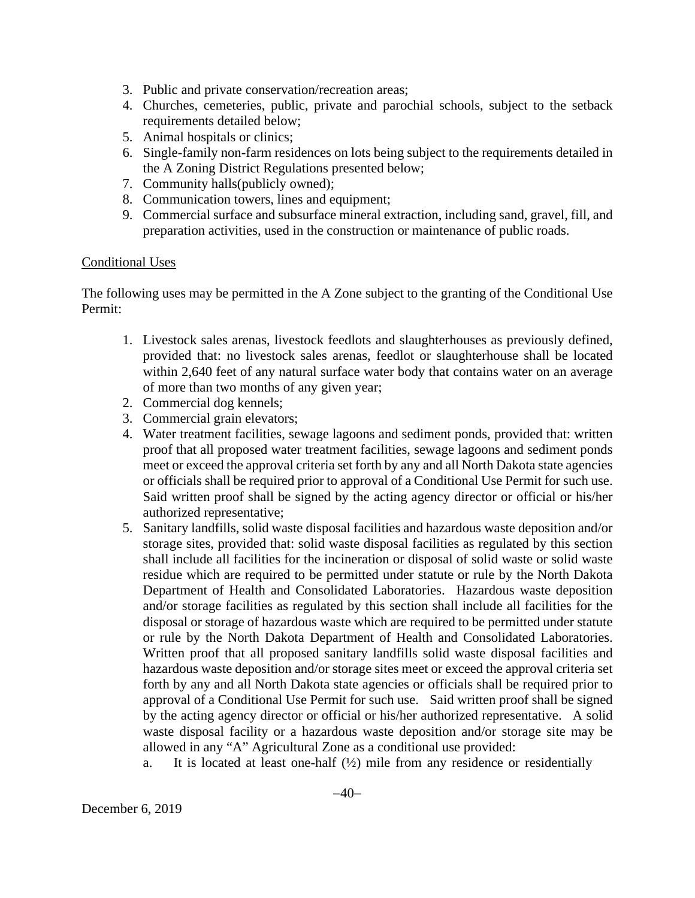- 3. Public and private conservation/recreation areas;
- 4. Churches, cemeteries, public, private and parochial schools, subject to the setback requirements detailed below;
- 5. Animal hospitals or clinics;
- 6. Single-family non-farm residences on lots being subject to the requirements detailed in the A Zoning District Regulations presented below;
- 7. Community halls(publicly owned);
- 8. Communication towers, lines and equipment;
- 9. Commercial surface and subsurface mineral extraction, including sand, gravel, fill, and preparation activities, used in the construction or maintenance of public roads.

#### Conditional Uses

The following uses may be permitted in the A Zone subject to the granting of the Conditional Use Permit:

- 1. Livestock sales arenas, livestock feedlots and slaughterhouses as previously defined, provided that: no livestock sales arenas, feedlot or slaughterhouse shall be located within 2,640 feet of any natural surface water body that contains water on an average of more than two months of any given year;
- 2. Commercial dog kennels;
- 3. Commercial grain elevators;
- 4. Water treatment facilities, sewage lagoons and sediment ponds, provided that: written proof that all proposed water treatment facilities, sewage lagoons and sediment ponds meet or exceed the approval criteria set forth by any and all North Dakota state agencies or officials shall be required prior to approval of a Conditional Use Permit for such use. Said written proof shall be signed by the acting agency director or official or his/her authorized representative;
- 5. Sanitary landfills, solid waste disposal facilities and hazardous waste deposition and/or storage sites, provided that: solid waste disposal facilities as regulated by this section shall include all facilities for the incineration or disposal of solid waste or solid waste residue which are required to be permitted under statute or rule by the North Dakota Department of Health and Consolidated Laboratories. Hazardous waste deposition and/or storage facilities as regulated by this section shall include all facilities for the disposal or storage of hazardous waste which are required to be permitted under statute or rule by the North Dakota Department of Health and Consolidated Laboratories. Written proof that all proposed sanitary landfills solid waste disposal facilities and hazardous waste deposition and/or storage sites meet or exceed the approval criteria set forth by any and all North Dakota state agencies or officials shall be required prior to approval of a Conditional Use Permit for such use. Said written proof shall be signed by the acting agency director or official or his/her authorized representative. A solid waste disposal facility or a hazardous waste deposition and/or storage site may be allowed in any "A" Agricultural Zone as a conditional use provided:
	- a. It is located at least one-half  $(\frac{1}{2})$  mile from any residence or residentially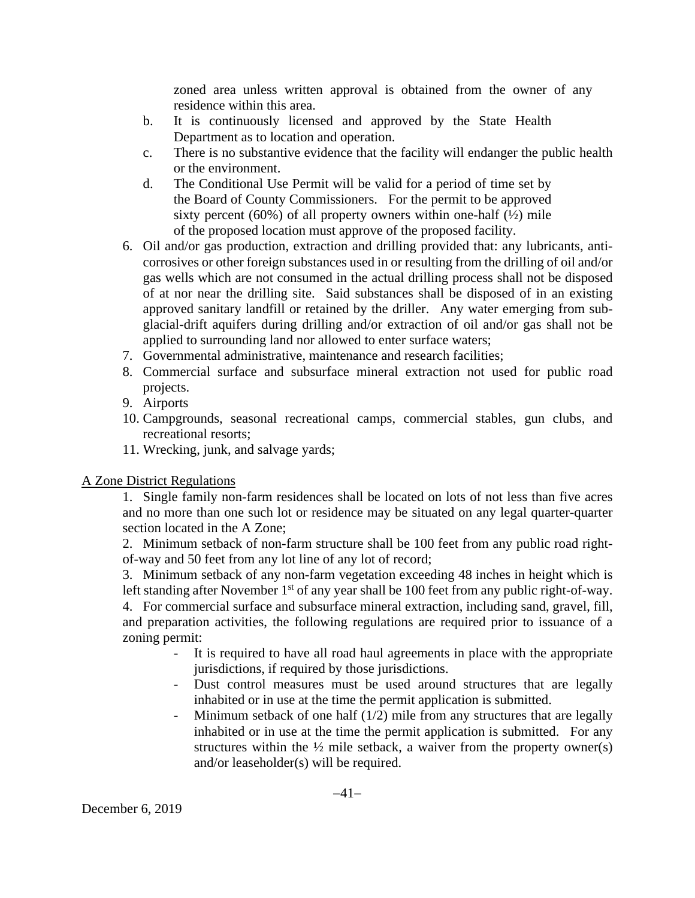zoned area unless written approval is obtained from the owner of any residence within this area.

- b. It is continuously licensed and approved by the State Health Department as to location and operation.
- c. There is no substantive evidence that the facility will endanger the public health or the environment.
- d. The Conditional Use Permit will be valid for a period of time set by the Board of County Commissioners. For the permit to be approved sixty percent  $(60\%)$  of all property owners within one-half  $(\frac{1}{2})$  mile of the proposed location must approve of the proposed facility.
- 6. Oil and/or gas production, extraction and drilling provided that: any lubricants, anticorrosives or other foreign substances used in or resulting from the drilling of oil and/or gas wells which are not consumed in the actual drilling process shall not be disposed of at nor near the drilling site. Said substances shall be disposed of in an existing approved sanitary landfill or retained by the driller. Any water emerging from subglacial-drift aquifers during drilling and/or extraction of oil and/or gas shall not be applied to surrounding land nor allowed to enter surface waters;
- 7. Governmental administrative, maintenance and research facilities;
- 8. Commercial surface and subsurface mineral extraction not used for public road projects.
- 9. Airports
- 10. Campgrounds, seasonal recreational camps, commercial stables, gun clubs, and recreational resorts;
- 11. Wrecking, junk, and salvage yards;

A Zone District Regulations

1. Single family non-farm residences shall be located on lots of not less than five acres and no more than one such lot or residence may be situated on any legal quarter-quarter section located in the A Zone;

2. Minimum setback of non-farm structure shall be 100 feet from any public road rightof-way and 50 feet from any lot line of any lot of record;

3. Minimum setback of any non-farm vegetation exceeding 48 inches in height which is left standing after November 1<sup>st</sup> of any year shall be 100 feet from any public right-of-way.

4. For commercial surface and subsurface mineral extraction, including sand, gravel, fill, and preparation activities, the following regulations are required prior to issuance of a zoning permit:

- It is required to have all road haul agreements in place with the appropriate jurisdictions, if required by those jurisdictions.
- Dust control measures must be used around structures that are legally inhabited or in use at the time the permit application is submitted.
- Minimum setback of one half  $(1/2)$  mile from any structures that are legally inhabited or in use at the time the permit application is submitted. For any structures within the  $\frac{1}{2}$  mile setback, a waiver from the property owner(s) and/or leaseholder(s) will be required.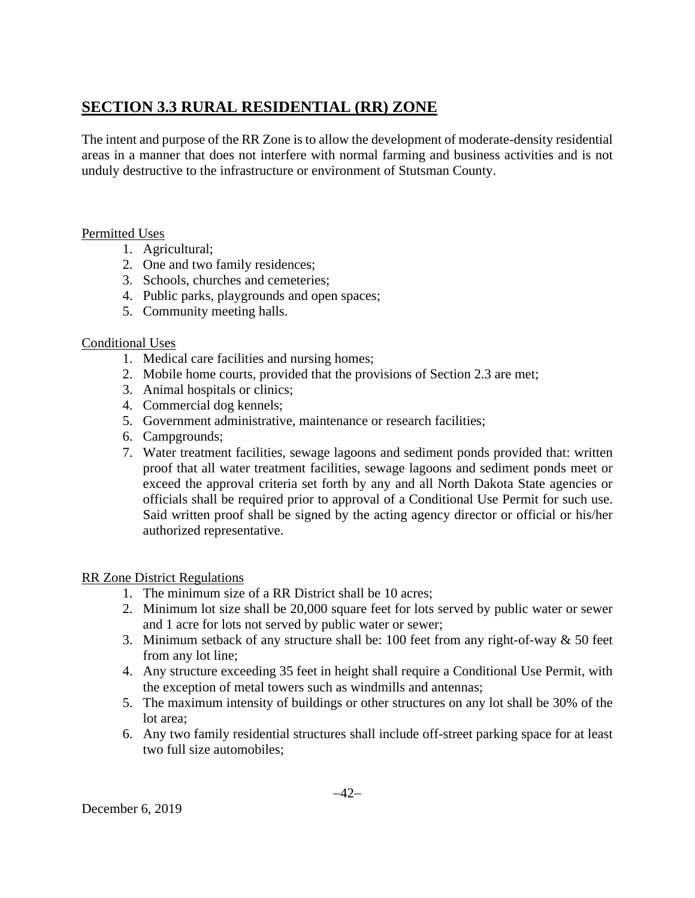# **SECTION 3.3 RURAL RESIDENTIAL (RR) ZONE**

The intent and purpose of the RR Zone is to allow the development of moderate-density residential areas in a manner that does not interfere with normal farming and business activities and is not unduly destructive to the infrastructure or environment of Stutsman County.

#### Permitted Uses

- 1. Agricultural;
- 2. One and two family residences;
- 3. Schools, churches and cemeteries;
- 4. Public parks, playgrounds and open spaces;
- 5. Community meeting halls.

## Conditional Uses

- 1. Medical care facilities and nursing homes;
- 2. Mobile home courts, provided that the provisions of Section 2.3 are met;
- 3. Animal hospitals or clinics;
- 4. Commercial dog kennels;
- 5. Government administrative, maintenance or research facilities;
- 6. Campgrounds;
- 7. Water treatment facilities, sewage lagoons and sediment ponds provided that: written proof that all water treatment facilities, sewage lagoons and sediment ponds meet or exceed the approval criteria set forth by any and all North Dakota State agencies or officials shall be required prior to approval of a Conditional Use Permit for such use. Said written proof shall be signed by the acting agency director or official or his/her authorized representative.

## RR Zone District Regulations

- 1. The minimum size of a RR District shall be 10 acres;
- 2. Minimum lot size shall be 20,000 square feet for lots served by public water or sewer and 1 acre for lots not served by public water or sewer;
- 3. Minimum setback of any structure shall be: 100 feet from any right-of-way & 50 feet from any lot line;
- 4. Any structure exceeding 35 feet in height shall require a Conditional Use Permit, with the exception of metal towers such as windmills and antennas;
- 5. The maximum intensity of buildings or other structures on any lot shall be 30% of the lot area;
- 6. Any two family residential structures shall include off-street parking space for at least two full size automobiles;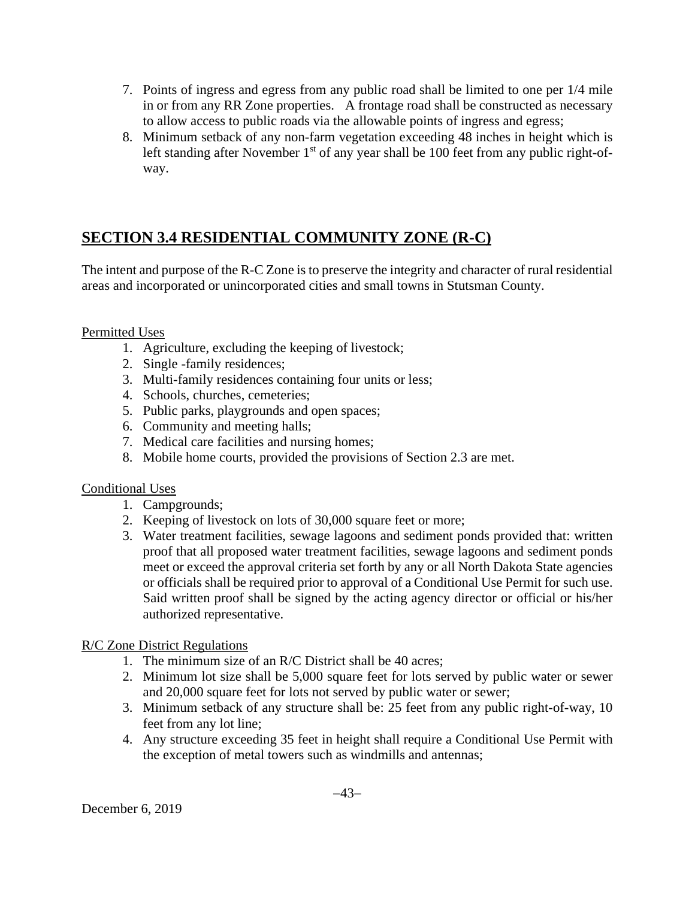- 7. Points of ingress and egress from any public road shall be limited to one per 1/4 mile in or from any RR Zone properties. A frontage road shall be constructed as necessary to allow access to public roads via the allowable points of ingress and egress;
- 8. Minimum setback of any non-farm vegetation exceeding 48 inches in height which is left standing after November  $1<sup>st</sup>$  of any year shall be 100 feet from any public right-ofway.

# **SECTION 3.4 RESIDENTIAL COMMUNITY ZONE (R-C)**

The intent and purpose of the R-C Zone is to preserve the integrity and character of rural residential areas and incorporated or unincorporated cities and small towns in Stutsman County.

## Permitted Uses

- 1. Agriculture, excluding the keeping of livestock;
- 2. Single -family residences;
- 3. Multi-family residences containing four units or less;
- 4. Schools, churches, cemeteries;
- 5. Public parks, playgrounds and open spaces;
- 6. Community and meeting halls;
- 7. Medical care facilities and nursing homes;
- 8. Mobile home courts, provided the provisions of Section 2.3 are met.

#### Conditional Uses

- 1. Campgrounds;
- 2. Keeping of livestock on lots of 30,000 square feet or more;
- 3. Water treatment facilities, sewage lagoons and sediment ponds provided that: written proof that all proposed water treatment facilities, sewage lagoons and sediment ponds meet or exceed the approval criteria set forth by any or all North Dakota State agencies or officials shall be required prior to approval of a Conditional Use Permit for such use. Said written proof shall be signed by the acting agency director or official or his/her authorized representative.

#### R/C Zone District Regulations

- 1. The minimum size of an R/C District shall be 40 acres;
- 2. Minimum lot size shall be 5,000 square feet for lots served by public water or sewer and 20,000 square feet for lots not served by public water or sewer;
- 3. Minimum setback of any structure shall be: 25 feet from any public right-of-way, 10 feet from any lot line;
- 4. Any structure exceeding 35 feet in height shall require a Conditional Use Permit with the exception of metal towers such as windmills and antennas;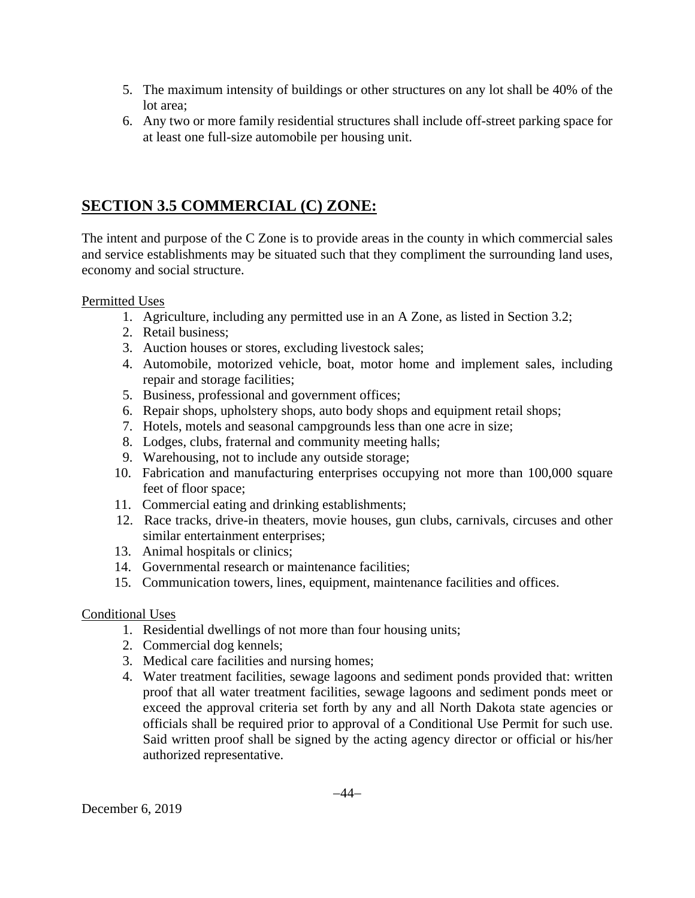- 5. The maximum intensity of buildings or other structures on any lot shall be 40% of the lot area;
- 6. Any two or more family residential structures shall include off-street parking space for at least one full-size automobile per housing unit.

## **SECTION 3.5 COMMERCIAL (C) ZONE:**

The intent and purpose of the C Zone is to provide areas in the county in which commercial sales and service establishments may be situated such that they compliment the surrounding land uses, economy and social structure.

#### Permitted Uses

- 1. Agriculture, including any permitted use in an A Zone, as listed in Section 3.2;
- 2. Retail business;
- 3. Auction houses or stores, excluding livestock sales;
- 4. Automobile, motorized vehicle, boat, motor home and implement sales, including repair and storage facilities;
- 5. Business, professional and government offices;
- 6. Repair shops, upholstery shops, auto body shops and equipment retail shops;
- 7. Hotels, motels and seasonal campgrounds less than one acre in size;
- 8. Lodges, clubs, fraternal and community meeting halls;
- 9. Warehousing, not to include any outside storage;
- 10. Fabrication and manufacturing enterprises occupying not more than 100,000 square feet of floor space;
- 11. Commercial eating and drinking establishments;
- 12. Race tracks, drive-in theaters, movie houses, gun clubs, carnivals, circuses and other similar entertainment enterprises;
- 13. Animal hospitals or clinics;
- 14. Governmental research or maintenance facilities;
- 15. Communication towers, lines, equipment, maintenance facilities and offices.

## Conditional Uses

- 1. Residential dwellings of not more than four housing units;
- 2. Commercial dog kennels;
- 3. Medical care facilities and nursing homes;
- 4. Water treatment facilities, sewage lagoons and sediment ponds provided that: written proof that all water treatment facilities, sewage lagoons and sediment ponds meet or exceed the approval criteria set forth by any and all North Dakota state agencies or officials shall be required prior to approval of a Conditional Use Permit for such use. Said written proof shall be signed by the acting agency director or official or his/her authorized representative.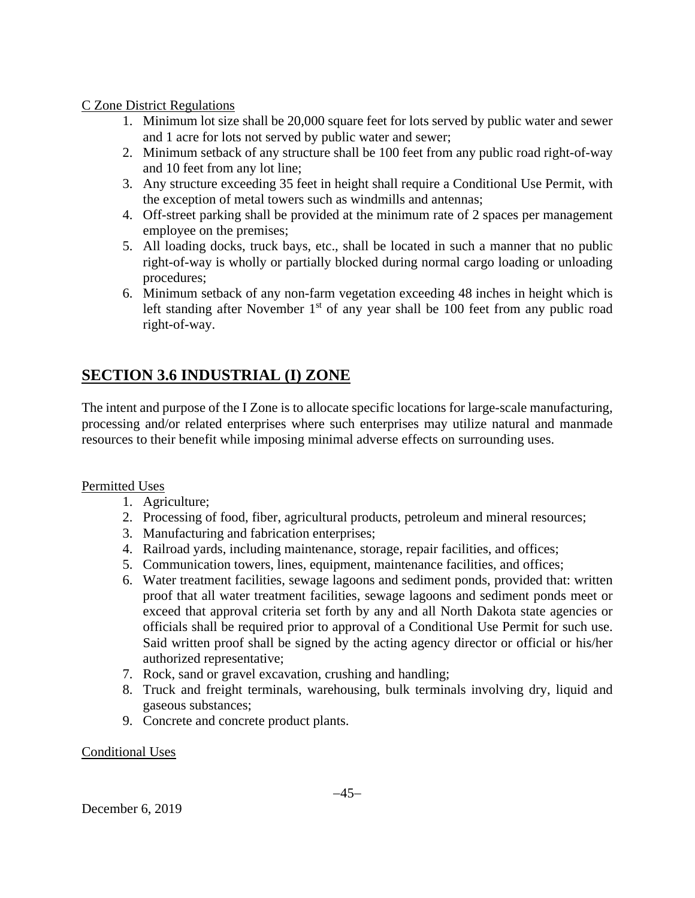#### C Zone District Regulations

- 1. Minimum lot size shall be 20,000 square feet for lots served by public water and sewer and 1 acre for lots not served by public water and sewer;
- 2. Minimum setback of any structure shall be 100 feet from any public road right-of-way and 10 feet from any lot line;
- 3. Any structure exceeding 35 feet in height shall require a Conditional Use Permit, with the exception of metal towers such as windmills and antennas;
- 4. Off-street parking shall be provided at the minimum rate of 2 spaces per management employee on the premises;
- 5. All loading docks, truck bays, etc., shall be located in such a manner that no public right-of-way is wholly or partially blocked during normal cargo loading or unloading procedures;
- 6. Minimum setback of any non-farm vegetation exceeding 48 inches in height which is left standing after November  $1<sup>st</sup>$  of any year shall be 100 feet from any public road right-of-way.

# **SECTION 3.6 INDUSTRIAL (I) ZONE**

The intent and purpose of the I Zone is to allocate specific locations for large-scale manufacturing, processing and/or related enterprises where such enterprises may utilize natural and manmade resources to their benefit while imposing minimal adverse effects on surrounding uses.

## Permitted Uses

- 1. Agriculture;
- 2. Processing of food, fiber, agricultural products, petroleum and mineral resources;
- 3. Manufacturing and fabrication enterprises;
- 4. Railroad yards, including maintenance, storage, repair facilities, and offices;
- 5. Communication towers, lines, equipment, maintenance facilities, and offices;
- 6. Water treatment facilities, sewage lagoons and sediment ponds, provided that: written proof that all water treatment facilities, sewage lagoons and sediment ponds meet or exceed that approval criteria set forth by any and all North Dakota state agencies or officials shall be required prior to approval of a Conditional Use Permit for such use. Said written proof shall be signed by the acting agency director or official or his/her authorized representative;
- 7. Rock, sand or gravel excavation, crushing and handling;
- 8. Truck and freight terminals, warehousing, bulk terminals involving dry, liquid and gaseous substances;
- 9. Concrete and concrete product plants.

#### Conditional Uses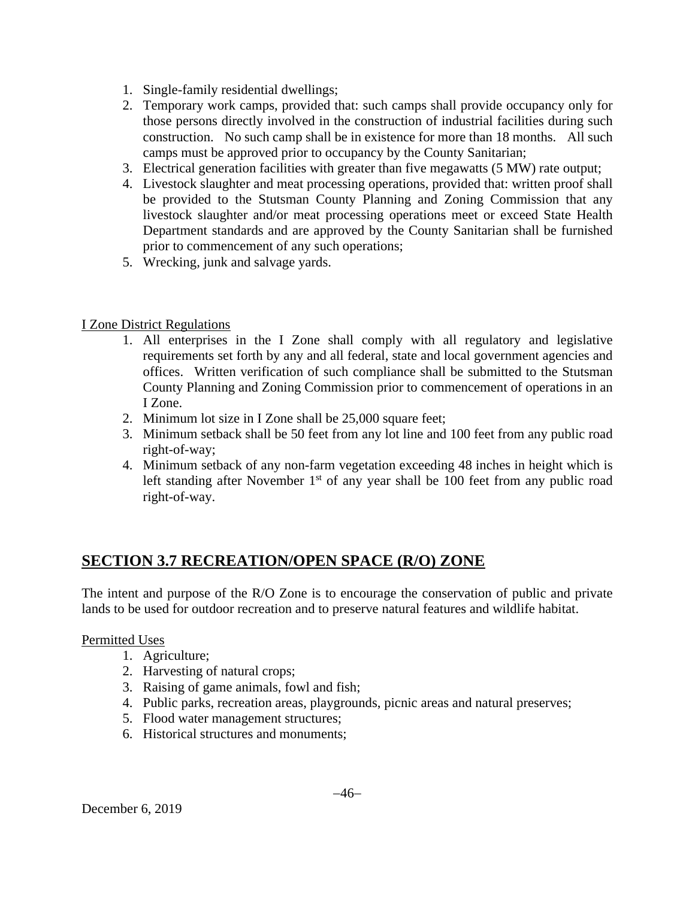- 1. Single-family residential dwellings;
- 2. Temporary work camps, provided that: such camps shall provide occupancy only for those persons directly involved in the construction of industrial facilities during such construction. No such camp shall be in existence for more than 18 months. All such camps must be approved prior to occupancy by the County Sanitarian;
- 3. Electrical generation facilities with greater than five megawatts (5 MW) rate output;
- 4. Livestock slaughter and meat processing operations, provided that: written proof shall be provided to the Stutsman County Planning and Zoning Commission that any livestock slaughter and/or meat processing operations meet or exceed State Health Department standards and are approved by the County Sanitarian shall be furnished prior to commencement of any such operations;
- 5. Wrecking, junk and salvage yards.

## I Zone District Regulations

- 1. All enterprises in the I Zone shall comply with all regulatory and legislative requirements set forth by any and all federal, state and local government agencies and offices. Written verification of such compliance shall be submitted to the Stutsman County Planning and Zoning Commission prior to commencement of operations in an I Zone.
- 2. Minimum lot size in I Zone shall be 25,000 square feet;
- 3. Minimum setback shall be 50 feet from any lot line and 100 feet from any public road right-of-way;
- 4. Minimum setback of any non-farm vegetation exceeding 48 inches in height which is left standing after November  $1<sup>st</sup>$  of any year shall be 100 feet from any public road right-of-way.

# **SECTION 3.7 RECREATION/OPEN SPACE (R/O) ZONE**

The intent and purpose of the R/O Zone is to encourage the conservation of public and private lands to be used for outdoor recreation and to preserve natural features and wildlife habitat.

## Permitted Uses

- 1. Agriculture;
- 2. Harvesting of natural crops;
- 3. Raising of game animals, fowl and fish;
- 4. Public parks, recreation areas, playgrounds, picnic areas and natural preserves;
- 5. Flood water management structures;
- 6. Historical structures and monuments;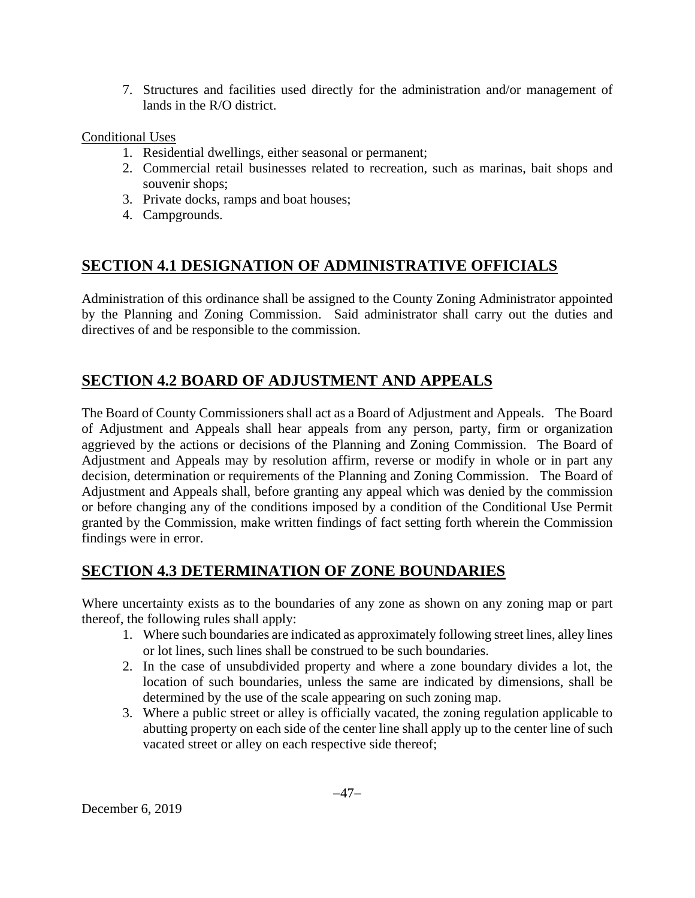7. Structures and facilities used directly for the administration and/or management of lands in the R/O district.

#### Conditional Uses

- 1. Residential dwellings, either seasonal or permanent;
- 2. Commercial retail businesses related to recreation, such as marinas, bait shops and souvenir shops;
- 3. Private docks, ramps and boat houses;
- 4. Campgrounds.

## **SECTION 4.1 DESIGNATION OF ADMINISTRATIVE OFFICIALS**

Administration of this ordinance shall be assigned to the County Zoning Administrator appointed by the Planning and Zoning Commission. Said administrator shall carry out the duties and directives of and be responsible to the commission.

## **SECTION 4.2 BOARD OF ADJUSTMENT AND APPEALS**

The Board of County Commissioners shall act as a Board of Adjustment and Appeals. The Board of Adjustment and Appeals shall hear appeals from any person, party, firm or organization aggrieved by the actions or decisions of the Planning and Zoning Commission. The Board of Adjustment and Appeals may by resolution affirm, reverse or modify in whole or in part any decision, determination or requirements of the Planning and Zoning Commission. The Board of Adjustment and Appeals shall, before granting any appeal which was denied by the commission or before changing any of the conditions imposed by a condition of the Conditional Use Permit granted by the Commission, make written findings of fact setting forth wherein the Commission findings were in error.

## **SECTION 4.3 DETERMINATION OF ZONE BOUNDARIES**

Where uncertainty exists as to the boundaries of any zone as shown on any zoning map or part thereof, the following rules shall apply:

- 1. Where such boundaries are indicated as approximately following street lines, alley lines or lot lines, such lines shall be construed to be such boundaries.
- 2. In the case of unsubdivided property and where a zone boundary divides a lot, the location of such boundaries, unless the same are indicated by dimensions, shall be determined by the use of the scale appearing on such zoning map.
- 3. Where a public street or alley is officially vacated, the zoning regulation applicable to abutting property on each side of the center line shall apply up to the center line of such vacated street or alley on each respective side thereof;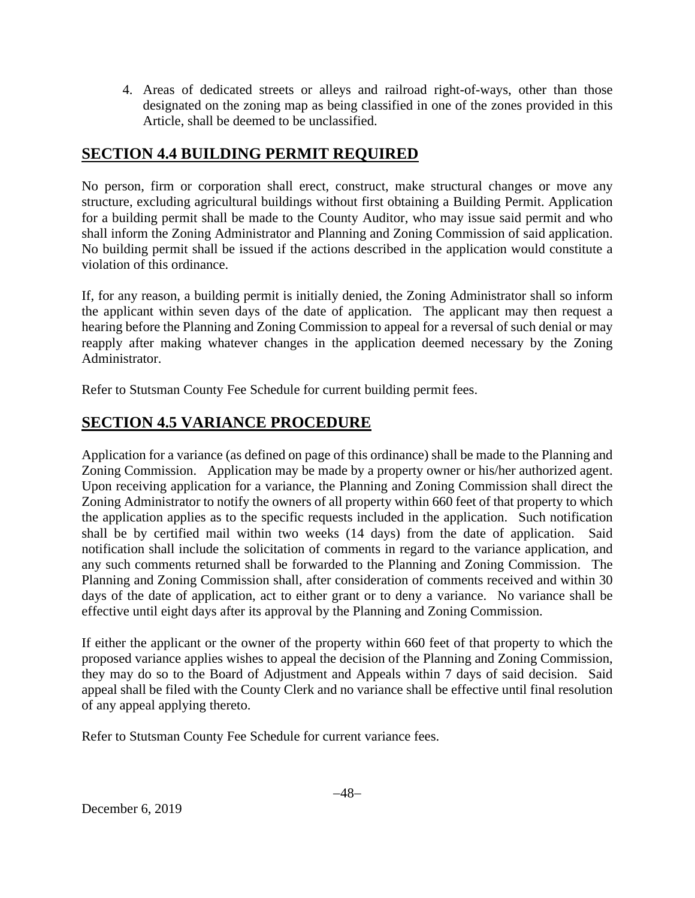4. Areas of dedicated streets or alleys and railroad right-of-ways, other than those designated on the zoning map as being classified in one of the zones provided in this Article, shall be deemed to be unclassified.

## **SECTION 4.4 BUILDING PERMIT REQUIRED**

No person, firm or corporation shall erect, construct, make structural changes or move any structure, excluding agricultural buildings without first obtaining a Building Permit. Application for a building permit shall be made to the County Auditor, who may issue said permit and who shall inform the Zoning Administrator and Planning and Zoning Commission of said application. No building permit shall be issued if the actions described in the application would constitute a violation of this ordinance.

If, for any reason, a building permit is initially denied, the Zoning Administrator shall so inform the applicant within seven days of the date of application. The applicant may then request a hearing before the Planning and Zoning Commission to appeal for a reversal of such denial or may reapply after making whatever changes in the application deemed necessary by the Zoning Administrator.

Refer to Stutsman County Fee Schedule for current building permit fees.

# **SECTION 4.5 VARIANCE PROCEDURE**

Application for a variance (as defined on page of this ordinance) shall be made to the Planning and Zoning Commission. Application may be made by a property owner or his/her authorized agent. Upon receiving application for a variance, the Planning and Zoning Commission shall direct the Zoning Administrator to notify the owners of all property within 660 feet of that property to which the application applies as to the specific requests included in the application. Such notification shall be by certified mail within two weeks (14 days) from the date of application. Said notification shall include the solicitation of comments in regard to the variance application, and any such comments returned shall be forwarded to the Planning and Zoning Commission. The Planning and Zoning Commission shall, after consideration of comments received and within 30 days of the date of application, act to either grant or to deny a variance. No variance shall be effective until eight days after its approval by the Planning and Zoning Commission.

If either the applicant or the owner of the property within 660 feet of that property to which the proposed variance applies wishes to appeal the decision of the Planning and Zoning Commission, they may do so to the Board of Adjustment and Appeals within 7 days of said decision. Said appeal shall be filed with the County Clerk and no variance shall be effective until final resolution of any appeal applying thereto.

Refer to Stutsman County Fee Schedule for current variance fees.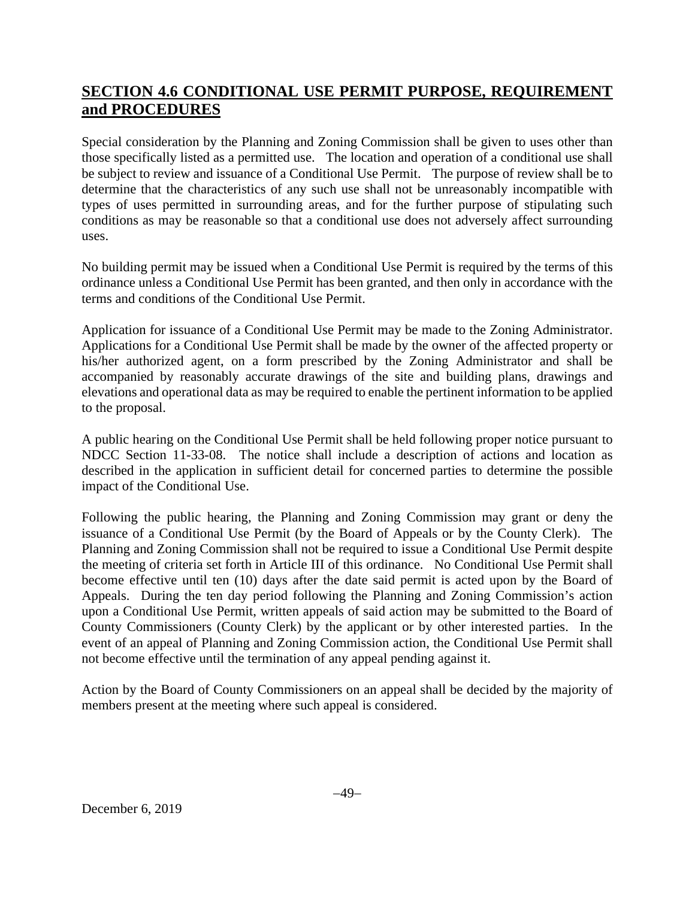# **SECTION 4.6 CONDITIONAL USE PERMIT PURPOSE, REQUIREMENT and PROCEDURES**

Special consideration by the Planning and Zoning Commission shall be given to uses other than those specifically listed as a permitted use. The location and operation of a conditional use shall be subject to review and issuance of a Conditional Use Permit. The purpose of review shall be to determine that the characteristics of any such use shall not be unreasonably incompatible with types of uses permitted in surrounding areas, and for the further purpose of stipulating such conditions as may be reasonable so that a conditional use does not adversely affect surrounding uses.

No building permit may be issued when a Conditional Use Permit is required by the terms of this ordinance unless a Conditional Use Permit has been granted, and then only in accordance with the terms and conditions of the Conditional Use Permit.

Application for issuance of a Conditional Use Permit may be made to the Zoning Administrator. Applications for a Conditional Use Permit shall be made by the owner of the affected property or his/her authorized agent, on a form prescribed by the Zoning Administrator and shall be accompanied by reasonably accurate drawings of the site and building plans, drawings and elevations and operational data as may be required to enable the pertinent information to be applied to the proposal.

A public hearing on the Conditional Use Permit shall be held following proper notice pursuant to NDCC Section 11-33-08. The notice shall include a description of actions and location as described in the application in sufficient detail for concerned parties to determine the possible impact of the Conditional Use.

Following the public hearing, the Planning and Zoning Commission may grant or deny the issuance of a Conditional Use Permit (by the Board of Appeals or by the County Clerk). The Planning and Zoning Commission shall not be required to issue a Conditional Use Permit despite the meeting of criteria set forth in Article III of this ordinance. No Conditional Use Permit shall become effective until ten (10) days after the date said permit is acted upon by the Board of Appeals. During the ten day period following the Planning and Zoning Commission's action upon a Conditional Use Permit, written appeals of said action may be submitted to the Board of County Commissioners (County Clerk) by the applicant or by other interested parties. In the event of an appeal of Planning and Zoning Commission action, the Conditional Use Permit shall not become effective until the termination of any appeal pending against it.

Action by the Board of County Commissioners on an appeal shall be decided by the majority of members present at the meeting where such appeal is considered.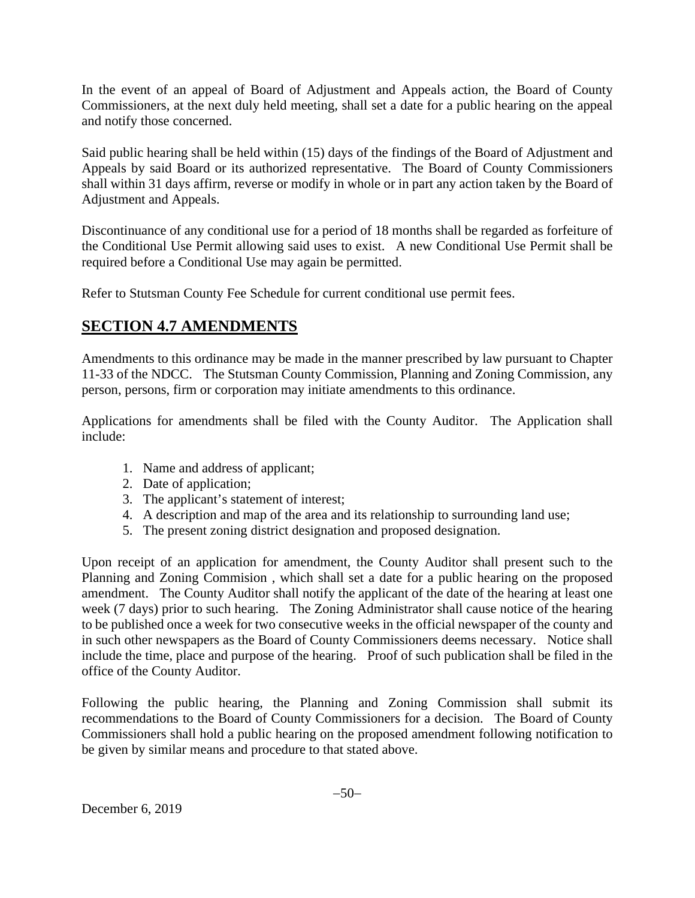In the event of an appeal of Board of Adjustment and Appeals action, the Board of County Commissioners, at the next duly held meeting, shall set a date for a public hearing on the appeal and notify those concerned.

Said public hearing shall be held within (15) days of the findings of the Board of Adjustment and Appeals by said Board or its authorized representative. The Board of County Commissioners shall within 31 days affirm, reverse or modify in whole or in part any action taken by the Board of Adjustment and Appeals.

Discontinuance of any conditional use for a period of 18 months shall be regarded as forfeiture of the Conditional Use Permit allowing said uses to exist. A new Conditional Use Permit shall be required before a Conditional Use may again be permitted.

Refer to Stutsman County Fee Schedule for current conditional use permit fees.

## **SECTION 4.7 AMENDMENTS**

Amendments to this ordinance may be made in the manner prescribed by law pursuant to Chapter 11-33 of the NDCC. The Stutsman County Commission, Planning and Zoning Commission, any person, persons, firm or corporation may initiate amendments to this ordinance.

Applications for amendments shall be filed with the County Auditor. The Application shall include:

- 1. Name and address of applicant;
- 2. Date of application;
- 3. The applicant's statement of interest;
- 4. A description and map of the area and its relationship to surrounding land use;
- 5. The present zoning district designation and proposed designation.

Upon receipt of an application for amendment, the County Auditor shall present such to the Planning and Zoning Commision , which shall set a date for a public hearing on the proposed amendment. The County Auditor shall notify the applicant of the date of the hearing at least one week (7 days) prior to such hearing. The Zoning Administrator shall cause notice of the hearing to be published once a week for two consecutive weeks in the official newspaper of the county and in such other newspapers as the Board of County Commissioners deems necessary. Notice shall include the time, place and purpose of the hearing. Proof of such publication shall be filed in the office of the County Auditor.

Following the public hearing, the Planning and Zoning Commission shall submit its recommendations to the Board of County Commissioners for a decision. The Board of County Commissioners shall hold a public hearing on the proposed amendment following notification to be given by similar means and procedure to that stated above.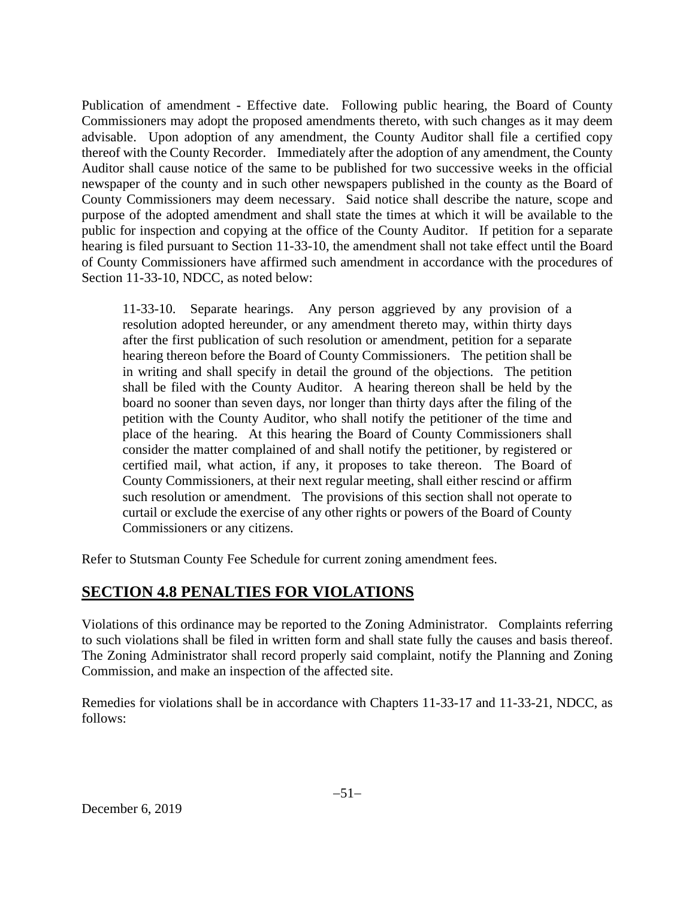Publication of amendment - Effective date. Following public hearing, the Board of County Commissioners may adopt the proposed amendments thereto, with such changes as it may deem advisable. Upon adoption of any amendment, the County Auditor shall file a certified copy thereof with the County Recorder. Immediately after the adoption of any amendment, the County Auditor shall cause notice of the same to be published for two successive weeks in the official newspaper of the county and in such other newspapers published in the county as the Board of County Commissioners may deem necessary. Said notice shall describe the nature, scope and purpose of the adopted amendment and shall state the times at which it will be available to the public for inspection and copying at the office of the County Auditor. If petition for a separate hearing is filed pursuant to Section 11-33-10, the amendment shall not take effect until the Board of County Commissioners have affirmed such amendment in accordance with the procedures of Section 11-33-10, NDCC, as noted below:

11-33-10. Separate hearings. Any person aggrieved by any provision of a resolution adopted hereunder, or any amendment thereto may, within thirty days after the first publication of such resolution or amendment, petition for a separate hearing thereon before the Board of County Commissioners. The petition shall be in writing and shall specify in detail the ground of the objections. The petition shall be filed with the County Auditor. A hearing thereon shall be held by the board no sooner than seven days, nor longer than thirty days after the filing of the petition with the County Auditor, who shall notify the petitioner of the time and place of the hearing. At this hearing the Board of County Commissioners shall consider the matter complained of and shall notify the petitioner, by registered or certified mail, what action, if any, it proposes to take thereon. The Board of County Commissioners, at their next regular meeting, shall either rescind or affirm such resolution or amendment. The provisions of this section shall not operate to curtail or exclude the exercise of any other rights or powers of the Board of County Commissioners or any citizens.

Refer to Stutsman County Fee Schedule for current zoning amendment fees.

# **SECTION 4.8 PENALTIES FOR VIOLATIONS**

Violations of this ordinance may be reported to the Zoning Administrator. Complaints referring to such violations shall be filed in written form and shall state fully the causes and basis thereof. The Zoning Administrator shall record properly said complaint, notify the Planning and Zoning Commission, and make an inspection of the affected site.

Remedies for violations shall be in accordance with Chapters 11-33-17 and 11-33-21, NDCC, as follows: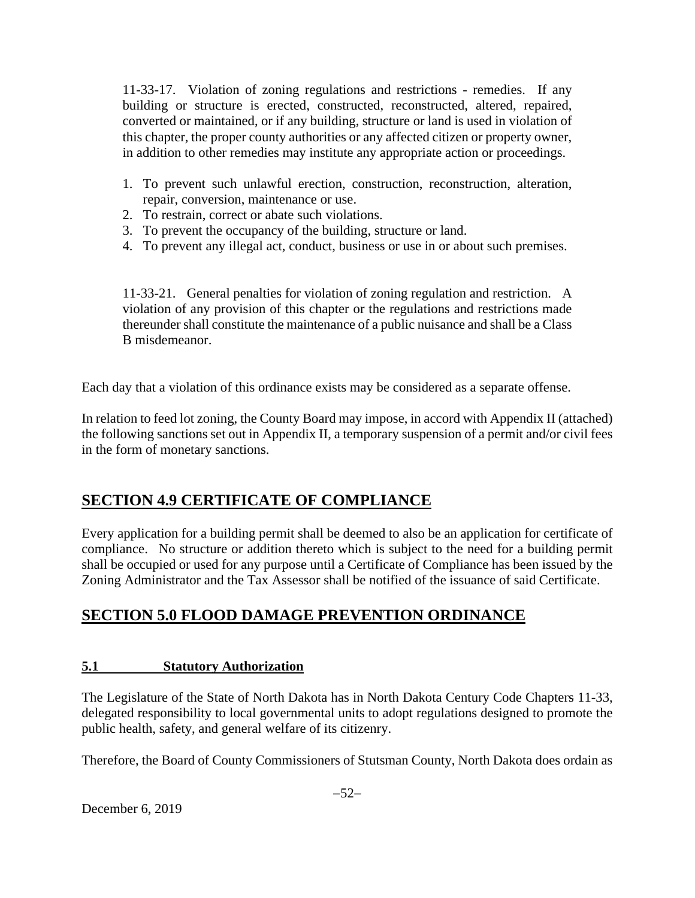11-33-17. Violation of zoning regulations and restrictions - remedies. If any building or structure is erected, constructed, reconstructed, altered, repaired, converted or maintained, or if any building, structure or land is used in violation of this chapter, the proper county authorities or any affected citizen or property owner, in addition to other remedies may institute any appropriate action or proceedings.

- 1. To prevent such unlawful erection, construction, reconstruction, alteration, repair, conversion, maintenance or use.
- 2. To restrain, correct or abate such violations.
- 3. To prevent the occupancy of the building, structure or land.
- 4. To prevent any illegal act, conduct, business or use in or about such premises.

11-33-21. General penalties for violation of zoning regulation and restriction. A violation of any provision of this chapter or the regulations and restrictions made thereunder shall constitute the maintenance of a public nuisance and shall be a Class B misdemeanor.

Each day that a violation of this ordinance exists may be considered as a separate offense.

In relation to feed lot zoning, the County Board may impose, in accord with Appendix II (attached) the following sanctions set out in Appendix II, a temporary suspension of a permit and/or civil fees in the form of monetary sanctions.

# **SECTION 4.9 CERTIFICATE OF COMPLIANCE**

Every application for a building permit shall be deemed to also be an application for certificate of compliance. No structure or addition thereto which is subject to the need for a building permit shall be occupied or used for any purpose until a Certificate of Compliance has been issued by the Zoning Administrator and the Tax Assessor shall be notified of the issuance of said Certificate.

# **SECTION 5.0 FLOOD DAMAGE PREVENTION ORDINANCE**

## **5.1 Statutory Authorization**

The Legislature of the State of North Dakota has in North Dakota Century Code Chapters 11-33, delegated responsibility to local governmental units to adopt regulations designed to promote the public health, safety, and general welfare of its citizenry.

Therefore, the Board of County Commissioners of Stutsman County, North Dakota does ordain as

December 6, 2019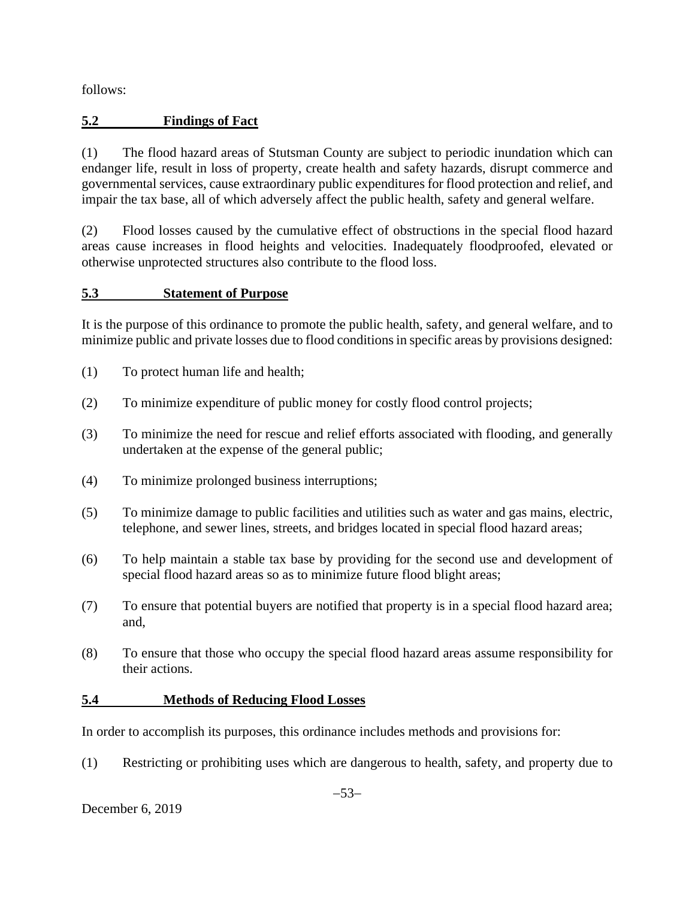follows:

## **5.2 Findings of Fact**

(1) The flood hazard areas of Stutsman County are subject to periodic inundation which can endanger life, result in loss of property, create health and safety hazards, disrupt commerce and governmental services, cause extraordinary public expenditures for flood protection and relief, and impair the tax base, all of which adversely affect the public health, safety and general welfare.

(2) Flood losses caused by the cumulative effect of obstructions in the special flood hazard areas cause increases in flood heights and velocities. Inadequately floodproofed, elevated or otherwise unprotected structures also contribute to the flood loss.

## **5.3 Statement of Purpose**

It is the purpose of this ordinance to promote the public health, safety, and general welfare, and to minimize public and private losses due to flood conditions in specific areas by provisions designed:

- (1) To protect human life and health;
- (2) To minimize expenditure of public money for costly flood control projects;
- (3) To minimize the need for rescue and relief efforts associated with flooding, and generally undertaken at the expense of the general public;
- (4) To minimize prolonged business interruptions;
- (5) To minimize damage to public facilities and utilities such as water and gas mains, electric, telephone, and sewer lines, streets, and bridges located in special flood hazard areas;
- (6) To help maintain a stable tax base by providing for the second use and development of special flood hazard areas so as to minimize future flood blight areas;
- (7) To ensure that potential buyers are notified that property is in a special flood hazard area; and,
- (8) To ensure that those who occupy the special flood hazard areas assume responsibility for their actions.

## **5.4 Methods of Reducing Flood Losses**

In order to accomplish its purposes, this ordinance includes methods and provisions for:

(1) Restricting or prohibiting uses which are dangerous to health, safety, and property due to

December 6, 2019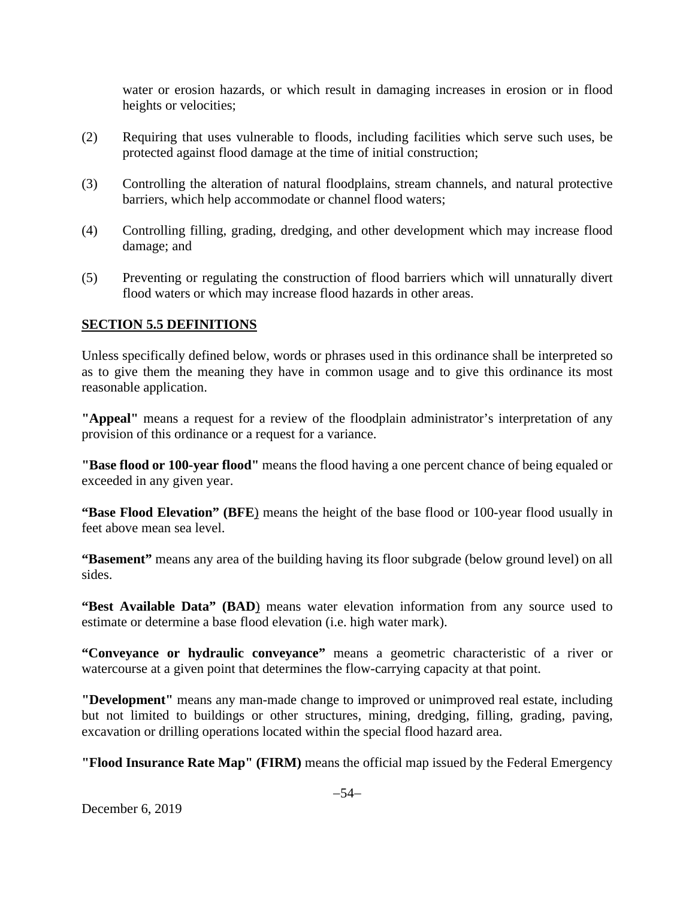water or erosion hazards, or which result in damaging increases in erosion or in flood heights or velocities;

- (2) Requiring that uses vulnerable to floods, including facilities which serve such uses, be protected against flood damage at the time of initial construction;
- (3) Controlling the alteration of natural floodplains, stream channels, and natural protective barriers, which help accommodate or channel flood waters;
- (4) Controlling filling, grading, dredging, and other development which may increase flood damage; and
- (5) Preventing or regulating the construction of flood barriers which will unnaturally divert flood waters or which may increase flood hazards in other areas.

#### **SECTION 5.5 DEFINITIONS**

Unless specifically defined below, words or phrases used in this ordinance shall be interpreted so as to give them the meaning they have in common usage and to give this ordinance its most reasonable application.

**"Appeal"** means a request for a review of the floodplain administrator's interpretation of any provision of this ordinance or a request for a variance.

**"Base flood or 100-year flood"** means the flood having a one percent chance of being equaled or exceeded in any given year.

**"Base Flood Elevation" (BFE**) means the height of the base flood or 100-year flood usually in feet above mean sea level.

**"Basement"** means any area of the building having its floor subgrade (below ground level) on all sides.

**"Best Available Data" (BAD)** means water elevation information from any source used to estimate or determine a base flood elevation (i.e. high water mark).

**"Conveyance or hydraulic conveyance"** means a geometric characteristic of a river or watercourse at a given point that determines the flow-carrying capacity at that point.

**"Development"** means any man-made change to improved or unimproved real estate, including but not limited to buildings or other structures, mining, dredging, filling, grading, paving, excavation or drilling operations located within the special flood hazard area.

**"Flood Insurance Rate Map" (FIRM)** means the official map issued by the Federal Emergency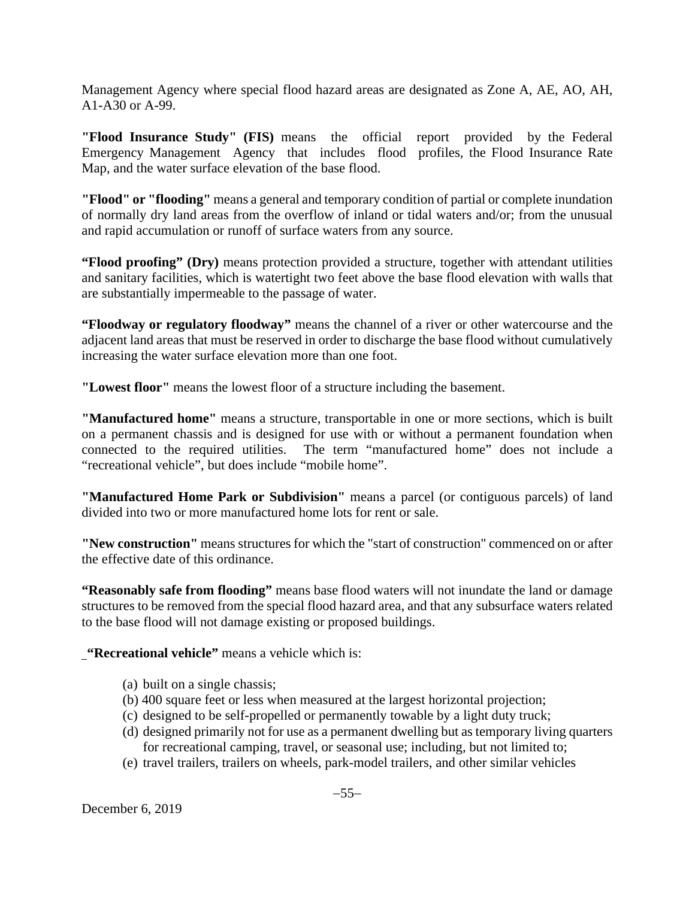Management Agency where special flood hazard areas are designated as Zone A, AE, AO, AH, A1-A30 or A-99.

**"Flood Insurance Study" (FIS)** means the official report provided by the Federal Emergency Management Agency that includes flood profiles, the Flood Insurance Rate Map, and the water surface elevation of the base flood.

**"Flood" or "flooding"** means a general and temporary condition of partial or complete inundation of normally dry land areas from the overflow of inland or tidal waters and/or; from the unusual and rapid accumulation or runoff of surface waters from any source.

**"Flood proofing" (Dry)** means protection provided a structure, together with attendant utilities and sanitary facilities, which is watertight two feet above the base flood elevation with walls that are substantially impermeable to the passage of water.

**"Floodway or regulatory floodway"** means the channel of a river or other watercourse and the adjacent land areas that must be reserved in order to discharge the base flood without cumulatively increasing the water surface elevation more than one foot.

**"Lowest floor"** means the lowest floor of a structure including the basement.

**"Manufactured home"** means a structure, transportable in one or more sections, which is built on a permanent chassis and is designed for use with or without a permanent foundation when connected to the required utilities. The term "manufactured home" does not include a "recreational vehicle", but does include "mobile home".

**"Manufactured Home Park or Subdivision"** means a parcel (or contiguous parcels) of land divided into two or more manufactured home lots for rent or sale.

**"New construction"** means structures for which the "start of construction" commenced on or after the effective date of this ordinance.

**"Reasonably safe from flooding"** means base flood waters will not inundate the land or damage structures to be removed from the special flood hazard area, and that any subsurface waters related to the base flood will not damage existing or proposed buildings.

**"Recreational vehicle"** means a vehicle which is:

- (a) built on a single chassis;
- (b) 400 square feet or less when measured at the largest horizontal projection;
- (c) designed to be self-propelled or permanently towable by a light duty truck;
- (d) designed primarily not for use as a permanent dwelling but as temporary living quarters for recreational camping, travel, or seasonal use; including, but not limited to;
- (e) travel trailers, trailers on wheels, park-model trailers, and other similar vehicles

December 6, 2019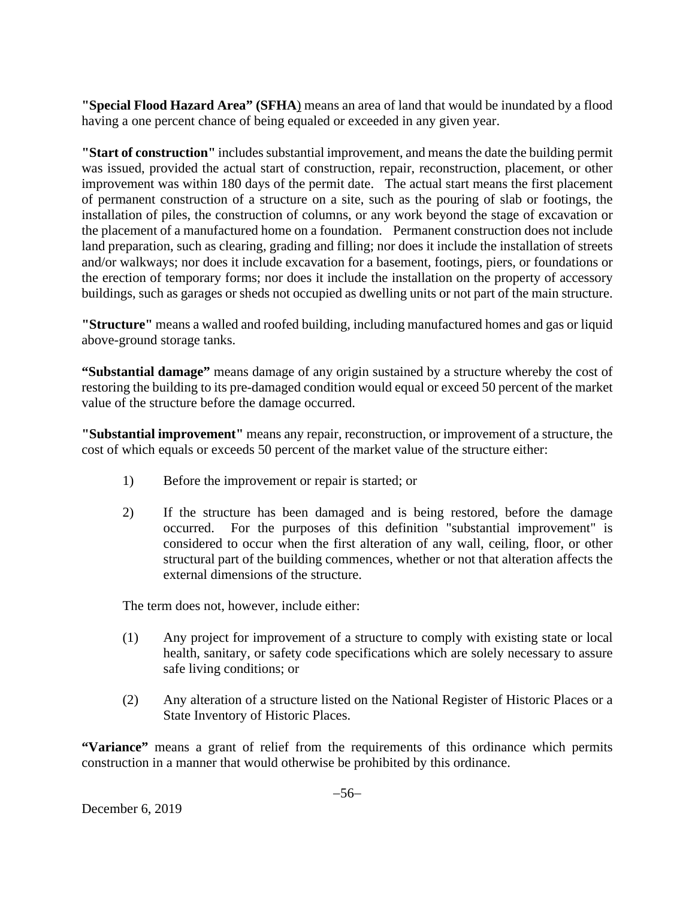**"Special Flood Hazard Area" (SFHA**) means an area of land that would be inundated by a flood having a one percent chance of being equaled or exceeded in any given year.

**"Start of construction"** includes substantial improvement, and means the date the building permit was issued, provided the actual start of construction, repair, reconstruction, placement, or other improvement was within 180 days of the permit date. The actual start means the first placement of permanent construction of a structure on a site, such as the pouring of slab or footings, the installation of piles, the construction of columns, or any work beyond the stage of excavation or the placement of a manufactured home on a foundation. Permanent construction does not include land preparation, such as clearing, grading and filling; nor does it include the installation of streets and/or walkways; nor does it include excavation for a basement, footings, piers, or foundations or the erection of temporary forms; nor does it include the installation on the property of accessory buildings, such as garages or sheds not occupied as dwelling units or not part of the main structure.

**"Structure"** means a walled and roofed building, including manufactured homes and gas or liquid above-ground storage tanks.

**"Substantial damage"** means damage of any origin sustained by a structure whereby the cost of restoring the building to its pre-damaged condition would equal or exceed 50 percent of the market value of the structure before the damage occurred.

**"Substantial improvement"** means any repair, reconstruction, or improvement of a structure, the cost of which equals or exceeds 50 percent of the market value of the structure either:

- 1) Before the improvement or repair is started; or
- 2) If the structure has been damaged and is being restored, before the damage occurred. For the purposes of this definition "substantial improvement" is considered to occur when the first alteration of any wall, ceiling, floor, or other structural part of the building commences, whether or not that alteration affects the external dimensions of the structure.

The term does not, however, include either:

- (1) Any project for improvement of a structure to comply with existing state or local health, sanitary, or safety code specifications which are solely necessary to assure safe living conditions; or
- (2) Any alteration of a structure listed on the National Register of Historic Places or a State Inventory of Historic Places.

**"Variance"** means a grant of relief from the requirements of this ordinance which permits construction in a manner that would otherwise be prohibited by this ordinance.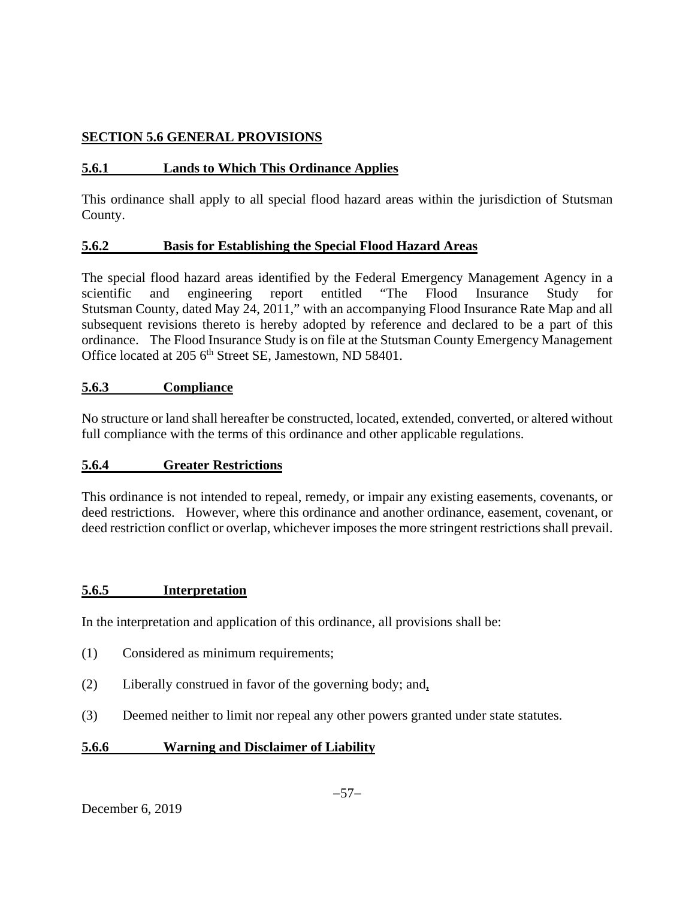## **SECTION 5.6 GENERAL PROVISIONS**

## **5.6.1 Lands to Which This Ordinance Applies**

This ordinance shall apply to all special flood hazard areas within the jurisdiction of Stutsman County.

## **5.6.2 Basis for Establishing the Special Flood Hazard Areas**

The special flood hazard areas identified by the Federal Emergency Management Agency in a scientific and engineering report entitled "The Flood Insurance Study for Stutsman County, dated May 24, 2011," with an accompanying Flood Insurance Rate Map and all subsequent revisions thereto is hereby adopted by reference and declared to be a part of this ordinance. The Flood Insurance Study is on file at the Stutsman County Emergency Management Office located at 205 6<sup>th</sup> Street SE, Jamestown, ND 58401.

## **5.6.3 Compliance**

No structure or land shall hereafter be constructed, located, extended, converted, or altered without full compliance with the terms of this ordinance and other applicable regulations.

## **5.6.4 Greater Restrictions**

This ordinance is not intended to repeal, remedy, or impair any existing easements, covenants, or deed restrictions. However, where this ordinance and another ordinance, easement, covenant, or deed restriction conflict or overlap, whichever imposes the more stringent restrictions shall prevail.

## **5.6.5 Interpretation**

In the interpretation and application of this ordinance, all provisions shall be:

- (1) Considered as minimum requirements;
- (2) Liberally construed in favor of the governing body; and,
- (3) Deemed neither to limit nor repeal any other powers granted under state statutes.

## **5.6.6 Warning and Disclaimer of Liability**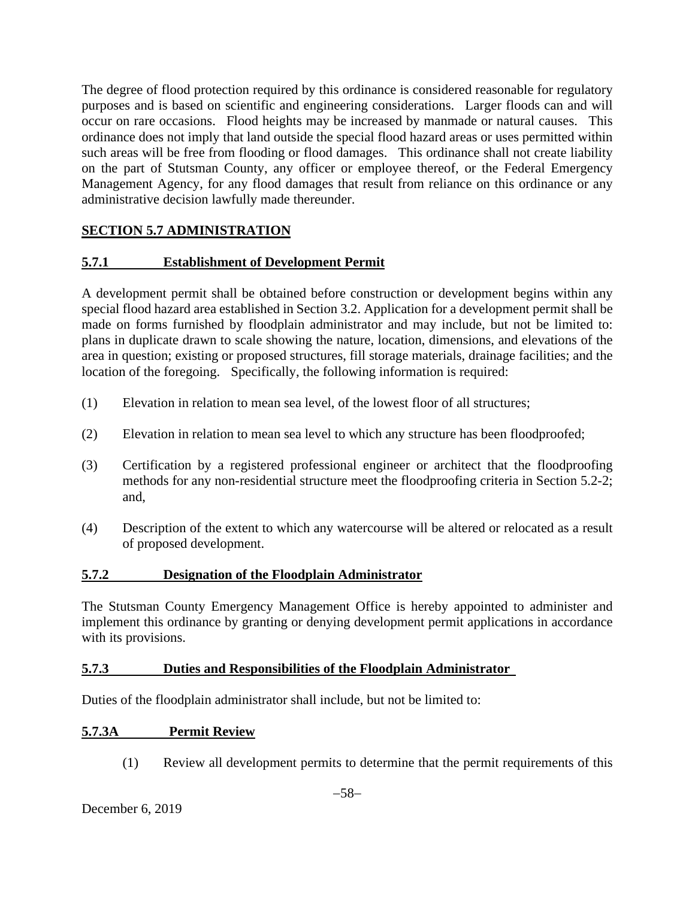The degree of flood protection required by this ordinance is considered reasonable for regulatory purposes and is based on scientific and engineering considerations. Larger floods can and will occur on rare occasions. Flood heights may be increased by manmade or natural causes. This ordinance does not imply that land outside the special flood hazard areas or uses permitted within such areas will be free from flooding or flood damages. This ordinance shall not create liability on the part of Stutsman County, any officer or employee thereof, or the Federal Emergency Management Agency, for any flood damages that result from reliance on this ordinance or any administrative decision lawfully made thereunder.

## **SECTION 5.7 ADMINISTRATION**

## **5.7.1 Establishment of Development Permit**

A development permit shall be obtained before construction or development begins within any special flood hazard area established in Section 3.2. Application for a development permit shall be made on forms furnished by floodplain administrator and may include, but not be limited to: plans in duplicate drawn to scale showing the nature, location, dimensions, and elevations of the area in question; existing or proposed structures, fill storage materials, drainage facilities; and the location of the foregoing. Specifically, the following information is required:

- (1) Elevation in relation to mean sea level, of the lowest floor of all structures;
- (2) Elevation in relation to mean sea level to which any structure has been floodproofed;
- (3) Certification by a registered professional engineer or architect that the floodproofing methods for any non-residential structure meet the floodproofing criteria in Section 5.2-2; and,
- (4) Description of the extent to which any watercourse will be altered or relocated as a result of proposed development.

#### **5.7.2 Designation of the Floodplain Administrator**

The Stutsman County Emergency Management Office is hereby appointed to administer and implement this ordinance by granting or denying development permit applications in accordance with its provisions.

#### **5.7.3 Duties and Responsibilities of the Floodplain Administrator**

Duties of the floodplain administrator shall include, but not be limited to:

#### **5.7.3A Permit Review**

(1) Review all development permits to determine that the permit requirements of this

December 6, 2019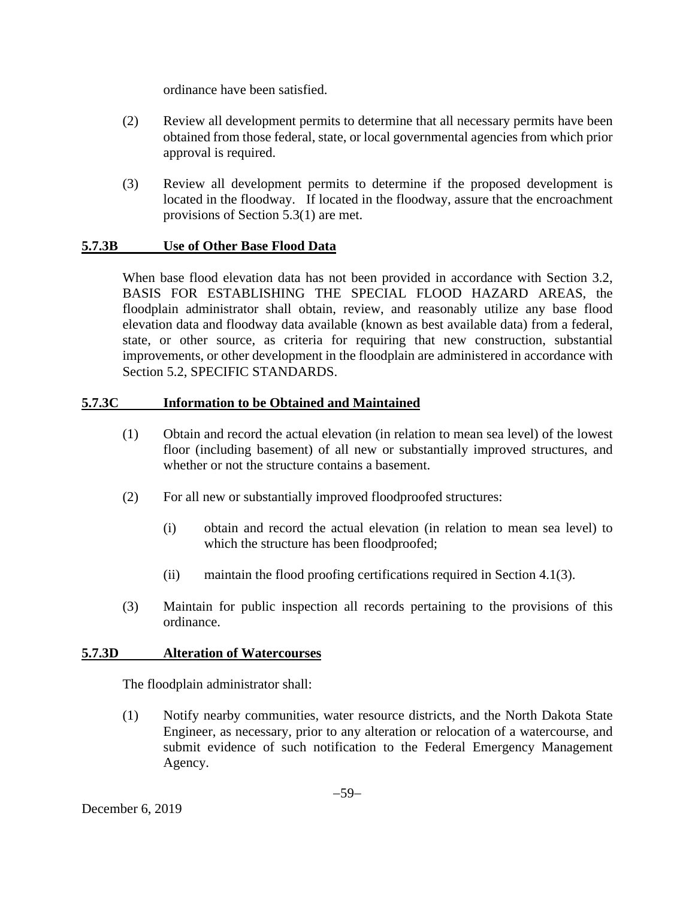ordinance have been satisfied.

- (2) Review all development permits to determine that all necessary permits have been obtained from those federal, state, or local governmental agencies from which prior approval is required.
- (3) Review all development permits to determine if the proposed development is located in the floodway. If located in the floodway, assure that the encroachment provisions of Section 5.3(1) are met.

## **5.7.3B Use of Other Base Flood Data**

When base flood elevation data has not been provided in accordance with Section 3.2, BASIS FOR ESTABLISHING THE SPECIAL FLOOD HAZARD AREAS, the floodplain administrator shall obtain, review, and reasonably utilize any base flood elevation data and floodway data available (known as best available data) from a federal, state, or other source, as criteria for requiring that new construction, substantial improvements, or other development in the floodplain are administered in accordance with Section 5.2, SPECIFIC STANDARDS.

## **5.7.3C Information to be Obtained and Maintained**

- (1) Obtain and record the actual elevation (in relation to mean sea level) of the lowest floor (including basement) of all new or substantially improved structures, and whether or not the structure contains a basement.
- (2) For all new or substantially improved floodproofed structures:
	- (i) obtain and record the actual elevation (in relation to mean sea level) to which the structure has been floodproofed;
	- (ii) maintain the flood proofing certifications required in Section 4.1(3).
- (3) Maintain for public inspection all records pertaining to the provisions of this ordinance.

## **5.7.3D Alteration of Watercourses**

The floodplain administrator shall:

(1) Notify nearby communities, water resource districts, and the North Dakota State Engineer, as necessary, prior to any alteration or relocation of a watercourse, and submit evidence of such notification to the Federal Emergency Management Agency.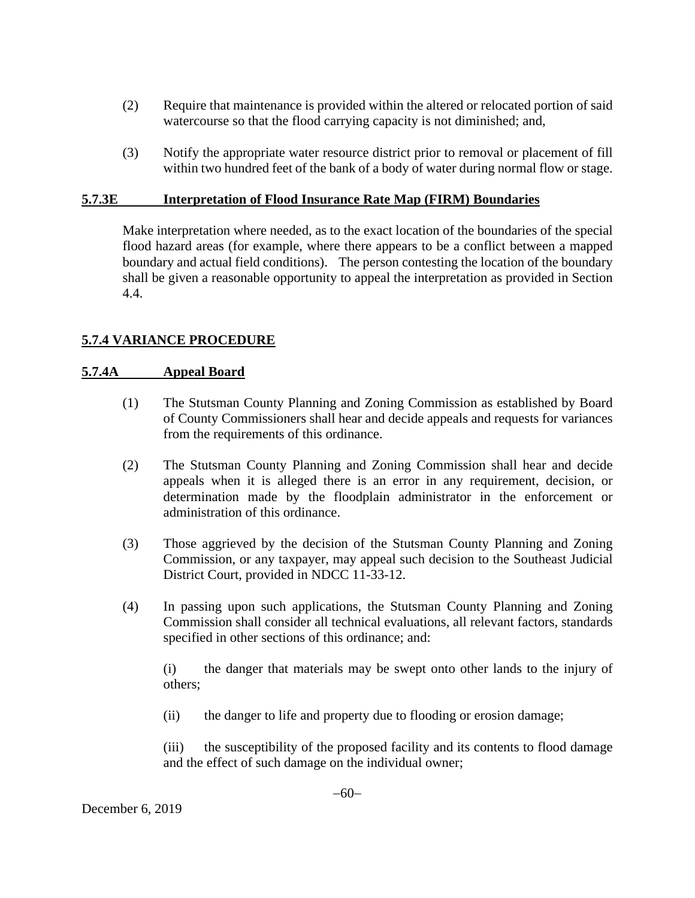- (2) Require that maintenance is provided within the altered or relocated portion of said watercourse so that the flood carrying capacity is not diminished; and,
- (3) Notify the appropriate water resource district prior to removal or placement of fill within two hundred feet of the bank of a body of water during normal flow or stage.

#### **5.7.3E Interpretation of Flood Insurance Rate Map (FIRM) Boundaries**

Make interpretation where needed, as to the exact location of the boundaries of the special flood hazard areas (for example, where there appears to be a conflict between a mapped boundary and actual field conditions). The person contesting the location of the boundary shall be given a reasonable opportunity to appeal the interpretation as provided in Section 4.4.

## **5.7.4 VARIANCE PROCEDURE**

#### **5.7.4A Appeal Board**

- (1) The Stutsman County Planning and Zoning Commission as established by Board of County Commissioners shall hear and decide appeals and requests for variances from the requirements of this ordinance.
- (2) The Stutsman County Planning and Zoning Commission shall hear and decide appeals when it is alleged there is an error in any requirement, decision, or determination made by the floodplain administrator in the enforcement or administration of this ordinance.
- (3) Those aggrieved by the decision of the Stutsman County Planning and Zoning Commission, or any taxpayer, may appeal such decision to the Southeast Judicial District Court, provided in NDCC 11-33-12.
- (4) In passing upon such applications, the Stutsman County Planning and Zoning Commission shall consider all technical evaluations, all relevant factors, standards specified in other sections of this ordinance; and:

 (i) the danger that materials may be swept onto other lands to the injury of others;

(ii) the danger to life and property due to flooding or erosion damage;

 (iii) the susceptibility of the proposed facility and its contents to flood damage and the effect of such damage on the individual owner;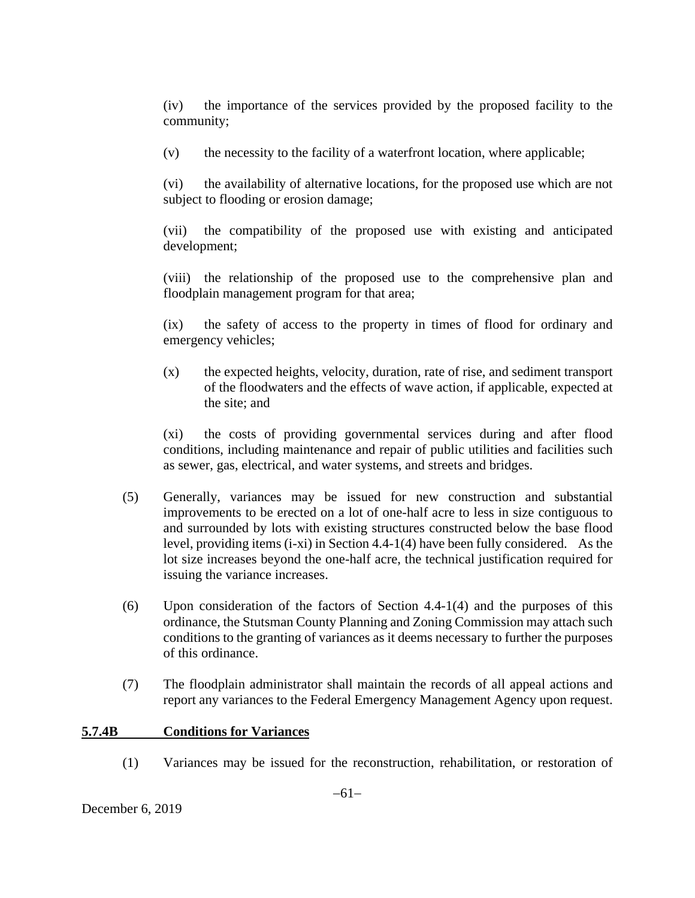(iv) the importance of the services provided by the proposed facility to the community;

(v) the necessity to the facility of a waterfront location, where applicable;

 (vi) the availability of alternative locations, for the proposed use which are not subject to flooding or erosion damage;

 (vii) the compatibility of the proposed use with existing and anticipated development;

 (viii) the relationship of the proposed use to the comprehensive plan and floodplain management program for that area;

 (ix) the safety of access to the property in times of flood for ordinary and emergency vehicles;

(x) the expected heights, velocity, duration, rate of rise, and sediment transport of the floodwaters and the effects of wave action, if applicable, expected at the site; and

 (xi) the costs of providing governmental services during and after flood conditions, including maintenance and repair of public utilities and facilities such as sewer, gas, electrical, and water systems, and streets and bridges.

- (5) Generally, variances may be issued for new construction and substantial improvements to be erected on a lot of one-half acre to less in size contiguous to and surrounded by lots with existing structures constructed below the base flood level, providing items (i-xi) in Section 4.4-1(4) have been fully considered. As the lot size increases beyond the one-half acre, the technical justification required for issuing the variance increases.
- (6) Upon consideration of the factors of Section 4.4-1(4) and the purposes of this ordinance, the Stutsman County Planning and Zoning Commission may attach such conditions to the granting of variances as it deems necessary to further the purposes of this ordinance.
- (7) The floodplain administrator shall maintain the records of all appeal actions and report any variances to the Federal Emergency Management Agency upon request.

#### **5.7.4B Conditions for Variances**

(1) Variances may be issued for the reconstruction, rehabilitation, or restoration of

December 6, 2019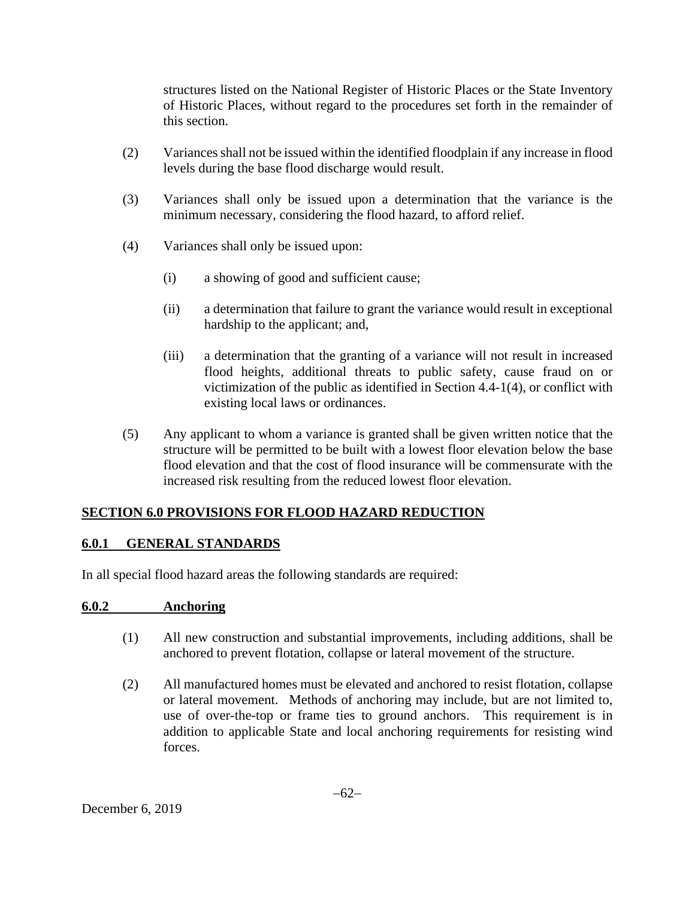structures listed on the National Register of Historic Places or the State Inventory of Historic Places, without regard to the procedures set forth in the remainder of this section.

- (2) Variances shall not be issued within the identified floodplain if any increase in flood levels during the base flood discharge would result.
- (3) Variances shall only be issued upon a determination that the variance is the minimum necessary, considering the flood hazard, to afford relief.
- (4) Variances shall only be issued upon:
	- (i) a showing of good and sufficient cause;
	- (ii) a determination that failure to grant the variance would result in exceptional hardship to the applicant; and,
	- (iii) a determination that the granting of a variance will not result in increased flood heights, additional threats to public safety, cause fraud on or victimization of the public as identified in Section 4.4-1(4), or conflict with existing local laws or ordinances.
- (5) Any applicant to whom a variance is granted shall be given written notice that the structure will be permitted to be built with a lowest floor elevation below the base flood elevation and that the cost of flood insurance will be commensurate with the increased risk resulting from the reduced lowest floor elevation.

## **SECTION 6.0 PROVISIONS FOR FLOOD HAZARD REDUCTION**

## **6.0.1 GENERAL STANDARDS**

In all special flood hazard areas the following standards are required:

#### **6.0.2 Anchoring**

- (1) All new construction and substantial improvements, including additions, shall be anchored to prevent flotation, collapse or lateral movement of the structure.
- (2) All manufactured homes must be elevated and anchored to resist flotation, collapse or lateral movement. Methods of anchoring may include, but are not limited to, use of over-the-top or frame ties to ground anchors. This requirement is in addition to applicable State and local anchoring requirements for resisting wind forces.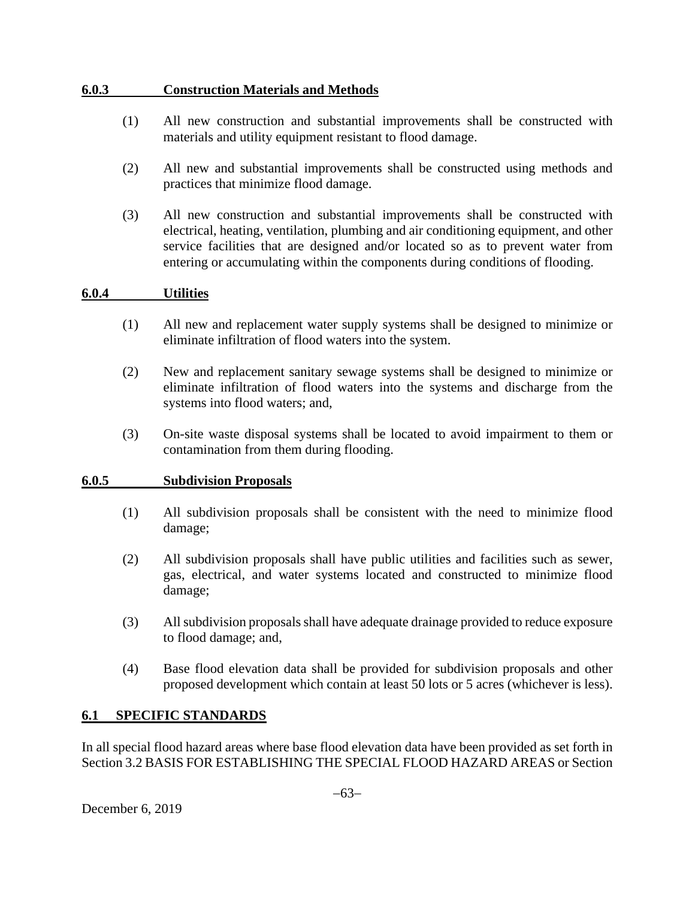#### **6.0.3 Construction Materials and Methods**

- (1) All new construction and substantial improvements shall be constructed with materials and utility equipment resistant to flood damage.
- (2) All new and substantial improvements shall be constructed using methods and practices that minimize flood damage.
- (3) All new construction and substantial improvements shall be constructed with electrical, heating, ventilation, plumbing and air conditioning equipment, and other service facilities that are designed and/or located so as to prevent water from entering or accumulating within the components during conditions of flooding.

#### **6.0.4 Utilities**

- (1) All new and replacement water supply systems shall be designed to minimize or eliminate infiltration of flood waters into the system.
- (2) New and replacement sanitary sewage systems shall be designed to minimize or eliminate infiltration of flood waters into the systems and discharge from the systems into flood waters; and,
- (3) On-site waste disposal systems shall be located to avoid impairment to them or contamination from them during flooding.

#### **6.0.5 Subdivision Proposals**

- (1) All subdivision proposals shall be consistent with the need to minimize flood damage;
- (2) All subdivision proposals shall have public utilities and facilities such as sewer, gas, electrical, and water systems located and constructed to minimize flood damage;
- (3) All subdivision proposals shall have adequate drainage provided to reduce exposure to flood damage; and,
- (4) Base flood elevation data shall be provided for subdivision proposals and other proposed development which contain at least 50 lots or 5 acres (whichever is less).

## **6.1 SPECIFIC STANDARDS**

In all special flood hazard areas where base flood elevation data have been provided as set forth in Section 3.2 BASIS FOR ESTABLISHING THE SPECIAL FLOOD HAZARD AREAS or Section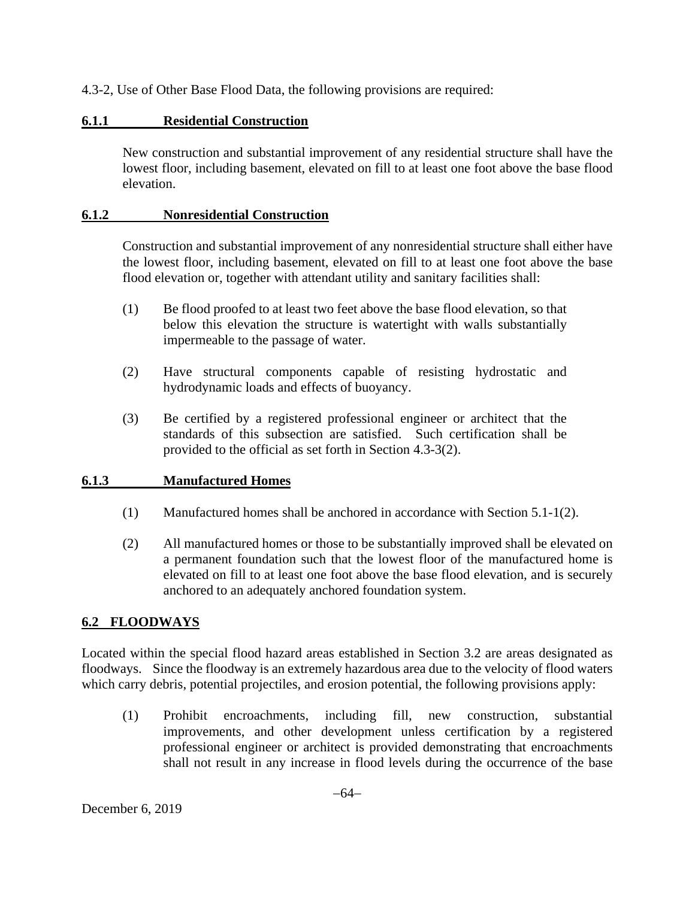4.3-2, Use of Other Base Flood Data, the following provisions are required:

## **6.1.1 Residential Construction**

New construction and substantial improvement of any residential structure shall have the lowest floor, including basement, elevated on fill to at least one foot above the base flood elevation.

## **6.1.2 Nonresidential Construction**

Construction and substantial improvement of any nonresidential structure shall either have the lowest floor, including basement, elevated on fill to at least one foot above the base flood elevation or, together with attendant utility and sanitary facilities shall:

- (1) Be flood proofed to at least two feet above the base flood elevation, so that below this elevation the structure is watertight with walls substantially impermeable to the passage of water.
- (2) Have structural components capable of resisting hydrostatic and hydrodynamic loads and effects of buoyancy.
- (3) Be certified by a registered professional engineer or architect that the standards of this subsection are satisfied. Such certification shall be provided to the official as set forth in Section 4.3-3(2).

## **6.1.3 Manufactured Homes**

- (1) Manufactured homes shall be anchored in accordance with Section 5.1-1(2).
- (2) All manufactured homes or those to be substantially improved shall be elevated on a permanent foundation such that the lowest floor of the manufactured home is elevated on fill to at least one foot above the base flood elevation, and is securely anchored to an adequately anchored foundation system.

## **6.2 FLOODWAYS**

Located within the special flood hazard areas established in Section 3.2 are areas designated as floodways. Since the floodway is an extremely hazardous area due to the velocity of flood waters which carry debris, potential projectiles, and erosion potential, the following provisions apply:

(1) Prohibit encroachments, including fill, new construction, substantial improvements, and other development unless certification by a registered professional engineer or architect is provided demonstrating that encroachments shall not result in any increase in flood levels during the occurrence of the base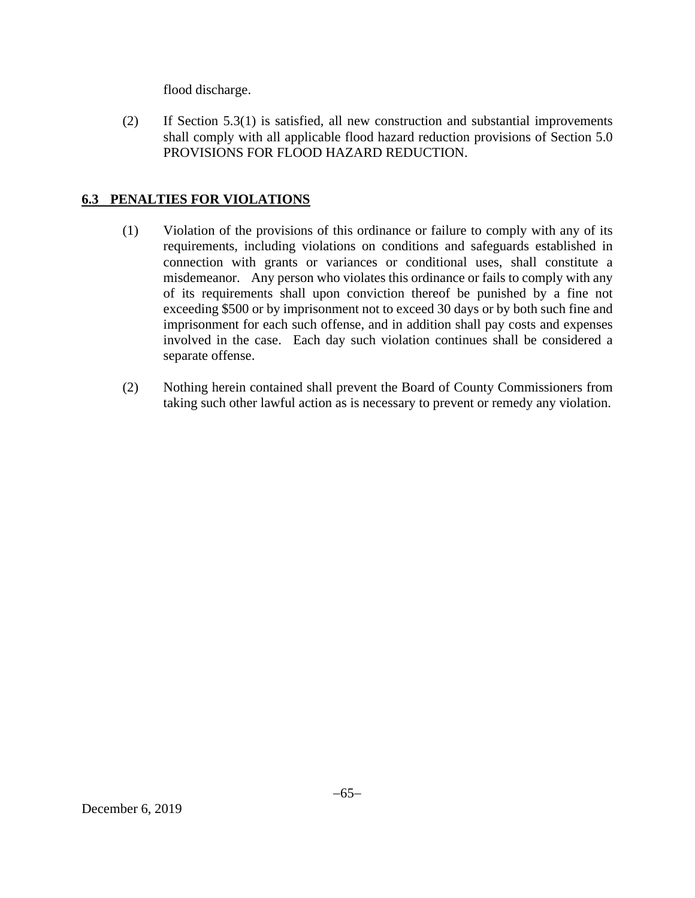flood discharge.

(2) If Section 5.3(1) is satisfied, all new construction and substantial improvements shall comply with all applicable flood hazard reduction provisions of Section 5.0 PROVISIONS FOR FLOOD HAZARD REDUCTION.

## **6.3 PENALTIES FOR VIOLATIONS**

- (1) Violation of the provisions of this ordinance or failure to comply with any of its requirements, including violations on conditions and safeguards established in connection with grants or variances or conditional uses, shall constitute a misdemeanor. Any person who violates this ordinance or fails to comply with any of its requirements shall upon conviction thereof be punished by a fine not exceeding \$500 or by imprisonment not to exceed 30 days or by both such fine and imprisonment for each such offense, and in addition shall pay costs and expenses involved in the case. Each day such violation continues shall be considered a separate offense.
- (2) Nothing herein contained shall prevent the Board of County Commissioners from taking such other lawful action as is necessary to prevent or remedy any violation.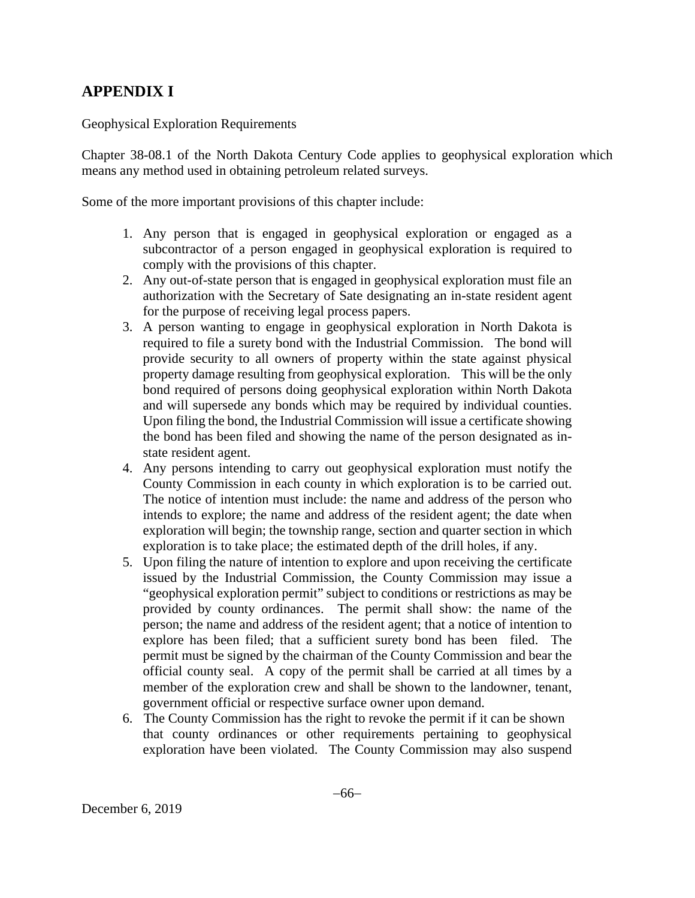## **APPENDIX I**

Geophysical Exploration Requirements

Chapter 38-08.1 of the North Dakota Century Code applies to geophysical exploration which means any method used in obtaining petroleum related surveys.

Some of the more important provisions of this chapter include:

- 1. Any person that is engaged in geophysical exploration or engaged as a subcontractor of a person engaged in geophysical exploration is required to comply with the provisions of this chapter.
- 2. Any out-of-state person that is engaged in geophysical exploration must file an authorization with the Secretary of Sate designating an in-state resident agent for the purpose of receiving legal process papers.
- 3. A person wanting to engage in geophysical exploration in North Dakota is required to file a surety bond with the Industrial Commission. The bond will provide security to all owners of property within the state against physical property damage resulting from geophysical exploration. This will be the only bond required of persons doing geophysical exploration within North Dakota and will supersede any bonds which may be required by individual counties. Upon filing the bond, the Industrial Commission will issue a certificate showing the bond has been filed and showing the name of the person designated as instate resident agent.
- 4. Any persons intending to carry out geophysical exploration must notify the County Commission in each county in which exploration is to be carried out. The notice of intention must include: the name and address of the person who intends to explore; the name and address of the resident agent; the date when exploration will begin; the township range, section and quarter section in which exploration is to take place; the estimated depth of the drill holes, if any.
- 5. Upon filing the nature of intention to explore and upon receiving the certificate issued by the Industrial Commission, the County Commission may issue a "geophysical exploration permit" subject to conditions or restrictions as may be provided by county ordinances. The permit shall show: the name of the person; the name and address of the resident agent; that a notice of intention to explore has been filed; that a sufficient surety bond has been filed. The permit must be signed by the chairman of the County Commission and bear the official county seal. A copy of the permit shall be carried at all times by a member of the exploration crew and shall be shown to the landowner, tenant, government official or respective surface owner upon demand.
- 6. The County Commission has the right to revoke the permit if it can be shown that county ordinances or other requirements pertaining to geophysical exploration have been violated. The County Commission may also suspend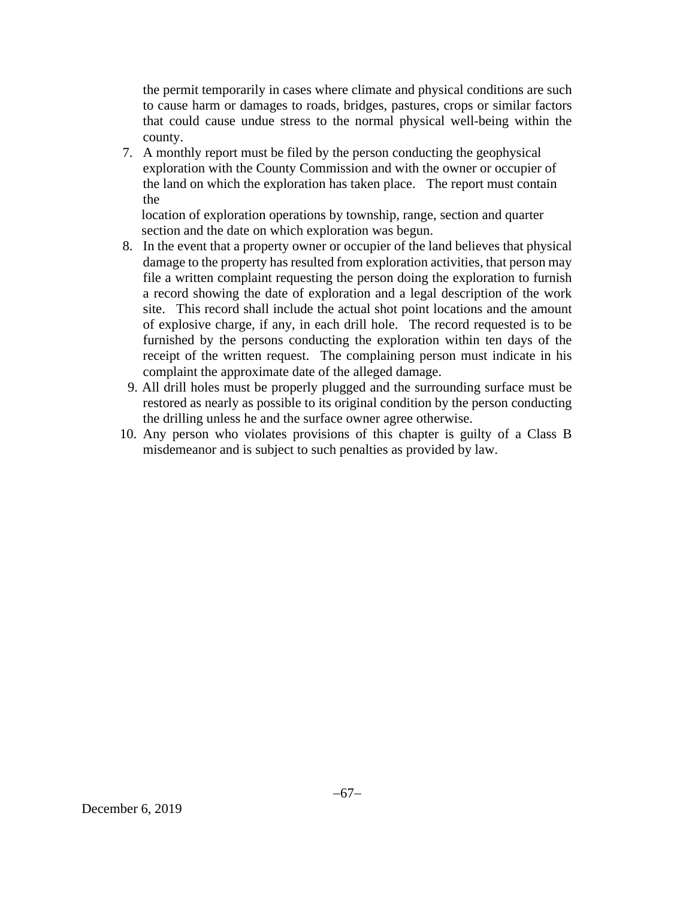the permit temporarily in cases where climate and physical conditions are such to cause harm or damages to roads, bridges, pastures, crops or similar factors that could cause undue stress to the normal physical well-being within the county.

7. A monthly report must be filed by the person conducting the geophysical exploration with the County Commission and with the owner or occupier of the land on which the exploration has taken place. The report must contain the

 location of exploration operations by township, range, section and quarter section and the date on which exploration was begun.

- 8. In the event that a property owner or occupier of the land believes that physical damage to the property has resulted from exploration activities, that person may file a written complaint requesting the person doing the exploration to furnish a record showing the date of exploration and a legal description of the work site. This record shall include the actual shot point locations and the amount of explosive charge, if any, in each drill hole. The record requested is to be furnished by the persons conducting the exploration within ten days of the receipt of the written request. The complaining person must indicate in his complaint the approximate date of the alleged damage.
- 9. All drill holes must be properly plugged and the surrounding surface must be restored as nearly as possible to its original condition by the person conducting the drilling unless he and the surface owner agree otherwise.
- 10. Any person who violates provisions of this chapter is guilty of a Class B misdemeanor and is subject to such penalties as provided by law.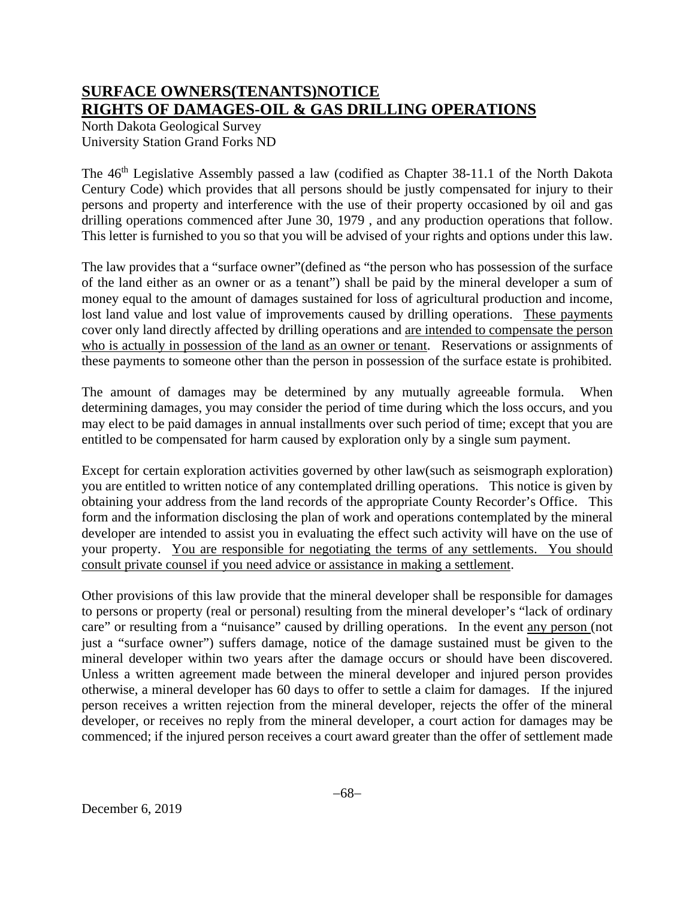## **SURFACE OWNERS(TENANTS)NOTICE RIGHTS OF DAMAGES-OIL & GAS DRILLING OPERATIONS**

North Dakota Geological Survey University Station Grand Forks ND

The 46<sup>th</sup> Legislative Assembly passed a law (codified as Chapter 38-11.1 of the North Dakota Century Code) which provides that all persons should be justly compensated for injury to their persons and property and interference with the use of their property occasioned by oil and gas drilling operations commenced after June 30, 1979 , and any production operations that follow. This letter is furnished to you so that you will be advised of your rights and options under this law.

The law provides that a "surface owner"(defined as "the person who has possession of the surface of the land either as an owner or as a tenant") shall be paid by the mineral developer a sum of money equal to the amount of damages sustained for loss of agricultural production and income, lost land value and lost value of improvements caused by drilling operations. These payments cover only land directly affected by drilling operations and are intended to compensate the person who is actually in possession of the land as an owner or tenant. Reservations or assignments of these payments to someone other than the person in possession of the surface estate is prohibited.

The amount of damages may be determined by any mutually agreeable formula. When determining damages, you may consider the period of time during which the loss occurs, and you may elect to be paid damages in annual installments over such period of time; except that you are entitled to be compensated for harm caused by exploration only by a single sum payment.

Except for certain exploration activities governed by other law(such as seismograph exploration) you are entitled to written notice of any contemplated drilling operations. This notice is given by obtaining your address from the land records of the appropriate County Recorder's Office. This form and the information disclosing the plan of work and operations contemplated by the mineral developer are intended to assist you in evaluating the effect such activity will have on the use of your property. You are responsible for negotiating the terms of any settlements. You should consult private counsel if you need advice or assistance in making a settlement.

Other provisions of this law provide that the mineral developer shall be responsible for damages to persons or property (real or personal) resulting from the mineral developer's "lack of ordinary care" or resulting from a "nuisance" caused by drilling operations. In the event any person (not just a "surface owner") suffers damage, notice of the damage sustained must be given to the mineral developer within two years after the damage occurs or should have been discovered. Unless a written agreement made between the mineral developer and injured person provides otherwise, a mineral developer has 60 days to offer to settle a claim for damages. If the injured person receives a written rejection from the mineral developer, rejects the offer of the mineral developer, or receives no reply from the mineral developer, a court action for damages may be commenced; if the injured person receives a court award greater than the offer of settlement made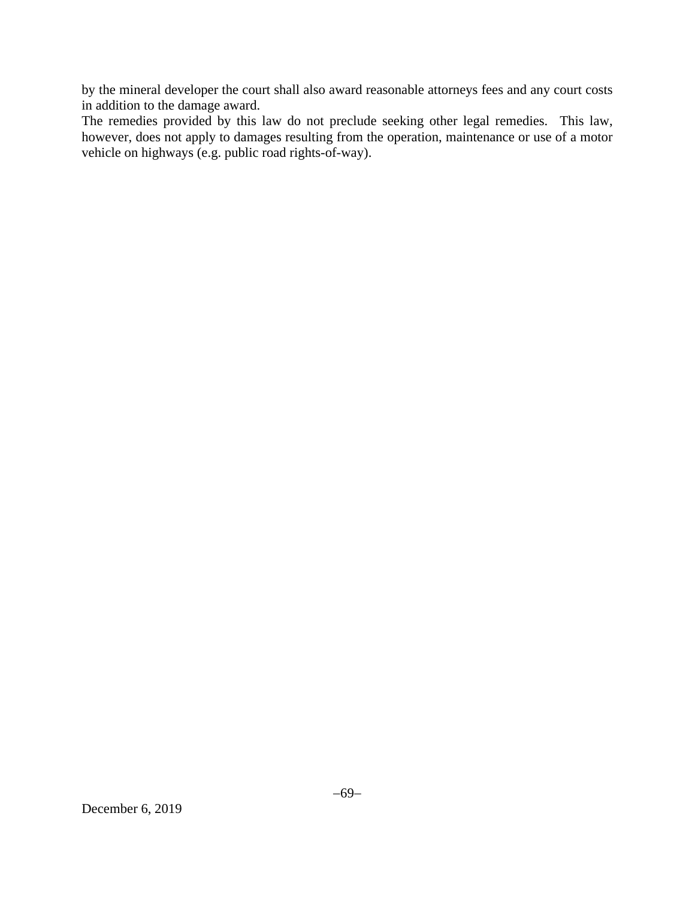by the mineral developer the court shall also award reasonable attorneys fees and any court costs in addition to the damage award.

The remedies provided by this law do not preclude seeking other legal remedies. This law, however, does not apply to damages resulting from the operation, maintenance or use of a motor vehicle on highways (e.g. public road rights-of-way).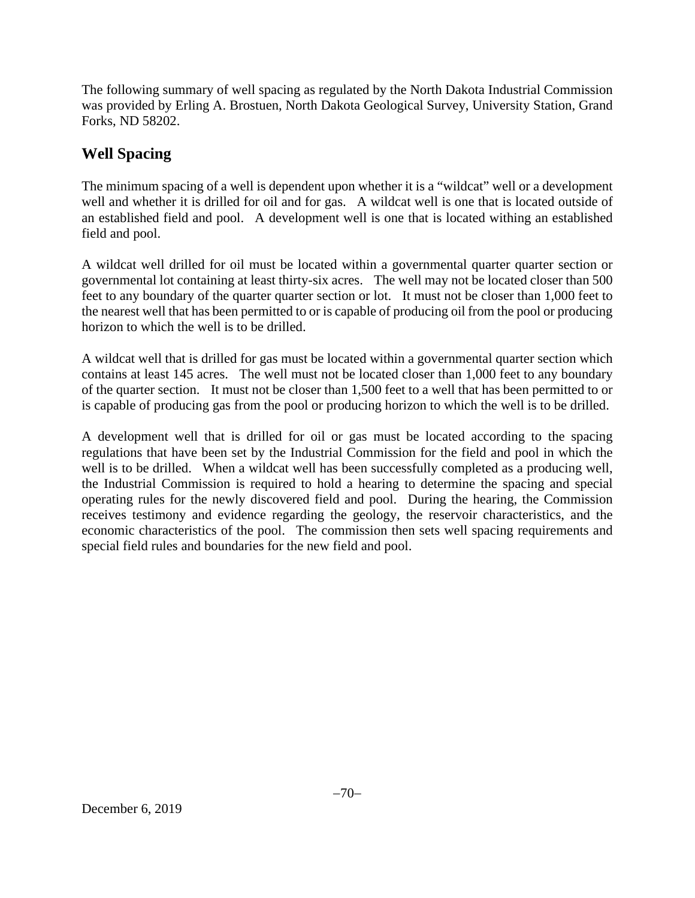The following summary of well spacing as regulated by the North Dakota Industrial Commission was provided by Erling A. Brostuen, North Dakota Geological Survey, University Station, Grand Forks, ND 58202.

# **Well Spacing**

The minimum spacing of a well is dependent upon whether it is a "wildcat" well or a development well and whether it is drilled for oil and for gas. A wildcat well is one that is located outside of an established field and pool. A development well is one that is located withing an established field and pool.

A wildcat well drilled for oil must be located within a governmental quarter quarter section or governmental lot containing at least thirty-six acres. The well may not be located closer than 500 feet to any boundary of the quarter quarter section or lot. It must not be closer than 1,000 feet to the nearest well that has been permitted to or is capable of producing oil from the pool or producing horizon to which the well is to be drilled.

A wildcat well that is drilled for gas must be located within a governmental quarter section which contains at least 145 acres. The well must not be located closer than 1,000 feet to any boundary of the quarter section. It must not be closer than 1,500 feet to a well that has been permitted to or is capable of producing gas from the pool or producing horizon to which the well is to be drilled.

A development well that is drilled for oil or gas must be located according to the spacing regulations that have been set by the Industrial Commission for the field and pool in which the well is to be drilled. When a wildcat well has been successfully completed as a producing well, the Industrial Commission is required to hold a hearing to determine the spacing and special operating rules for the newly discovered field and pool. During the hearing, the Commission receives testimony and evidence regarding the geology, the reservoir characteristics, and the economic characteristics of the pool. The commission then sets well spacing requirements and special field rules and boundaries for the new field and pool.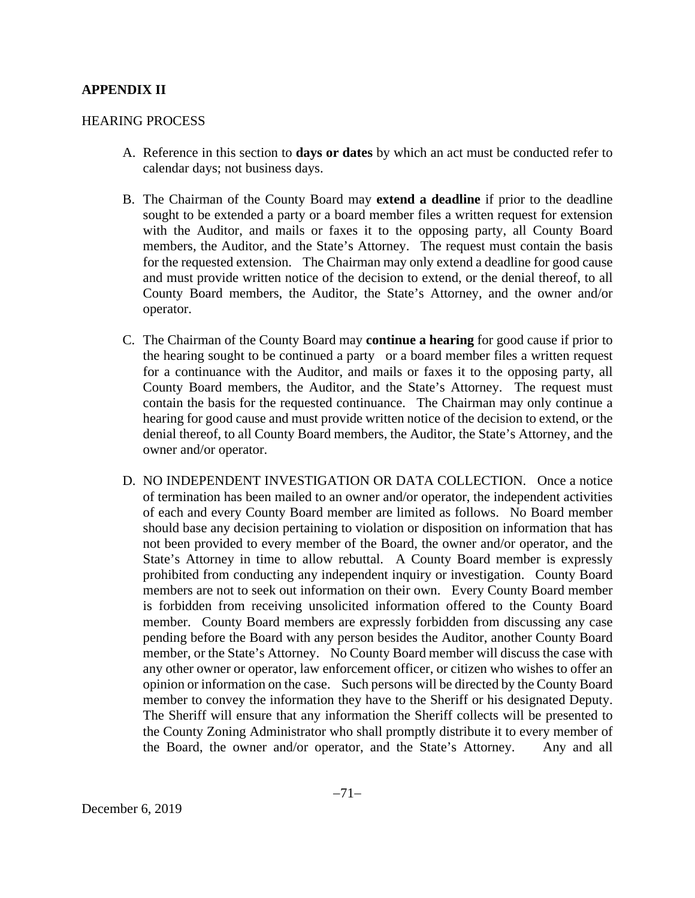#### **APPENDIX II**

#### HEARING PROCESS

- A. Reference in this section to **days or dates** by which an act must be conducted refer to calendar days; not business days.
- B. The Chairman of the County Board may **extend a deadline** if prior to the deadline sought to be extended a party or a board member files a written request for extension with the Auditor, and mails or faxes it to the opposing party, all County Board members, the Auditor, and the State's Attorney. The request must contain the basis for the requested extension. The Chairman may only extend a deadline for good cause and must provide written notice of the decision to extend, or the denial thereof, to all County Board members, the Auditor, the State's Attorney, and the owner and/or operator.
- C. The Chairman of the County Board may **continue a hearing** for good cause if prior to the hearing sought to be continued a party or a board member files a written request for a continuance with the Auditor, and mails or faxes it to the opposing party, all County Board members, the Auditor, and the State's Attorney. The request must contain the basis for the requested continuance. The Chairman may only continue a hearing for good cause and must provide written notice of the decision to extend, or the denial thereof, to all County Board members, the Auditor, the State's Attorney, and the owner and/or operator.
- D. NO INDEPENDENT INVESTIGATION OR DATA COLLECTION. Once a notice of termination has been mailed to an owner and/or operator, the independent activities of each and every County Board member are limited as follows. No Board member should base any decision pertaining to violation or disposition on information that has not been provided to every member of the Board, the owner and/or operator, and the State's Attorney in time to allow rebuttal. A County Board member is expressly prohibited from conducting any independent inquiry or investigation. County Board members are not to seek out information on their own. Every County Board member is forbidden from receiving unsolicited information offered to the County Board member. County Board members are expressly forbidden from discussing any case pending before the Board with any person besides the Auditor, another County Board member, or the State's Attorney. No County Board member will discuss the case with any other owner or operator, law enforcement officer, or citizen who wishes to offer an opinion or information on the case. Such persons will be directed by the County Board member to convey the information they have to the Sheriff or his designated Deputy. The Sheriff will ensure that any information the Sheriff collects will be presented to the County Zoning Administrator who shall promptly distribute it to every member of the Board, the owner and/or operator, and the State's Attorney. Any and all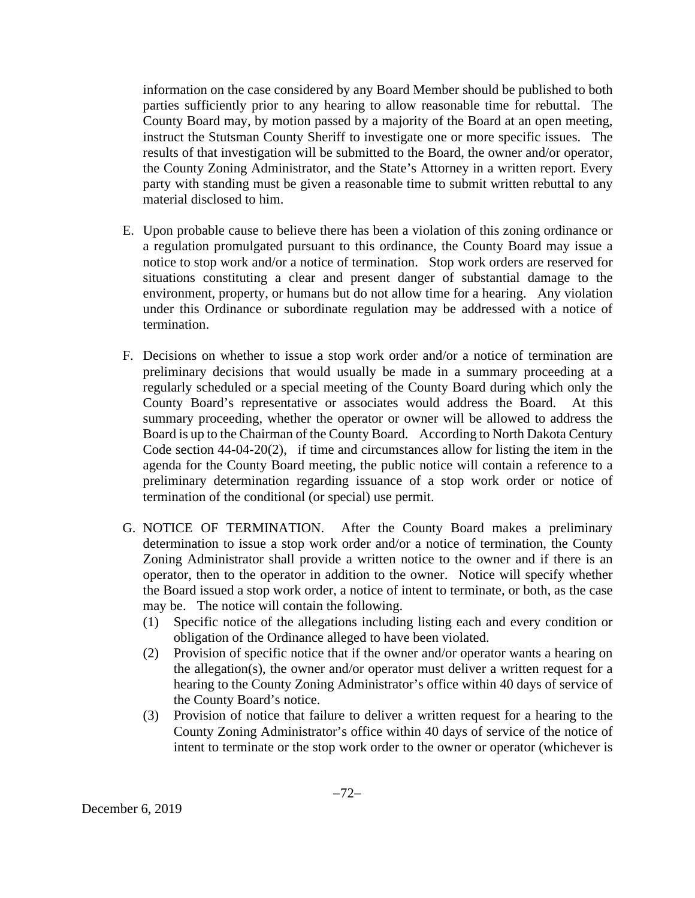information on the case considered by any Board Member should be published to both parties sufficiently prior to any hearing to allow reasonable time for rebuttal. The County Board may, by motion passed by a majority of the Board at an open meeting, instruct the Stutsman County Sheriff to investigate one or more specific issues. The results of that investigation will be submitted to the Board, the owner and/or operator, the County Zoning Administrator, and the State's Attorney in a written report. Every party with standing must be given a reasonable time to submit written rebuttal to any material disclosed to him.

- E. Upon probable cause to believe there has been a violation of this zoning ordinance or a regulation promulgated pursuant to this ordinance, the County Board may issue a notice to stop work and/or a notice of termination. Stop work orders are reserved for situations constituting a clear and present danger of substantial damage to the environment, property, or humans but do not allow time for a hearing. Any violation under this Ordinance or subordinate regulation may be addressed with a notice of termination.
- F. Decisions on whether to issue a stop work order and/or a notice of termination are preliminary decisions that would usually be made in a summary proceeding at a regularly scheduled or a special meeting of the County Board during which only the County Board's representative or associates would address the Board. At this summary proceeding, whether the operator or owner will be allowed to address the Board is up to the Chairman of the County Board. According to North Dakota Century Code section 44-04-20(2), if time and circumstances allow for listing the item in the agenda for the County Board meeting, the public notice will contain a reference to a preliminary determination regarding issuance of a stop work order or notice of termination of the conditional (or special) use permit.
- G. NOTICE OF TERMINATION. After the County Board makes a preliminary determination to issue a stop work order and/or a notice of termination, the County Zoning Administrator shall provide a written notice to the owner and if there is an operator, then to the operator in addition to the owner. Notice will specify whether the Board issued a stop work order, a notice of intent to terminate, or both, as the case may be. The notice will contain the following.
	- (1) Specific notice of the allegations including listing each and every condition or obligation of the Ordinance alleged to have been violated.
	- (2) Provision of specific notice that if the owner and/or operator wants a hearing on the allegation(s), the owner and/or operator must deliver a written request for a hearing to the County Zoning Administrator's office within 40 days of service of the County Board's notice.
	- (3) Provision of notice that failure to deliver a written request for a hearing to the County Zoning Administrator's office within 40 days of service of the notice of intent to terminate or the stop work order to the owner or operator (whichever is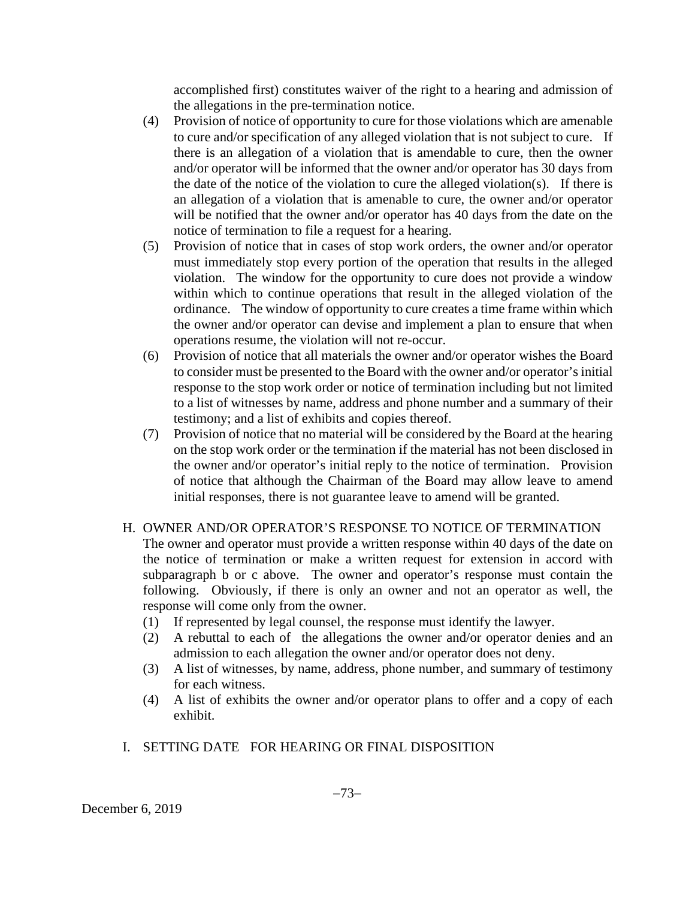accomplished first) constitutes waiver of the right to a hearing and admission of the allegations in the pre-termination notice.

- (4) Provision of notice of opportunity to cure for those violations which are amenable to cure and/or specification of any alleged violation that is not subject to cure. If there is an allegation of a violation that is amendable to cure, then the owner and/or operator will be informed that the owner and/or operator has 30 days from the date of the notice of the violation to cure the alleged violation(s). If there is an allegation of a violation that is amenable to cure, the owner and/or operator will be notified that the owner and/or operator has 40 days from the date on the notice of termination to file a request for a hearing.
- (5) Provision of notice that in cases of stop work orders, the owner and/or operator must immediately stop every portion of the operation that results in the alleged violation. The window for the opportunity to cure does not provide a window within which to continue operations that result in the alleged violation of the ordinance. The window of opportunity to cure creates a time frame within which the owner and/or operator can devise and implement a plan to ensure that when operations resume, the violation will not re-occur.
- (6) Provision of notice that all materials the owner and/or operator wishes the Board to consider must be presented to the Board with the owner and/or operator's initial response to the stop work order or notice of termination including but not limited to a list of witnesses by name, address and phone number and a summary of their testimony; and a list of exhibits and copies thereof.
- (7) Provision of notice that no material will be considered by the Board at the hearing on the stop work order or the termination if the material has not been disclosed in the owner and/or operator's initial reply to the notice of termination. Provision of notice that although the Chairman of the Board may allow leave to amend initial responses, there is not guarantee leave to amend will be granted.

# H. OWNER AND/OR OPERATOR'S RESPONSE TO NOTICE OF TERMINATION

The owner and operator must provide a written response within 40 days of the date on the notice of termination or make a written request for extension in accord with subparagraph b or c above. The owner and operator's response must contain the following. Obviously, if there is only an owner and not an operator as well, the response will come only from the owner.

- (1) If represented by legal counsel, the response must identify the lawyer.
- (2) A rebuttal to each of the allegations the owner and/or operator denies and an admission to each allegation the owner and/or operator does not deny.
- (3) A list of witnesses, by name, address, phone number, and summary of testimony for each witness.
- (4) A list of exhibits the owner and/or operator plans to offer and a copy of each exhibit.
- I. SETTING DATE FOR HEARING OR FINAL DISPOSITION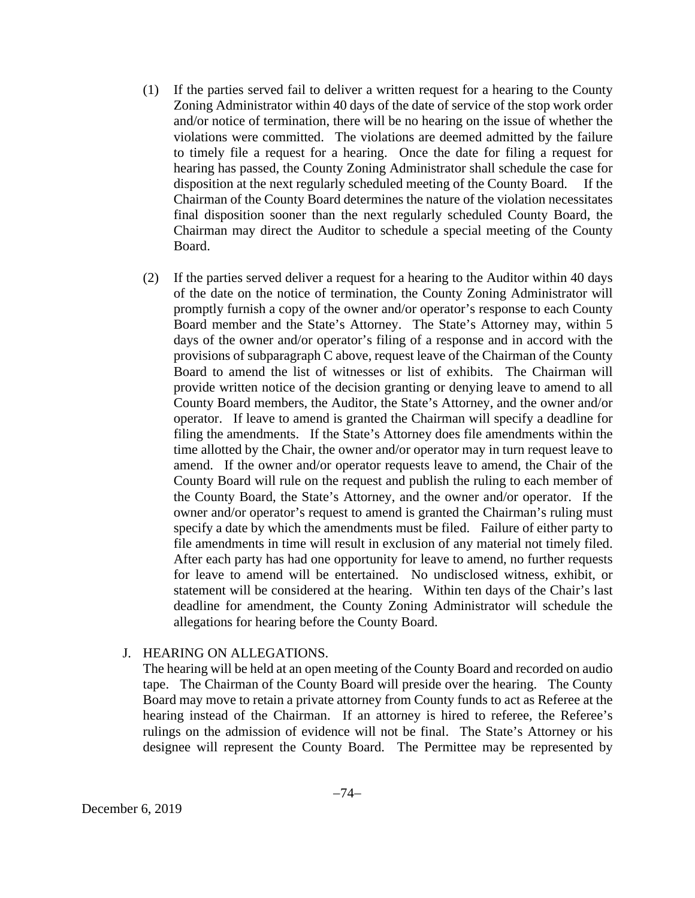- (1) If the parties served fail to deliver a written request for a hearing to the County Zoning Administrator within 40 days of the date of service of the stop work order and/or notice of termination, there will be no hearing on the issue of whether the violations were committed. The violations are deemed admitted by the failure to timely file a request for a hearing. Once the date for filing a request for hearing has passed, the County Zoning Administrator shall schedule the case for disposition at the next regularly scheduled meeting of the County Board. If the Chairman of the County Board determines the nature of the violation necessitates final disposition sooner than the next regularly scheduled County Board, the Chairman may direct the Auditor to schedule a special meeting of the County Board.
- (2) If the parties served deliver a request for a hearing to the Auditor within 40 days of the date on the notice of termination, the County Zoning Administrator will promptly furnish a copy of the owner and/or operator's response to each County Board member and the State's Attorney. The State's Attorney may, within 5 days of the owner and/or operator's filing of a response and in accord with the provisions of subparagraph C above, request leave of the Chairman of the County Board to amend the list of witnesses or list of exhibits. The Chairman will provide written notice of the decision granting or denying leave to amend to all County Board members, the Auditor, the State's Attorney, and the owner and/or operator. If leave to amend is granted the Chairman will specify a deadline for filing the amendments. If the State's Attorney does file amendments within the time allotted by the Chair, the owner and/or operator may in turn request leave to amend. If the owner and/or operator requests leave to amend, the Chair of the County Board will rule on the request and publish the ruling to each member of the County Board, the State's Attorney, and the owner and/or operator. If the owner and/or operator's request to amend is granted the Chairman's ruling must specify a date by which the amendments must be filed. Failure of either party to file amendments in time will result in exclusion of any material not timely filed. After each party has had one opportunity for leave to amend, no further requests for leave to amend will be entertained. No undisclosed witness, exhibit, or statement will be considered at the hearing. Within ten days of the Chair's last deadline for amendment, the County Zoning Administrator will schedule the allegations for hearing before the County Board.

#### J. HEARING ON ALLEGATIONS.

The hearing will be held at an open meeting of the County Board and recorded on audio tape. The Chairman of the County Board will preside over the hearing. The County Board may move to retain a private attorney from County funds to act as Referee at the hearing instead of the Chairman. If an attorney is hired to referee, the Referee's rulings on the admission of evidence will not be final. The State's Attorney or his designee will represent the County Board. The Permittee may be represented by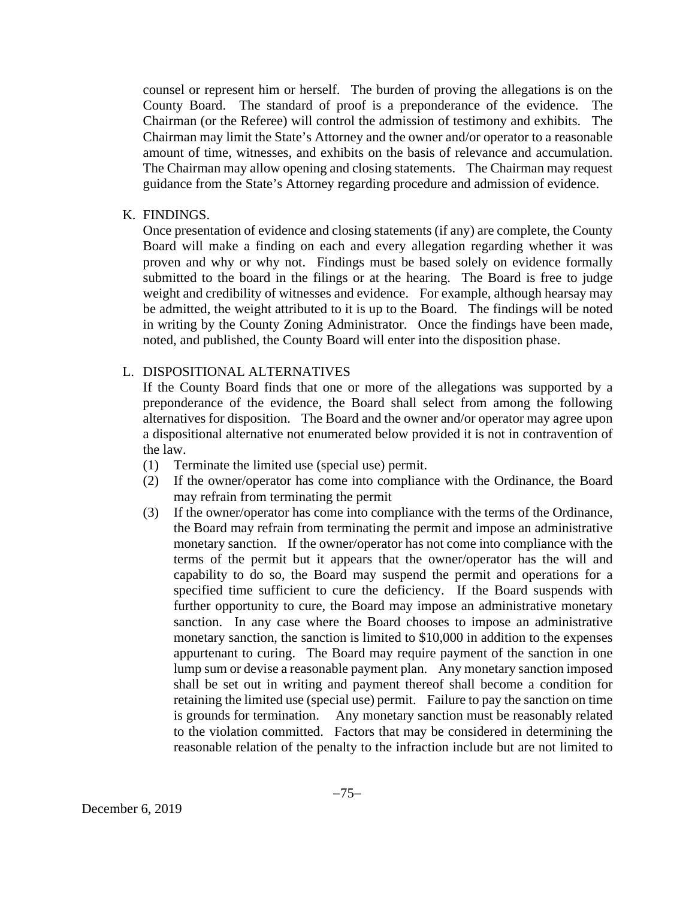counsel or represent him or herself. The burden of proving the allegations is on the County Board. The standard of proof is a preponderance of the evidence. The Chairman (or the Referee) will control the admission of testimony and exhibits. The Chairman may limit the State's Attorney and the owner and/or operator to a reasonable amount of time, witnesses, and exhibits on the basis of relevance and accumulation. The Chairman may allow opening and closing statements. The Chairman may request guidance from the State's Attorney regarding procedure and admission of evidence.

### K. FINDINGS.

Once presentation of evidence and closing statements (if any) are complete, the County Board will make a finding on each and every allegation regarding whether it was proven and why or why not. Findings must be based solely on evidence formally submitted to the board in the filings or at the hearing. The Board is free to judge weight and credibility of witnesses and evidence. For example, although hearsay may be admitted, the weight attributed to it is up to the Board. The findings will be noted in writing by the County Zoning Administrator. Once the findings have been made, noted, and published, the County Board will enter into the disposition phase.

# L. DISPOSITIONAL ALTERNATIVES

If the County Board finds that one or more of the allegations was supported by a preponderance of the evidence, the Board shall select from among the following alternatives for disposition. The Board and the owner and/or operator may agree upon a dispositional alternative not enumerated below provided it is not in contravention of the law.

- (1) Terminate the limited use (special use) permit.
- (2) If the owner/operator has come into compliance with the Ordinance, the Board may refrain from terminating the permit
- (3) If the owner/operator has come into compliance with the terms of the Ordinance, the Board may refrain from terminating the permit and impose an administrative monetary sanction. If the owner/operator has not come into compliance with the terms of the permit but it appears that the owner/operator has the will and capability to do so, the Board may suspend the permit and operations for a specified time sufficient to cure the deficiency. If the Board suspends with further opportunity to cure, the Board may impose an administrative monetary sanction. In any case where the Board chooses to impose an administrative monetary sanction, the sanction is limited to \$10,000 in addition to the expenses appurtenant to curing. The Board may require payment of the sanction in one lump sum or devise a reasonable payment plan. Any monetary sanction imposed shall be set out in writing and payment thereof shall become a condition for retaining the limited use (special use) permit. Failure to pay the sanction on time is grounds for termination. Any monetary sanction must be reasonably related to the violation committed. Factors that may be considered in determining the reasonable relation of the penalty to the infraction include but are not limited to